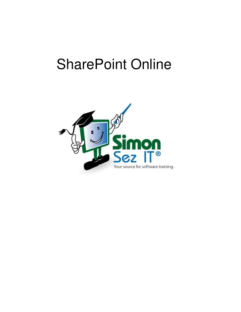# SharePoint Online

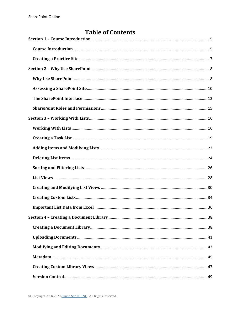# **Table of Contents**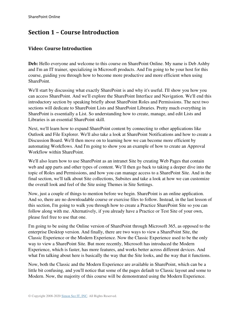# <span id="page-4-0"></span>**Section 1 – Course Introduction**

# <span id="page-4-1"></span>**Video: Course Introduction**

**Deb:** Hello everyone and welcome to this course on SharePoint Online. My name is Deb Ashby and I'm an IT trainer, specializing in Microsoft products. And I'm going to be your host for this course, guiding you through how to become more productive and more efficient when using SharePoint.

We'll start by discussing what exactly SharePoint is and why it's useful. I'll show you how you can access SharePoint. And we'll explore the SharePoint Interface and Navigation. We'll end this introductory section by speaking briefly about SharePoint Roles and Permissions. The next two sections will dedicate to SharePoint Lists and SharePoint Libraries. Pretty much everything in SharePoint is essentially a List. So understanding how to create, manage, and edit Lists and Libraries is an essential SharePoint skill.

Next, we'll learn how to expand SharePoint content by connecting to other applications like Outlook and File Explorer. We'll also take a look at SharePoint Notifications and how to create a Discussion Board. We'll then move on to learning how we can become more efficient by automating Workflows. And I'm going to show you an example of how to create an Approval Workflow within SharePoint.

We'll also learn how to use SharePoint as an intranet Site by creating Web Pages that contain web and app parts and other types of content. We'll then go back to taking a deeper dive into the topic of Roles and Permissions, and how you can manage access to a SharePoint Site. And in the final section, we'll talk about Site collections, Subsites and take a look at how we can customize the overall look and feel of the Site using Themes in Site Settings.

Now, just a couple of things to mention before we begin. SharePoint is an online application. And so, there are no downloadable course or exercise files to follow. Instead, in the last lesson of this section, I'm going to walk you through how to create a Practice SharePoint Site so you can follow along with me. Alternatively, if you already have a Practice or Test Site of your own, please feel free to use that one.

I'm going to be using the Online version of SharePoint through Microsoft 365, as opposed to the enterprise Desktop version. And finally, there are two ways to view a SharePoint Site, the Classic Experience or the Modern Experience. Now the Classic Experience used to be the only way to view a SharePoint Site. But more recently, Microsoft has introduced the Modern Experience, which is faster, has more features, and works better across different devices. And what I'm talking about here is basically the way that the Site looks, and the way that it functions.

Now, both the Classic and the Modern Experience are available in SharePoint, which can be a little bit confusing, and you'll notice that some of the pages default to Classic layout and some to Modern. Now, the majority of this course will be demonstrated using the Modern Experience.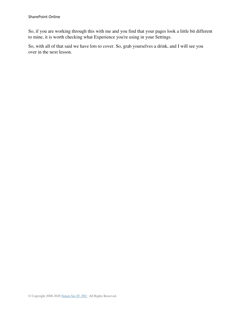So, if you are working through this with me and you find that your pages look a little bit different to mine, it is worth checking what Experience you're using in your Settings.

So, with all of that said we have lots to cover. So, grab yourselves a drink, and I will see you over in the next lesson.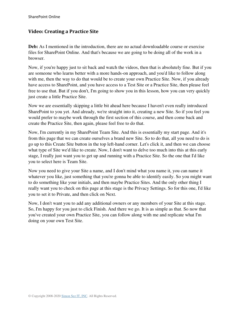## <span id="page-6-0"></span>**Video: Creating a Practice Site**

**Deb:** As I mentioned in the introduction, there are no actual downloadable course or exercise files for SharePoint Online. And that's because we are going to be doing all of the work in a browser.

Now, if you're happy just to sit back and watch the videos, then that is absolutely fine. But if you are someone who learns better with a more hands-on approach, and you'd like to follow along with me, then the way to do that would be to create your own Practice Site. Now, if you already have access to SharePoint, and you have access to a Test Site or a Practice Site, then please feel free to use that. But if you don't, I'm going to show you in this lesson, how you can very quickly just create a little Practice Site.

Now we are essentially skipping a little bit ahead here because I haven't even really introduced SharePoint to you yet. And already, we're straight into it, creating a new Site. So if you feel you would prefer to maybe work through the first section of this course, and then come back and create the Practice Site, then again, please feel free to do that.

Now, I'm currently in my SharePoint Team Site. And this is essentially my start page. And it's from this page that we can create ourselves a brand new Site. So to do that, all you need to do is go up to this Create Site button in the top left-hand corner. Let's click it, and then we can choose what type of Site we'd like to create. Now, I don't want to delve too much into this at this early stage, I really just want you to get up and running with a Practice Site. So the one that I'd like you to select here is Team Site.

Now you need to give your Site a name, and I don't mind what you name it, you can name it whatever you like, just something that you're gonna be able to identify easily. So you might want to do something like your initials, and then maybe Practice Sites. And the only other thing I really want you to check on this page at this stage is the Privacy Settings. So for this one, I'd like you to set it to Private, and then click on Next.

Now, I don't want you to add any additional owners or any members of your Site at this stage. So, I'm happy for you just to click Finish. And there we go. It is as simple as that. So now that you've created your own Practice Site, you can follow along with me and replicate what I'm doing on your own Test Site.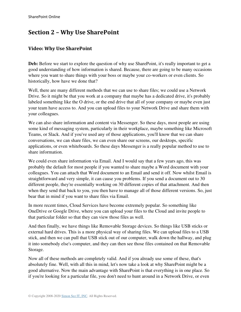# <span id="page-7-0"></span>**Section 2 – Why Use SharePoint**

# <span id="page-7-1"></span>**Video: Why Use SharePoint**

**Deb:** Before we start to explore the question of why use SharePoint, it's really important to get a good understanding of how information is shared. Because, there are going to be many occasions where you want to share things with your boss or maybe your co-workers or even clients. So historically, how have we done that?

Well, there are many different methods that we can use to share files; we could use a Network Drive. So it might be that you work at a company that maybe has a dedicated drive, it's probably labeled something like the O drive, or the end drive that all of your company or maybe even just your team have access to. And you can upload files to your Network Drive and share them with your colleagues.

We can also share information and content via Messenger. So these days, most people are using some kind of messaging system, particularly in their workplace, maybe something like Microsoft Teams, or Slack. And if you've used any of those applications, you'll know that we can share conversations, we can share files, we can even share our screens, our desktops, specific applications, or even whiteboards. So these days Messenger is a really popular method to use to share information.

We could even share information via Email. And I would say that a few years ago, this was probably the default for most people if you wanted to share maybe a Word document with your colleagues. You can attach that Word document to an Email and send it off. Now whilst Email is straightforward and very simple, it can cause you problems. If you send a document out to 30 different people, they're essentially working on 30 different copies of that attachment. And then when they send that back to you, you then have to manage all of those different versions. So, just bear that in mind if you want to share files via Email.

In more recent times, Cloud Services have become extremely popular. So something like OneDrive or Google Drive, where you can upload your files to the Cloud and invite people to that particular folder so that they can view those files as well.

And then finally, we have things like Removable Storage devices. So things like USB sticks or external hard drives. This is a more physical way of sharing files. We can upload files to a USB stick, and then we can pull that USB stick out of our computer, walk down the hallway, and plug it into somebody else's computer, and they can then see those files contained on that Removable Storage.

Now all of these methods are completely valid. And if you already use some of these, that's absolutely fine. Well, with all this in mind, let's now take a look at why SharePoint might be a good alternative. Now the main advantage with SharePoint is that everything is in one place. So if you're looking for a particular file, you don't need to hunt around in a Network Drive, or even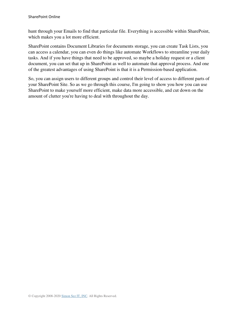hunt through your Emails to find that particular file. Everything is accessible within SharePoint, which makes you a lot more efficient.

SharePoint contains Document Libraries for documents storage, you can create Task Lists, you can access a calendar, you can even do things like automate Workflows to streamline your daily tasks. And if you have things that need to be approved, so maybe a holiday request or a client document, you can set that up in SharePoint as well to automate that approval process. And one of the greatest advantages of using SharePoint is that it is a Permission-based application.

So, you can assign users to different groups and control their level of access to different parts of your SharePoint Site. So as we go through this course, I'm going to show you how you can use SharePoint to make yourself more efficient, make data more accessible, and cut down on the amount of clutter you're having to deal with throughout the day.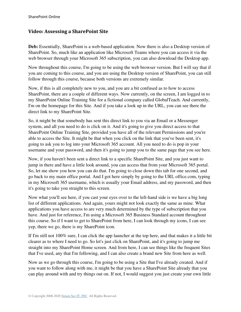#### <span id="page-9-0"></span>**Video: Assessing a SharePoint Site**

**Deb:** Essentially, SharePoint is a web-based application. Now there is also a Desktop version of SharePoint. So, much like an application like Microsoft Teams where you can access it via the web browser through your Microsoft 365 subscription, you can also download the Desktop app.

Now throughout this course, I'm going to be using the web browser version. But I will say that if you are coming to this course, and you are using the Desktop version of SharePoint, you can still follow through this course, because both versions are extremely similar.

Now, if this is all completely new to you, and you are a bit confused as to how to access SharePoint, there are a couple of different ways. Now currently, on the screen, I am logged in to my SharePoint Online Training Site for a fictional company called GlobalTeach. And currently, I'm on the homepage for this Site. And if you take a look up in the URL, you can see there the direct link to my SharePoint Site.

So, it might be that somebody has sent this direct link to you via an Email or a Messenger system, and all you need to do is click on it. And it's going to give you direct access to that SharePoint Online Training Site, provided you have all of the relevant Permissions and you're able to access the Site. It might be that when you click on the link that you've been sent, it's going to ask you to log into your Microsoft 365 account. All you need to do is pop in your username and your password, and then it's going to jump you to the same page that you see here.

Now, if you haven't been sent a direct link to a specific SharePoint Site, and you just want to jump in there and have a little look around, you can access that from your Microsoft 365 portal. So, let me show you how you can do that. I'm going to close down this tab for one second, and go back to my main office portal. And I got here simply by going to the URL office.com, typing in my Microsoft 365 username, which is usually your Email address, and my password, and then it's going to take you straight to this screen.

Now what you'll see here, if you cast your eyes over to the left-hand side is we have a big long list of different applications. And again, yours might not look exactly the same as mine. What applications you have access to are very much determined by the type of subscription that you have. And just for reference, I'm using a Microsoft 365 Business Standard account throughout this course. So if I want to get to SharePoint from here, I can look through my icons, I can see yep, there we go, there is my SharePoint icon.

If I'm still not 100% sure, I can click the app launcher at the top here, and that makes it a little bit clearer as to where I need to go. So let's just click on SharePoint, and it's going to jump me straight into my SharePoint Home screen. And from here, I can see things like the frequent Sites that I've used, any that I'm following, and I can also create a brand new Site from here as well.

Now as we go through this course, I'm going to be using a Site that I've already created. And if you want to follow along with me, it might be that you have a SharePoint Site already that you can play around with and try things out on. If not, I would suggest you just create your own little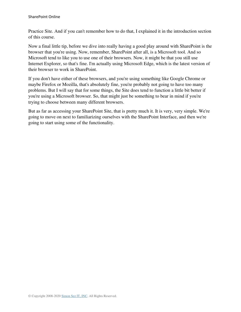Practice Site. And if you can't remember how to do that, I explained it in the introduction section of this course.

Now a final little tip, before we dive into really having a good play around with SharePoint is the browser that you're using. Now, remember, SharePoint after all, is a Microsoft tool. And so Microsoft tend to like you to use one of their browsers. Now, it might be that you still use Internet Explorer, so that's fine. I'm actually using Microsoft Edge, which is the latest version of their browser to work in SharePoint.

If you don't have either of these browsers, and you're using something like Google Chrome or maybe Firefox or Mozilla, that's absolutely fine, you're probably not going to have too many problems. But I will say that for some things, the Site does tend to function a little bit better if you're using a Microsoft browser. So, that might just be something to bear in mind if you're trying to choose between many different browsers.

But as far as accessing your SharePoint Site, that is pretty much it. It is very, very simple. We're going to move on next to familiarizing ourselves with the SharePoint Interface, and then we're going to start using some of the functionality.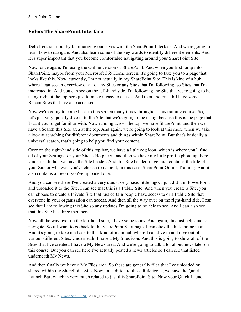### <span id="page-11-0"></span>**Video: The SharePoint Interface**

**Deb:** Let's start out by familiarizing ourselves with the SharePoint Interface. And we're going to learn how to navigate. And also learn some of the key words to identify different elements. And it is super important that you become comfortable navigating around your SharePoint Site.

Now, once again, I'm using the Online version of SharePoint. And when you first jump into SharePoint, maybe from your Microsoft 365 Home screen, it's going to take you to a page that looks like this. Now, currently, I'm not actually in my SharePoint Site. This is kind of a hub where I can see an overview of all of my Sites or any Sites that I'm following, so Sites that I'm interested in. And you can see on the left-hand side, I'm following the Site that we're going to be using right at the top here just to make it easy to access. And then underneath I have some Recent Sites that I've also accessed.

Now we're going to come back to this screen many times throughout this training course. So, let's just very quickly dive in to the Site that we're going to be using, because this is the page that I want you to get familiar with. Now running across the top, we have SharePoint, and then we have a Search this Site area at the top. And again, we're going to look at this more when we take a look at searching for different documents and things within SharePoint. But that's basically a universal search, that's going to help you find your content.

Over on the right-hand side of this top bar, we have a little cog icon, which is where you'll find all of your Settings for your Site, a Help icon, and then we have my little profile photo up there. Underneath that, we have the Site header. And this Site header, in general contains the title of your Site or whatever you've chosen to name it, in this case, SharePoint Online Training. And it also contains a logo if you've uploaded one.

And you can see there I've created a very quick, very basic little logo. I just did it in PowerPoint and uploaded it to the Site. I can see that this is a Public Site. And when you create a Site, you can choose to create a Private Site that just certain people have access to or a Public Site that everyone in your organization can access. And then all the way over on the right-hand side, I can see that I am following this Site so any updates I'm going to be able to see. And I can also see that this Site has three members.

Now all the way over on the left-hand side, I have some icons. And again, this just helps me to navigate. So if I want to go back to the SharePoint Start page, I can click the little home icon. And it's going to take me back to that kind of main hub where I can dive in and dive out of various different Sites. Underneath, I have a My Sites icon. And this is going to show all of the Sites that I've created, I have a My News area. And we're going to talk a lot about news later on this course. But you can see here I've actually posted a news articles so I can see that listed underneath My News.

And then finally we have a My Files area. So these are generally files that I've uploaded or shared within my SharePoint Site. Now, in addition to these little icons, we have the Quick Launch Bar, which is very much related to just this SharePoint Site. Now your Quick Launch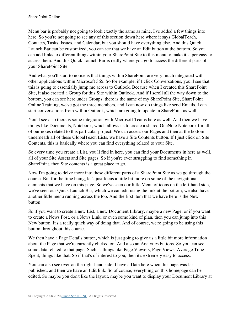Menu bar is probably not going to look exactly the same as mine. I've added a few things into here. So you're not going to see any of this section down here where it says GlobalTeach, Contacts, Tasks, Issues, and Calendar, but you should have everything else. And this Quick Launch Bar can be customized, you can see that we have an Edit button at the bottom. So you can add links to different things within your SharePoint Site to this menu to make it super easy to access them. And this Quick Launch Bar is really where you go to access the different parts of your SharePoint Site.

And what you'll start to notice is that things within SharePoint are very much integrated with other applications within Microsoft 365. So for example, if I click Conversations, you'll see that this is going to essentially jump me across to Outlook. Because when I created this SharePoint Site, it also created a Group for this Site within Outlook. And if I scroll all the way down to the bottom, you can see here under Groups, there is the name of my SharePoint Site, SharePoint Online Training, we've got the three members, and I can now do things like send Emails, I can start conversations from within Outlook, which are going to update in SharePoint as well.

You'll see also there is some integration with Microsoft Teams here as well. And then we have things like Documents, Notebook, which allows us to create a shared OneNote Notebook for all of our notes related to this particular project. We can access our Pages and then at the bottom underneath all of these GlobalTeach Lists, we have a Site Contents button. If I just click on Site Contents, this is basically where you can find everything related to your Site.

So every time you create a List, you'll find in here, you can find your Documents in here as well, all of your Site Assets and Site pages. So if you're ever struggling to find something in SharePoint, then Site contents is a great place to go.

Now I'm going to delve more into these different parts of a SharePoint Site as we go through the course. But for the time being, let's just focus a little bit more on some of the navigational elements that we have on this page. So we've seen our little Menu of icons on the left-hand side, we've seen our Quick Launch Bar, which we can edit using the link at the bottom, we also have another little menu running across the top. And the first item that we have here is the New button.

So if you want to create a new List, a new Document Library, maybe a new Page, or if you want to create a News Post, or a News Link, or even some kind of plan, then you can jump into this New button. It's a really quick way of doing that. And of course, we're going to be using this button throughout this course.

We then have a Page Details button, which is just going to give us a little bit more information about the Page that we're currently clicked on. And also an Analytics buttons. So you can see some data related to that page. Such as things like Page Viewers, Page Views, Average Time Spent, things like that. So if that's of interest to you, then it's extremely easy to access.

You can also see over on the right-hand side, I have a Date here when this page was last published, and then we have an Edit link. So of course, everything on this homepage can be edited. So maybe you don't like the layout, maybe you want to display your Document Library at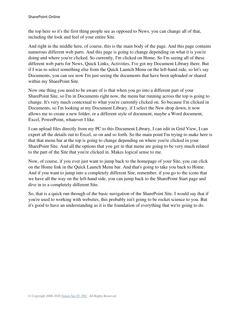the top here so it's the first thing people see as opposed to News, you can change all of that, including the look and feel of your entire Site.

And right in the middle here, of course, this is the main body of the page. And this page contains numerous different web parts. And this page is going to change depending on what it is you're doing and where you're clicked. So currently, I'm clicked on Home. So I'm seeing all of these different web parts for News, Quick Links, Activities, I've got my Document Library there. But if I was to select something else from the Quick Launch Menu on the left-hand side, so let's say Documents, you can see now I'm just seeing the documents that have been uploaded or shared within my SharePoint Site.

Now one thing you need to be aware of is that when you go into a different part of your SharePoint Site, so I'm in Documents right now, the menu bar running across the top is going to change. It's very much contextual to what you're currently clicked on. So because I'm clicked in Documents, so I'm looking at my Document Library, if I select the New drop down, it now allows me to create a new folder, or a different style of document, maybe a Word document, Excel, PowerPoint, whatever I like.

I can upload files directly from my PC to this Document Library, I can edit in Grid View, I can export all the details out to Excel, so on and so forth. So the main point I'm trying to make here is that that menu bar at the top is going to change depending on where you're clicked in your SharePoint Site. And all the options that you get in that menu are going to be very much related to the part of the Site that you're clicked in. Makes logical sense to me.

Now, of course, if you ever just want to jump back to the homepage of your Site, you can click on the Home link in the Quick Launch Menu bar. And that's going to take you back to Home. And if you want to jump into a completely different Site, remember, if you go to the icons that we have all the way on the left-hand side, you can jump back to the SharePoint Start page and dive in to a completely different Site.

So, that is a quick run through of the basic navigation of the SharePoint Site. I would say that if you're used to working with websites, this probably isn't going to be rocket science to you. But it's good to have an understanding as it is the foundation of everything that we're going to do.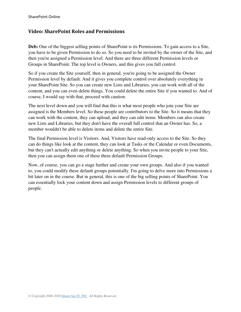#### <span id="page-14-0"></span>**Video: SharePoint Roles and Permissions**

**Deb:** One of the biggest selling points of SharePoint is its Permissions. To gain access to a Site, you have to be given Permission to do so. So you need to be invited by the owner of the Site, and then you're assigned a Permission level. And there are three different Permission levels or Groups in SharePoint. The top level is Owners, and this gives you full control.

So if you create the Site yourself, then in general, you're going to be assigned the Owner Permission level by default. And it gives you complete control over absolutely everything in your SharePoint Site. So you can create new Lists and Libraries, you can work with all of the content, and you can even delete things. You could delete the entire Site if you wanted to. And of course, I would say with that, proceed with caution.

The next level down and you will find that this is what most people who join your Site are assigned is the Members level. So these people are contributors to the Site. So it means that they can work with the content, they can upload, and they can edit items. Members can also create new Lists and Libraries, but they don't have the overall full control that an Owner has. So, a member wouldn't be able to delete items and delete the entire Site.

The final Permission level is Visitors. And, Visitors have read-only access to the Site. So they can do things like look at the content, they can look at Tasks or the Calendar or even Documents, but they can't actually edit anything or delete anything. So when you invite people to your Site, then you can assign them one of these three default Permission Groups.

Now, of course, you can go a stage further and create your own groups. And also if you wanted to, you could modify these default groups potentially. I'm going to delve more into Permissions a bit later on in the course. But in general, this is one of the big selling points of SharePoint. You can essentially lock your content down and assign Permission levels to different groups of people.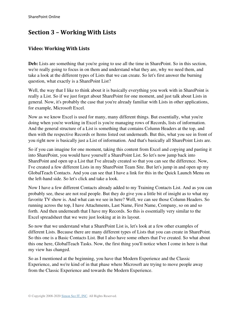# <span id="page-15-0"></span>**Section 3 – Working With Lists**

# <span id="page-15-1"></span>**Video: Working With Lists**

**Deb:** Lists are something that you're going to use all the time in SharePoint. So in this section, we're really going to focus in on them and understand what they are, why we need them, and take a look at the different types of Lists that we can create. So let's first answer the burning question, what exactly is a SharePoint List?

Well, the way that I like to think about it is basically everything you work with in SharePoint is really a List. So if we just forget about SharePoint for one moment, and just talk about Lists in general. Now, it's probably the case that you're already familiar with Lists in other applications, for example, Microsoft Excel.

Now as we know Excel is used for many, many different things. But essentially, what you're doing when you're working in Excel is you're managing rows of Records, lists of information. And the general structure of a List is something that contains Column Headers at the top, and then with the respective Records or Items listed out underneath. But this, what you see in front of you right now is basically just a List of information. And that's basically all SharePoint Lists are.

So if you can imagine for one moment, taking this content from Excel and copying and pasting it into SharePoint, you would have yourself a SharePoint List. So let's now jump back into SharePoint and open up a List that I've already created so that you can see the difference. Now, I've created a few different Lists in my SharePoint Team Site. But let's jump in and open up my GlobalTeach Contacts. And you can see that I have a link for this in the Quick Launch Menu on the left-hand side. So let's click and take a look.

Now I have a few different Contacts already added to my Training Contacts List. And as you can probably see, these are not real people. But they do give you a little bit of insight as to what my favorite TV show is. And what can we see in here? Well, we can see those Column Headers. So running across the top, I have Attachments, Last Name, First Name, Company, so on and so forth. And then underneath that I have my Records. So this is essentially very similar to the Excel spreadsheet that we were just looking at in its layout.

So now that we understand what a SharePoint List is, let's look at a few other examples of different Lists. Because there are many different types of Lists that you can create in SharePoint. So this one is a Basic Contacts List. But I also have some others that I've created. So what about this one here, GlobalTeach Tasks. Now, the first thing you'll notice when I come in here is that my view has changed.

So as I mentioned at the beginning, you have that Modern Experience and the Classic Experience, and we're kind of in that phase where Microsoft are trying to move people away from the Classic Experience and towards the Modern Experience.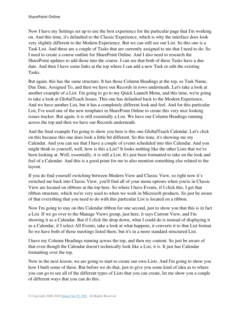Now I have my Settings set up to use the best experience for the particular page that I'm working on. And this time, it's defaulted to the Classic Experience, which is why the interface does look very slightly different to the Modern Experience. But we can still see our List. So this one is a Task List. And these are a couple of Tasks that are currently assigned to me that I need to do. So I need to create a course outline for SharePoint Online. And I also need to research the SharePoint updates to add those into the course. I can see that both of these Tasks have a due date. And then I have some links at the top where I can add a new Task or edit the existing Tasks.

But again, this has the same structure. It has those Column Headings at the top, so Task Name, Due Date, Assigned To, and then we have our Records in rows underneath. Let's take a look at another example of a List. I'm going to go to my Quick Launch Menu, and this time, we're going to take a look at GlobalTeach Issues. This one has defaulted back to the Modern Experience. And we have another List, but it has a completely different look and feel. And for this particular List, I've used one of the new templates in SharePoint Online to create this very nice looking issues tracker. But again, it is still essentially a List. We have our Column Headings running across the top and then we have our Records underneath.

And the final example I'm going to show you here is this one GlobalTeach Calendar. Let's click on this because this one does look a little bit different. So this time, it's showing me my Calendar. And you can see that I have a couple of events scheduled into this Calendar. And you might think to yourself, well, how is this a List? It looks nothing like the other Lists that we've been looking at. Well, essentially, it is still a List. It's just been formatted to take on the look and feel of a Calendar. And this is a good point for me to also mention something else related to the layout.

If you do find yourself switching between Modern View and Classic View, so right now it's switched me back into Classic View, you'll find all of your menu options when you're in Classic View are located on ribbons at the top here. So where I have Events, if I click this, I get that ribbon structure, which we're very used to when we work in Microsoft products. So just be aware of that everything that you need to do with this particular List is located on a ribbon.

Now I'm going to stay on this Calendar ribbon for one second, just to show you that this is in fact a List. If we go over to the Manage Views group, just here, it says Current View, and I'm showing it as a Calendar. But if I click the drop down, what I could do is instead of displaying it as a Calendar, if I select All Events, take a look at what happens, it converts it to that List format. So we have both of those meetings listed there, but it's in a more standard structured List.

I have my Column Headings running across the top, and then my content. So just be aware of that even though the Calendar doesn't technically look like a List, it is. It just has Calendar formatting over the top.

Now in the next lesson, we are going to start to create our own Lists. And I'm going to show you how I built some of these. But before we do that, just to give you some kind of idea as to where you can go to see all of the different types of Lists that you can create, let me show you a couple of different ways that you can do this.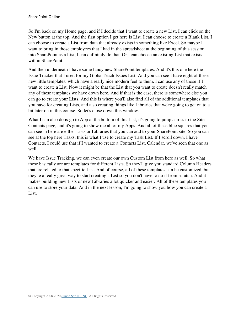So I'm back on my Home page, and if I decide that I want to create a new List, I can click on the New button at the top. And the first option I get here is List. I can choose to create a Blank List, I can choose to create a List from data that already exists in something like Excel. So maybe I want to bring in those employees that I had in the spreadsheet at the beginning of this session into SharePoint as a List, I can definitely do that. Or I can choose an existing List that exists within SharePoint.

And then underneath I have some fancy new SharePoint templates. And it's this one here the Issue Tracker that I used for my GlobalTeach Issues List. And you can see I have eight of these new little templates, which have a really nice modern feel to them. I can use any of those if I want to create a List. Now it might be that the List that you want to create doesn't really match any of these templates we have down here. And if that is the case, there is somewhere else you can go to create your Lists. And this is where you'll also find all of the additional templates that you have for creating Lists, and also creating things like Libraries that we're going to get on to a bit later on in this course. So let's close down this window.

What I can also do is go to App at the bottom of this List, it's going to jump across to the Site Contents page, and it's going to show me all of my Apps. And all of these blue squares that you can see in here are either Lists or Libraries that you can add to your SharePoint site. So you can see at the top here Tasks, this is what I use to create my Task List. If I scroll down, I have Contacts, I could use that if I wanted to create a Contacts List, Calendar, we've seen that one as well.

We have Issue Tracking, we can even create our own Custom List from here as well. So what these basically are are templates for different Lists. So they'll give you standard Column Headers that are related to that specific List. And of course, all of these templates can be customized, but they're a really great way to start creating a List so you don't have to do it from scratch. And it makes building new Lists or new Libraries a lot quicker and easier. All of these templates you can use to store your data. And in the next lesson, I'm going to show you how you can create a List.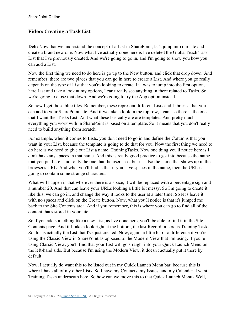# <span id="page-18-0"></span>**Video: Creating a Task List**

**Deb:** Now that we understand the concept of a List in SharePoint, let's jump into our site and create a brand new one. Now what I've actually done here is I've deleted the GlobalTeach Task List that I've previously created. And we're going to go in, and I'm going to show you how you can add a List.

Now the first thing we need to do here is go up to the New button, and click that drop down. And remember, there are two places that you can go in here to create a List. And where you go really depends on the type of List that you're looking to create. If I was to jump into the first option, here List and take a look at my options, I can't really see anything in there related to Tasks. So we're going to close that down. And we're going to try the App option instead.

So now I get those blue tiles. Remember, these represent different Lists and Libraries that you can add to your SharePoint site. And if we take a look in the top row, I can see there is the one that I want the, Tasks List. And what these basically are are templates. And pretty much everything you work with in SharePoint is based on a template. So it means that you don't really need to build anything from scratch.

For example, when it comes to Lists, you don't need to go in and define the Columns that you want in your List, because the template is going to do that for you. Now the first thing we need to do here is we need to give our List a name, TrainingTasks. Now one thing you'll notice here is I don't have any spaces in that name. And this is really good practice to get into because the name that you put here is not only the one that the user sees, but it's also the name that shows up in the browser's URL. And what you'll find is that if you have spaces in the name, then the URL is going to contain some strange characters.

What will happen is that wherever there is a space, it will be replaced with a percentage sign and a number 20. And that can leave your URLs looking a little bit messy. So I'm going to create it like this, we can go in, and change the way it looks to the user at a later time. So let's leave it with no spaces and click on the Create button. Now, what you'll notice is that it's jumped me back to the Site Contents area. And if you remember, this is where you can go to find all of the content that's stored in your site.

So if you add something like a new List, as I've done here, you'll be able to find it in the Site Contents page. And if I take a look right at the bottom, the last Record in here is Training Tasks. So this is actually the List that I've just created. Now, again, a little bit of a difference if you're using the Classic View in SharePoint as opposed to the Modern View that I'm using. If you're using Classic View, you'll find that your List will go straight into your Quick Launch Menu on the left-hand side. But because I'm using the Modern View, it doesn't actually put it there by default.

Now, I actually do want this to be listed out in my Quick Launch Menu bar, because this is where I have all of my other Lists. So I have my Contacts, my Issues, and my Calendar. I want Training Tasks underneath here. So how can we move this to that Quick Launch Menu? Well,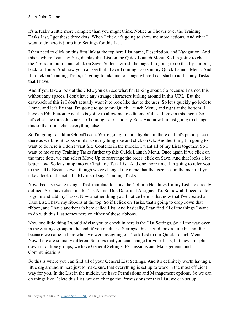it's actually a little more complex than you might think. Notice as I hover over the Training Tasks List, I get these three dots. When I click, it's going to show me more actions. And what I want to do here is jump into Settings for this List.

I then need to click on this first link at the top here List name, Description, and Navigation. And this is where I can say Yes, display this List on the Quick Launch Menu. So I'm going to check the Yes radio button and click on Save. So let's refresh the page. I'm going to do that by jumping back to Home. And now you can see that I have Training Tasks in my Quick Launch Menu. And if I click on Training Tasks, it's going to take me to a page where I can start to add in any Tasks that I have.

And if you take a look at the URL, you can see what I'm talking about. So because I named this without any spaces, I don't have any strange characters lurking around in this URL. But the drawback of this is I don't actually want it to look like that to the user. So let's quickly go back to Home, and let's fix that. I'm going to go to my Quick Launch Menu, and right at the bottom, I have an Edit button. And this is going to allow me to edit any of these Items in this menu. So let's click the three dots next to Training Tasks and say Edit. And now I'm just going to change this so that it matches everything else.

So I'm going to add in GlobalTeach. We're going to put a hyphen in there and let's put a space in there as well. So it looks similar to everything else and click on Ok. Another thing I'm going to want to do here is I don't want Site Contents in the middle. I want all of my Lists together. So I want to move my Training Tasks further up this Quick Launch Menu. Once again if we click on the three dots, we can select Move Up to rearrange the order, click on Save. And that looks a lot better now. So let's jump into our Training Task List. And one more time, I'm going to refer you to the URL. Because even though we've changed the name that the user sees in the menu, if you take a look at the actual URL, it still says Training Tasks.

Now, because we're using a Task template for this, the Column Headings for my List are already defined. So I have checkmark Task Name, Due Date, and Assigned To. So now all I need to do is go in and add my Tasks. Now another thing you'll notice here is that now that I've created a Task List, I have my ribbons at the top. So if I click on Tasks, that's going to drop down that ribbon, and I have another tab here called List. And basically, I can find all of the things I want to do with this List somewhere on either of these ribbons.

Now one little thing I would advise you to check in here is the List Settings. So all the way over in the Settings group on the end, if you click List Settings, this should look a little bit familiar because we came in here when we were assigning our Task List to our Quick Launch Menu. Now there are so many different Settings that you can change for your Lists, but they are split down into three groups, we have General Settings, Permissions and Management, and Communications.

So this is where you can find all of your General List Settings. And it's definitely worth having a little dig around in here just to make sure that everything is set up to work in the most efficient way for you. In the List in the middle, we have Permissions and Management options. So we can do things like Delete this List, we can change the Permissions for this List, we can set up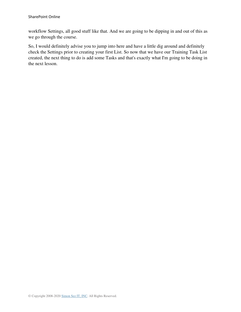workflow Settings, all good stuff like that. And we are going to be dipping in and out of this as we go through the course.

So, I would definitely advise you to jump into here and have a little dig around and definitely check the Settings prior to creating your first List. So now that we have our Training Task List created, the next thing to do is add some Tasks and that's exactly what I'm going to be doing in the next lesson.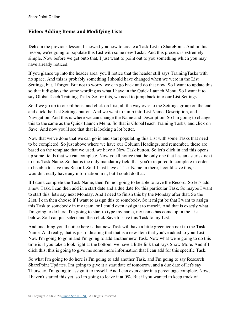## <span id="page-21-0"></span>**Video: Adding Items and Modifying Lists**

**Deb:** In the previous lesson, I showed you how to create a Task List in SharePoint. And in this lesson, we're going to populate this List with some new Tasks. And this process is extremely simple. Now before we get onto that, I just want to point out to you something which you may have already noticed.

If you glance up into the header area, you'll notice that the header still says TrainingTasks with no space. And this is probably something I should have changed when we were in the List Settings, but, I forgot. But not to worry, we can go back and do that now. So I want to update this so that it displays the same wording as what I have in the Quick Launch Menu. So I want it to say GlobalTeach Training Tasks. So for this, we need to jump back into our List Settings.

So if we go up to our ribbons, and click on List, all the way over to the Settings group on the end and click the List Settings button. And we want to jump into List Name, Description, and Navigation. And this is where we can change the Name and Description. So I'm going to change this to the same as the Quick Launch Menu. So that is GlobalTeach Training Tasks, and click on Save. And now you'll see that that is looking a lot better.

Now that we've done that we can go in and start populating this List with some Tasks that need to be completed. So just above where we have our Column Headings, and remember, these are based on the template that we used, we have a New Task button. So let's click in and this opens up some fields that we can complete. Now you'll notice that the only one that has an asterisk next to it is Task Name. So that is the only mandatory field that you're required to complete in order to be able to save this Record. So if I just have a Task Name in there, I could save this, it wouldn't really have any information in it, but I could do that.

If I don't complete the Task Name, then I'm not going to be able to save the Record. So let's add a new Task. I can then add in a start date and a due date for this particular Task. So maybe I want to start this, let's say next Monday. And I need to finish this by the Monday after that. So the 21st, I can then choose if I want to assign this to somebody. So it might be that I want to assign this Task to somebody in my team, or I could even assign it to myself. And that is exactly what I'm going to do here, I'm going to start to type my name, my name has come up in the List below. So I can just select and then click Save to save this Task to my List.

And one thing you'll notice here is that new Task will have a little green icon next to the Task Name. And really, that is just indicating that that is a new Item that you've added to your List. Now I'm going to go in and I'm going to add another new Task. Now what we're going to do this time is if you take a look right at the bottom, we have a little link that says Show More. And if I click this, this is going to give me some more information that I can add for this specific Task.

So what I'm going to do here is I'm going to add another Task, and I'm going to say Research SharePoint Updates. I'm going to give it a start date of tomorrow, and a due date of let's say Thursday, I'm going to assign it to myself. And I can even enter in a percentage complete. Now, I haven't started this yet, so I'm going to leave it at 0%. But if you wanted to keep track of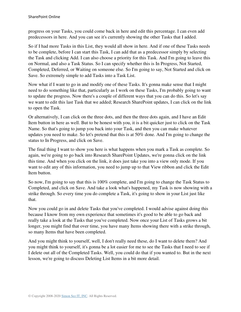progress on your Tasks, you could come back in here and edit this percentage. I can even add predecessors in here. And you can see it's currently showing the other Tasks that I added.

So if I had more Tasks in this List, they would all show in here. And if one of these Tasks needs to be complete, before I can start this Task, I can add that as a predecessor simply by selecting the Task and clicking Add. I can also choose a priority for this Task. And I'm going to leave this on Normal, and also a Task Status. So I can specify whether this is In Progress, Not Started, Completed, Deferred, or Waiting on someone else. So I'm going to say, Not Started and click on Save. So extremely simple to add Tasks into a Task List.

Now what if I want to go in and modify one of these Tasks. It's gonna make sense that I might need to do something like that, particularly as I work on these Tasks, I'm probably going to want to update the progress. Now there's a couple of different ways that you can do this. So let's say we want to edit this last Task that we added; Research SharePoint updates, I can click on the link to open the Task.

Or alternatively, I can click on the three dots, and then the three dots again, and I have an Edit Item button in here as well. But to be honest with you, it is a bit quicker just to click on the Task Name. So that's going to jump you back into your Task, and then you can make whatever updates you need to make. So let's pretend that this is at 50% done. And I'm going to change the status to In Progress, and click on Save.

The final thing I want to show you here is what happens when you mark a Task as complete. So again, we're going to go back into Research SharePoint Updates, we're gonna click on the link this time. And when you click on the link, it does just take you into a view only mode. If you want to edit any of this information, you need to jump up to that View ribbon and click the Edit Item button.

So now, I'm going to say that this is 100% complete, and I'm going to change the Task Status to Completed, and click on Save. And take a look what's happened, my Task is now showing with a strike through. So every time you do complete a Task, it's going to show in your List just like that.

Now you could go in and delete Tasks that you've completed. I would advise against doing this because I know from my own experience that sometimes it's good to be able to go back and really take a look at the Tasks that you've completed. Now once your List of Tasks grows a bit longer, you might find that over time, you have many Items showing there with a strike through, so many Items that have been completed.

And you might think to yourself, well, I don't really need these, do I want to delete them? And you might think to yourself, it's gonna be a lot easier for me to see the Tasks that I need to see if I delete out all of the Completed Tasks. Well, you could do that if you wanted to. But in the next lesson, we're going to discuss Deleting List Items in a bit more detail.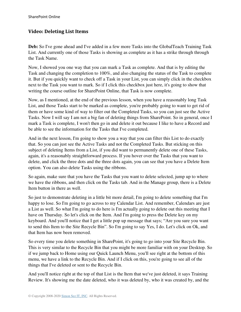# <span id="page-23-0"></span>**Video: Deleting List Items**

**Deb:** So I've gone ahead and I've added in a few more Tasks into the GlobalTeach Training Task List. And currently one of those Tasks is showing as complete as it has a strike through through the Task Name.

Now, I showed you one way that you can mark a Task as complete. And that is by editing the Task and changing the completion to 100%, and also changing the status of the Task to complete it. But if you quickly want to check off a Task in your List, you can simply click in the checkbox next to the Task you want to mark. So if I click this checkbox just here, it's going to show that writing the course outline for SharePoint Online, that Task is now complete.

Now, as I mentioned, at the end of the previous lesson, when you have a reasonably long Task List, and those Tasks start to be marked as complete, you're probably going to want to get rid of them or have some kind of way to filter out the Completed Tasks, so you can just see the Active Tasks. Now I will say I am not a big fan of deleting things from SharePoint. So in general, once I mark a Task is complete, I won't then go in and delete it out because I like to have a Record and be able to see the information for the Tasks that I've completed.

And in the next lesson, I'm going to show you a way that you can filter this List to do exactly that. So you can just see the Active Tasks and not the Completed Tasks. But sticking on this subject of deleting Items from a List, if you did want to permanently delete one of these Tasks, again, it's a reasonably straightforward process. If you hover over the Tasks that you want to delete, and click the three dots and the three dots again, you can see that you have a Delete Item option. You can also delete Tasks using the ribbons.

So again, make sure that you have the Tasks that you want to delete selected, jump up to where we have the ribbons, and then click on the Tasks tab. And in the Manage group, there is a Delete Item button in there as well.

So just to demonstrate deleting in a little bit more detail, I'm going to delete something that I'm happy to lose. So I'm going to go across to my Calendar List. And remember, Calendars are just a List as well. So what I'm going to do here is I'm actually going to delete out this meeting that I have on Thursday. So let's click on the Item. And I'm going to press the Delete key on my keyboard. And you'll notice that I get a little pop up message that says; "Are you sure you want to send this Item to the Site Recycle Bin". So I'm going to say Yes, I do. Let's click on Ok, and that Item has now been removed.

So every time you delete something in SharePoint, it's going to go into your Site Recycle Bin. This is very similar to the Recycle Bin that you might be more familiar with on your Desktop. So if we jump back to Home using our Quick Launch Menu, you'll see right at the bottom of this menu, we have a link to the Recycle Bin. And if I click on this, you're going to see all of the things that I've deleted or sent to the Recycle Bin.

And you'll notice right at the top of that List is the Item that we've just deleted, it says Training Review. It's showing me the date deleted, who it was deleted by, who it was created by, and the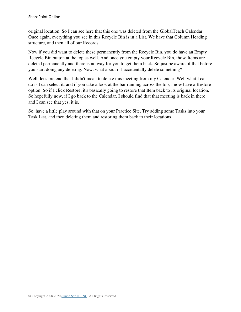original location. So I can see here that this one was deleted from the GlobalTeach Calendar. Once again, everything you see in this Recycle Bin is in a List. We have that Column Heading structure, and then all of our Records.

Now if you did want to delete these permanently from the Recycle Bin, you do have an Empty Recycle Bin button at the top as well. And once you empty your Recycle Bin, those Items are deleted permanently and there is no way for you to get them back. So just be aware of that before you start doing any deleting. Now, what about if I accidentally delete something?

Well, let's pretend that I didn't mean to delete this meeting from my Calendar. Well what I can do is I can select it, and if you take a look at the bar running across the top, I now have a Restore option. So if I click Restore, it's basically going to restore that Item back to its original location. So hopefully now, if I go back to the Calendar, I should find that that meeting is back in there and I can see that yes, it is.

So, have a little play around with that on your Practice Site. Try adding some Tasks into your Task List, and then deleting them and restoring them back to their locations.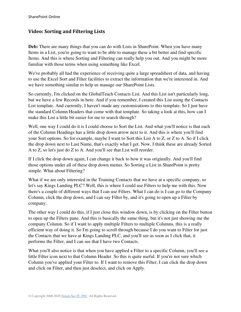## <span id="page-25-0"></span>**Video: Sorting and Filtering Lists**

**Deb:** There are many things that you can do with Lists in SharePoint. When you have many Items in a List, you're going to want to be able to manage these a bit better and find specific Items. And this is where Sorting and Filtering can really help you out. And you might be more familiar with those terms when using something like Excel.

We've probably all had the experience of receiving quite a large spreadsheet of data, and having to use the Excel Sort and Filter facilities to extract the information that we're interested in. And we have something similar to help us manage our SharePoint Lists.

So currently, I'm clicked on the GlobalTeach Contacts List. And this List isn't particularly long, but we have a few Records in here. And if you remember, I created this List using the Contacts List template. And currently, I haven't made any customizations to this template. So I just have the standard Column Headers that come with that template. So taking a look at this, how can I make this List a little bit easier for me to search through?

Well, one way I could do it is I could choose to Sort the List. And what you'll notice is that each of the Column Headings has a little drop down arrow next to it. And this is where you'll find your Sort options. So for example, maybe I want to Sort this List A to Z, or Z to A. So if I click the drop down next to Last Name, that's exactly what I get. Now, I think these are already Sorted A to Z, so let's just do Z to A. And you'll see that List will reorder.

If I click the drop down again, I can change it back to how it was originally. And you'll find those options under all of these drop down menus. So Sorting a List in SharePoint is pretty simple. What about Filtering?

What if we are only interested in the Training Contacts that we have at a specific company, so let's say Kings Landing PLC? Well, this is where I could use Filters to help me with this. Now there's a couple of different ways that I can use Filters. What I can do is I can go to the Company Column, click the drop down, and I can say Filter by, and it's going to open up a Filter by company.

The other way I could do this, if I just close this window down, is by clicking on the Filter button to open up the Filters pane. And this is basically the same thing, but it's not just showing me the company Column. So if I want to apply multiple Filters to multiple Columns, this is a really efficient way of doing it. So I'm going to scroll through because I do you want to Filter for just the Contacts that we have at Kings Landing PLC, and you'll see as soon as I click that, it performs the Filter, and I can see that I have two Contacts.

What you'll also notice is that when you have applied a Filter to a specific Column, you'll see a little Filter icon next to that Column Header. So this is quite useful. If you're not sure which Column you've applied your Filter to. If I want to remove this Filter, I can click the drop down and click on Filter, and then just deselect, and click on Apply.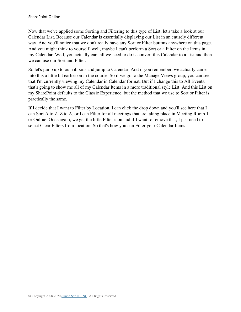Now that we've applied some Sorting and Filtering to this type of List, let's take a look at our Calendar List. Because our Calendar is essentially displaying our List in an entirely different way. And you'll notice that we don't really have any Sort or Filter buttons anywhere on this page. And you might think to yourself, well, maybe I can't perform a Sort or a Filter on the Items in my Calendar. Well, you actually can, all we need to do is convert this Calendar to a List and then we can use our Sort and Filter.

So let's jump up to our ribbons and jump to Calendar. And if you remember, we actually came into this a little bit earlier on in the course. So if we go to the Manage Views group, you can see that I'm currently viewing my Calendar in Calendar format. But if I change this to All Events, that's going to show me all of my Calendar Items in a more traditional style List. And this List on my SharePoint defaults to the Classic Experience, but the method that we use to Sort or Filter is practically the same.

If I decide that I want to Filter by Location, I can click the drop down and you'll see here that I can Sort A to Z, Z to A, or I can Filter for all meetings that are taking place in Meeting Room 1 or Online. Once again, we get the little Filter icon and if I want to remove that, I just need to select Clear Filters from location. So that's how you can Filter your Calendar Items.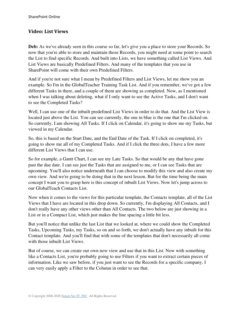#### <span id="page-27-0"></span>**Video: List Views**

**Deb:** As we've already seen in this course so far, let's give you a place to store your Records. So now that you're able to store and maintain those Records, you might need at some point to search the List to find specific Records. And built into Lists, we have something called List Views. And List Views are basically Predefined Filters. And many of the templates that you use in SharePoint will come with their own Predefined Filters.

And if you're not sure what I mean by Predefined Filters and List Views, let me show you an example. So I'm in the GlobalTeacher Training Task List. And if you remember, we've got a few different Tasks in there, and a couple of them are showing as completed. Now, as I mentioned when I was talking about deleting, what if I only want to see the Active Tasks, and I don't want to see the Completed Tasks?

Well, I can use one of the inbuilt predefined List Views in order to do that. And the List View is located just above the List. You can see currently, the one in blue is the one that I'm clicked on. So currently, I am showing All Tasks. If I click on Calendar, it's going to show me my Tasks, but viewed in my Calendar.

So, this is based on the Start Date, and the End Date of the Task. If I click on completed, it's going to show me all of my Completed Tasks. And if I click the three dots, I have a few more different List Views that I can use.

So for example, a Gantt Chart, I can see my Late Tasks. So that would be any that have gone past the due date. I can see just the Tasks that are assigned to me, or I can see Tasks that are upcoming. You'll also notice underneath that I can choose to modify this view and also create my own view. And we're going to be doing that in the next lesson. But for the time being the main concept I want you to grasp here is this concept of inbuilt List Views. Now let's jump across to our GlobalTeach Contacts List.

Now when it comes to the views for this particular template, the Contacts template, all of the List Views that I have are located in this drop down. So currently, I'm displaying All Contacts, and I don't really have any other views other than All Contacts. The two below are just showing in a List or in a Compact List, which just makes the line spacing a little bit less.

But you'll notice that unlike the last List that we looked at, where we could show the Completed Tasks, Upcoming Tasks, my Tasks, so on and so forth, we don't actually have any inbuilt for this Contact template. And you'll find that with some of the templates that don't necessarily all come with those inbuilt List Views.

But of course, we can create our own new view and use that in this List. Now with something like a Contacts List, you're probably going to use Filters if you want to extract certain pieces of information. Like we saw before, if you just want to see the Records for a specific company, I can very easily apply a Filter to the Column in order to see that.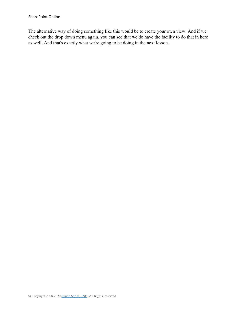The alternative way of doing something like this would be to create your own view. And if we check out the drop down menu again, you can see that we do have the facility to do that in here as well. And that's exactly what we're going to be doing in the next lesson.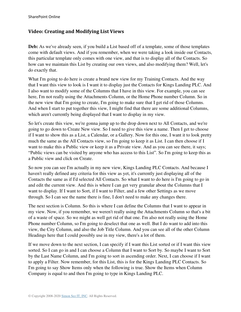## <span id="page-29-0"></span>**Video: Creating and Modifying List Views**

**Deb:** As we've already seen, if you build a List based off of a template, some of those templates come with default views. And if you remember, when we were taking a look inside our Contacts, this particular template only comes with one view, and that is to display all of the Contacts. So how can we maintain this List by creating our own views, and also modifying them? Well, let's do exactly that.

What I'm going to do here is create a brand new view for my Training Contacts. And the way that I want this view to look is I want it to display just the Contacts for Kings Landing PLC. And I also want to modify some of the Columns that I have in this view. For example, you can see here, I'm not really using the Attachments Column, or the Home Phone number Column. So in the new view that I'm going to create, I'm going to make sure that I get rid of those Columns. And when I start to put together this view, I might find that there are some additional Columns, which aren't currently being displayed that I want to display in my view.

So let's create this view, we're gonna jump up to the drop down next to All Contacts, and we're going to go down to Create New view. So I need to give this view a name. Then I get to choose if I want to show this as a List, a Calendar, or a Gallery. Now for this one, I want it to look pretty much the same as the All Contacts view, so I'm going to keep it as List. I can then choose if I want to make this a Public view or keep it as a Private view. And as you can see there, it says; "Public views can be visited by anyone who has access to this List". So I'm going to keep this as a Public view and click on Create.

So now you can see I'm actually in my new view, Kings Landing PLC Contacts. And because I haven't really defined any criteria for this view as yet, it's currently just displaying all of the Contacts the same as if I'd selected All Contacts. So what I want to do here is I'm going to go in and edit the current view. And this is where I can get very granular about the Columns that I want to display. If I want to Sort, if I want to Filter, and a few other Settings as we move through. So I can see the name there is fine, I don't need to make any changes there.

The next section is Column. So this is where I can define the Columns that I want to appear in my view. Now, if you remember, we weren't really using the Attachments Column so that's a bit of a waste of space. So we might as well get rid of that one. I'm also not really using the Home Phone number Column, so I'm going to deselect that one as well. But I do want to add into this view, the City Column, and also the Job Title Column. And you can see all of the other Column Headings here that I could possibly use in my view, there's a lot of them.

If we move down to the next section, I can specify if I want this List sorted or if I want this view sorted. So I can go in and I can choose a Column that I want to Sort by. So maybe I want to Sort by the Last Name Column, and I'm going to sort in ascending order. Next, I can choose if I want to apply a Filter. Now remember, for this List, this is for the Kings Landing PLC Contacts. So I'm going to say Show Items only when the following is true. Show the Items when Column Company is equal to and then I'm going to type in Kings Landing PLC.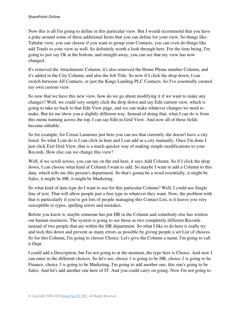Now this is all I'm going to define in this particular view. But I would recommend that you have a poke around some of these additional Items that you can define for your view. So things like Tabular view, you can choose if you want to group your Contacts, you can even do things like add Totals to your view as well. So definitely worth a look through here. For the time being, I'm going to just say Ok at the bottom, and straight away, you can see that my view has now changed.

It's removed the Attachments Column, it's also removed the Home Phone number Column, and it's added in the City Column, and also the Job Title. So now if I click the drop down, I can switch between All Contacts, or just the Kings Landing PLC Contacts. So I've essentially created my own custom view.

So now that we have this new view, how do we go about modifying it if we want to make any changes? Well, we could very simply click the drop down and say Edit current view, which is going to take us back to that Edit View page, and we can make whatever changes we need to make. But let me show you a slightly different way. Instead of doing that, what I can do is from this menu running across the top, I can say Edit in Grid View. And now all of these fields become editable.

So for example, for Cersai Lannister just here you can see that currently she doesn't have a city listed. So what I can do is I can click in here and I can add in a city manually. Once I'm done I just click Exit Grid View, that is a much quicker way of making simple modifications to your Records. How else can we change this view?

Well, if we scroll across, you can see on the end here, it says Add Column. So if I click the drop down, I can choose what kind of Column I want to add. So maybe I want to add a Column to this data, which tells me this person's department. So that's gonna be a word essentially, it might be Sales, it might be HR, it might be Marketing.

So what kind of data type do I want to use for this particular Column? Well, I could use Single line of text. That will allow people just a free type in whatever they want. Now, the problem with that is particularly if you've got lots of people managing this Contact List, is it leaves you very susceptible to typos, spelling errors and mistakes.

Before you know it, maybe someone has put HR in the Column and somebody else has written out human resources. The system is going to see those as two completely different Records instead of two people that are within the HR department. So what I like to do here is really try and lock this down and prevent as many errors as possible by giving people a set List of choices. So for this Column, I'm going to choose Choice. Let's give the Column a name, I'm going to call it Dept.

I could add a Description, but I'm not going to at the moment, the type here is Choice. And now I can enter in the different choices. So let's see, choice 1 is going to be HR, choice 2 is going to be Finance, choice 3 is going to be Marketing, I'm going to add another one, this one's going to be Sales. And let's add another one here of IT. And you could carry on going. Now I'm not going to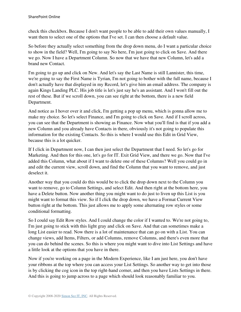check this checkbox. Because I don't want people to be able to add their own values manually, I want them to select one of the options that I've set. I can then choose a default value.

So before they actually select something from the drop down menu, do I want a particular choice to show in the field? Well, I'm going to say No here, I'm just going to click on Save. And there we go. Now I have a Department Column. So now that we have that new Column, let's add a brand new Contact.

I'm going to go up and click on New. And let's say the Last Name is still Lannister, this time, we're going to say the First Name is Tyrian, I'm not going to bother with the full name, because I don't actually have that displayed in my Record, let's give him an email address. The company is again Kings Landing PLC. His job title is let's just say he's an assistant. And I won't fill out the rest of these. But if we scroll down, you can see right at the bottom, there is a new field Department.

And notice as I hover over it and click, I'm getting a pop up menu, which is gonna allow me to make my choice. So let's select Finance, and I'm going to click on Save. And if I scroll across, you can see that the Department is showing as Finance. Now what you'll find is that if you add a new Column and you already have Contacts in there, obviously it's not going to populate this information for the existing Contacts. So this is where I would use this Edit in Grid View, because this is a lot quicker.

If I click in Department now, I can then just select the Department that I need. So let's go for Marketing. And then for this one, let's go for IT. Exit Grid View, and there we go. Now that I've added this Column, what about if I want to delete one of these Columns? Well you could go in and edit the current view, scroll down, and find the Column that you want to remove, and just deselect it.

Another way that you could do this would be to click the drop down next to the Column you want to remove, go to Column Settings, and select Edit. And then right at the bottom here, you have a Delete button. Now another thing you might want to do just to liven up this List is you might want to format this view. So if I click the drop down, we have a Format Current View button right at the bottom. This just allows me to apply some alternating row styles or some conditional formatting.

So I could say Edit Row styles. And I could change the color if I wanted to. We're not going to, I'm just going to stick with this light gray and click on Save. And that can sometimes make a long List easier to read. Now there is a lot of maintenance that can go on with a List. You can change views, add Items, Filters, or add Columns, remove Columns, and there's even more that you can do behind the scenes. So this is where you might want to dive into List Settings and have a little look at the options that you have in there.

Now if you're working on a page in the Modern Experience, like I am just here, you don't have your ribbons at the top where you can access your List Settings. So another way to get into those is by clicking the cog icon in the top right-hand corner, and then you have Lists Settings in there. And this is going to jump across to a page which should look reasonably familiar to you.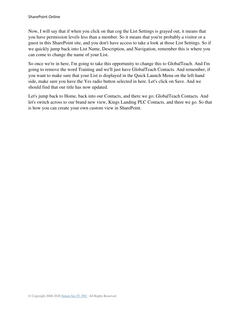Now, I will say that if when you click on that cog the List Settings is grayed out, it means that you have permission levels less than a member. So it means that you're probably a visitor or a guest in this SharePoint site, and you don't have access to take a look at those List Settings. So if we quickly jump back into List Name, Description, and Navigation, remember this is where you can come to change the name of your List.

So once we're in here, I'm going to take this opportunity to change this to GlobalTeach. And I'm going to remove the word Training and we'll just have GlobalTeach Contacts. And remember, if you want to make sure that your List is displayed in the Quick Launch Menu on the left-hand side, make sure you have the Yes radio button selected in here. Let's click on Save. And we should find that our title has now updated.

Let's jump back to Home, back into our Contacts, and there we go; GlobalTeach Contacts. And let's switch across to our brand new view, Kings Landing PLC Contacts, and there we go. So that is how you can create your own custom view in SharePoint.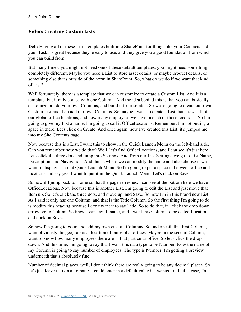## <span id="page-33-0"></span>**Video: Creating Custom Lists**

**Deb:** Having all of these Lists templates built into SharePoint for things like your Contacts and your Tasks is great because they're easy to use, and they give you a good foundation from which you can build from.

But many times, you might not need one of these default templates, you might need something completely different. Maybe you need a List to store asset details, or maybe product details, or something else that's outside of the norm in SharePoint. So, what do we do if we want that kind of List?

Well fortunately, there is a template that we can customize to create a Custom List. And it is a template, but it only comes with one Column. And the idea behind this is that you can basically customize or add your own Columns, and build it from scratch. So we're going to create our own Custom List and then add our own Columns. So maybe I want to create a List that shows all of our global office locations, and how many employees we have in each of those locations. So I'm going to give my List a name, I'm going to call it OfficeLocations. Remember, I'm not putting a space in there. Let's click on Create. And once again, now I've created this List, it's jumped me into my Site Contents page.

Now because this is a List, I want this to show in the Quick Launch Menu on the left-hand side. Can you remember how we do that? Well, let's find OfficeLocations, and I can see it's just here. Let's click the three dots and jump into Settings. And from our List Settings, we go to List Name, Description, and Navigation. And this is where we can modify the name and also choose if we want to display it in that Quick Launch Menu. So I'm going to put a space in between office and locations and say yes, I want to put it in the Quick Launch Menu. Let's click on Save.

So now if I jump back to Home so that the page refreshes, I can see at the bottom here we have OfficeLocations. Now because this is another List, I'm going to edit the List and just move that Item up. So let's click the three dots, and move up, and Save. So now I'm in this brand new List. As I said it only has one Column, and that is the Title Column. So the first thing I'm going to do is modify this heading because I don't want it to say Title. So to do that, if I click the drop down arrow, go to Column Settings, I can say Rename, and I want this Column to be called Location, and click on Save.

So now I'm going to go in and add my own custom Columns. So underneath this first Column, I want obviously the geographical location of our global offices. Maybe in the second Column, I want to know how many employees there are in that particular office. So let's click the drop down. And this time, I'm going to say that I want this data type to be Number. Now the name of my Column is going to say number of employees. The type is Number, I'm getting a preview underneath that's absolutely fine.

Number of decimal places, well, I don't think there are really going to be any decimal places. So let's just leave that on automatic. I could enter in a default value if I wanted to. In this case, I'm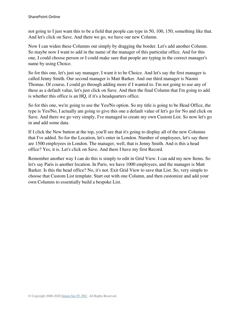not going to I just want this to be a field that people can type in 50, 100, 150, something like that. And let's click on Save. And there we go, we have our new Column.

Now I can widen these Columns out simply by dragging the border. Let's add another Column. So maybe now I want to add in the name of the manager of this particular office. And for this one, I could choose person or I could make sure that people are typing in the correct manager's name by using Choice.

So for this one, let's just say manager, I want it to be Choice. And let's say the first manager is called Jenny Smith. Our second manager is Matt Barker. And our third manager is Naomi Thomas. Of course, I could go through adding more if I wanted to. I'm not going to use any of these as a default value, let's just click on Save. And then the final Column that I'm going to add is whether this office is an HQ, if it's a headquarters office.

So for this one, we're going to use the Yes/No option. So my title is going to be Head Office, the type is Yes/No, I actually am going to give this one a default value of let's go for No and click on Save. And there we go very simply, I've managed to create my own Custom List. So now let's go in and add some data.

If I click the New button at the top, you'll see that it's going to display all of the new Columns that I've added. So for the Location, let's enter in London. Number of employees, let's say there are 1500 employees in London. The manager, well, that is Jenny Smith. And is this a head office? Yes, it is. Let's click on Save. And there I have my first Record.

Remember another way I can do this is simply to edit in Grid View. I can add my new Items. So let's say Paris is another location. In Paris, we have 1000 employees, and the manager is Matt Barker. Is this the head office? No, it's not. Exit Grid View to save that List. So, very simple to choose that Custom List template. Start out with one Column, and then customize and add your own Columns to essentially build a bespoke List.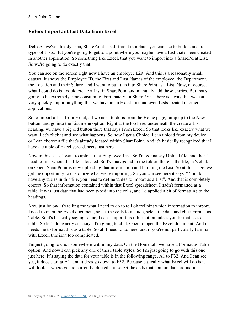## <span id="page-35-0"></span>**Video: Important List Data from Excel**

**Deb:** As we've already seen, SharePoint has different templates you can use to build standard types of Lists. But you're going to get to a point where you maybe have a List that's been created in another application. So something like Excel, that you want to import into a SharePoint List. So we're going to do exactly that.

You can see on the screen right now I have an employee List. And this is a reasonably small dataset. It shows the Employee ID, the First and Last Names of the employee, the Department, the Location and their Salary, and I want to pull this into SharePoint as a List. Now, of course, what I could do is I could create a List in SharePoint and manually add these entries. But that's going to be extremely time consuming. Fortunately, in SharePoint, there is a way that we can very quickly import anything that we have in an Excel List and even Lists located in other applications.

So to import a List from Excel, all we need to do is from the Home page, jump up to the New button, and go into the List menu option. Right at the top here, underneath the create a List heading, we have a big old button there that says From Excel. So that looks like exactly what we want. Let's click it and see what happens. So now I get a Choice, I can upload from my device, or I can choose a file that's already located within SharePoint. And it's basically recognized that I have a couple of Excel spreadsheets just here.

Now in this case, I want to upload that Employee List. So I'm gonna say Upload file, and then I need to find where this file is located. So I've navigated to the folder, there is the file, let's click on Open. SharePoint is now uploading that information and building the List. So at this stage, we get the opportunity to customize what we're importing. So you can see here it says, "You don't have any tables in this file, you need to define tables to import as a List". And that is completely correct. So that information contained within that Excel spreadsheet, I hadn't formatted as a table. It was just data that had been typed into the cells, and I'd applied a bit of formatting to the headings.

Now just below, it's telling me what I need to do to tell SharePoint which information to import. I need to open the Excel document, select the cells to include, select the data and click Format as Table. So it's basically saying to me, I can't import this information unless you format it as a table. So let's do exactly as it says, I'm going to click Open to open the Excel document. And it needs me to format this as a table. So all I need to do here, and if you're not particularly familiar with Excel, this isn't too complicated.

I'm just going to click somewhere within my data. On the Home tab, we have a Format as Table option. And now I can pick any one of these table styles. So I'm just going to go with this one just here. It's saying the data for your table is in the following range, A1 to F32. And I can see yes, it does start at A1, and it does go down to F32. Because basically what Excel will do is it will look at where you're currently clicked and select the cells that contain data around it.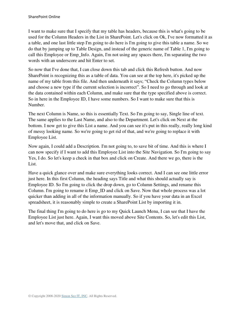I want to make sure that I specify that my table has headers, because this is what's going to be used for the Column Headers in the List in SharePoint. Let's click on Ok, I've now formatted it as a table, and one last little step I'm going to do here is I'm going to give this table a name. So we do that by jumping up to Table Design, and instead of the generic name of Table 1, I'm going to call this Employee or Emp\_Info. Again, I'm not using any spaces there, I'm separating the two words with an underscore and hit Enter to set.

So now that I've done that, I can close down this tab and click this Refresh button. And now SharePoint is recognizing this as a table of data. You can see at the top here, it's picked up the name of my table from this file. And then underneath it says; "Check the Column types below and choose a new type if the current selection is incorrect". So I need to go through and look at the data contained within each Column, and make sure that the type specified above is correct. So in here in the Employee ID, I have some numbers. So I want to make sure that this is Number.

The next Column is Name, so this is essentially Text. So I'm going to say, Single line of text. The same applies to the Last Name, and also to the Department. Let's click on Next at the bottom. I now get to give this List a name. And you can see it's put in this really, really long kind of messy looking name. So we're going to get rid of that, and we're going to replace it with Employee List.

Now again, I could add a Description. I'm not going to, to save bit of time. And this is where I can now specify if I want to add this Employee List into the Site Navigation. So I'm going to say Yes, I do. So let's keep a check in that box and click on Create. And there we go, there is the List.

Have a quick glance over and make sure everything looks correct. And I can see one little error just here. In this first Column, the heading says Title and what this should actually say is Employee ID. So I'm going to click the drop down, go to Column Settings, and rename this Column. I'm going to rename it Emp\_ID and click on Save. Now that whole process was a lot quicker than adding in all of the information manually. So if you have your data in an Excel spreadsheet, it is reasonably simple to create a SharePoint List by importing it in.

The final thing I'm going to do here is go to my Quick Launch Menu, I can see that I have the Employee List just here. Again, I want this moved above Site Contents. So, let's edit this List, and let's move that, and click on Save.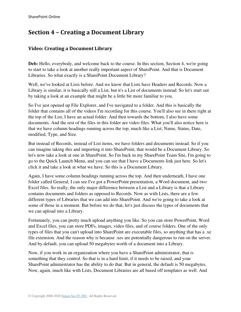# **Section 4 – Creating a Document Library**

## **Video: Creating a Document Library**

**Deb:** Hello, everybody, and welcome back to the course. In this section, Section 4, we're going to start to take a look at another really important aspect of SharePoint. And that is Document Libraries. So what exactly is a SharePoint Document Library?

Well, we've looked at Lists before. And we know that Lists have Headers and Records. Now a Library is similar, it is basically still a List, but it's a List of documents instead. So let's start out by taking a look at an example that might be a little bit more familiar to you.

So I've just opened up File Explorer, and I've navigated to a folder. And this is basically the folder that contains all of the videos I'm recording for this course. You'll also see in there right at the top of the List, I have an actual folder. And then towards the bottom, I also have some documents. And the rest of the files in this folder are video files. What you'll also notice here is that we have column headings running across the top, much like a List; Name, Status, Date, modified, Type, and Size.

But instead of Records, instead of List items, we have folders and documents instead. So if you can imagine taking this and importing it into SharePoint, that would be a Document Library. So let's now take a look at one in SharePoint. So I'm back in my SharePoint Team Site, I'm going to go to the Quick Launch Menu, and you can see that I have a Documents link just here. So let's click it and take a look at what we have. So this is a Document Library.

Again, I have some column headings running across the top. And then underneath, I have one folder called General, I can see I've got a PowerPoint presentation, a Word document, and two Excel files. So really, the only major difference between a List and a Library is that a Library contains documents and folders as opposed to Records. Now as with Lists, there are a few different types of Libraries that we can add into SharePoint. And we're going to take a look at some of those in a moment. But before we do that, let's just discuss the types of documents that we can upload into a Library.

Fortunately, you can pretty much upload anything you like. So you can store PowerPoint, Word and Excel files, you can store PDFs, images, video files, and of course folders. One of the only types of files that you can't upload into SharePoint are executable files, so anything that has a .xe file extension. And the reason why is because .xes are potentially dangerous to run on the server. And by default, you can upload 50 megabytes worth of a document into a Library.

Now, if you work in an organization where you have a SharePoint administrator, that is something that they control. So that is in a hard limit, if it needs to be raised, and your SharePoint administrator has the ability to do that. But in general, the default is 50 megabytes. Now, again, much like with Lists, Document Libraries are all based off templates as well. And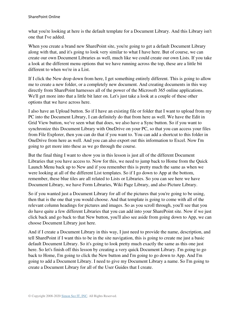what you're looking at here is the default template for a Document Library. And this Library isn't one that I've added.

When you create a brand new SharePoint site, you're going to get a default Document Library along with that, and it's going to look very similar to what I have here. But of course, we can create our own Document Libraries as well, much like we could create our own Lists. If you take a look at the different menu options that we have running across the top, these are a little bit different to when we're in a List.

If I click the New drop down from here, I get something entirely different. This is going to allow me to create a new folder, or a completely new document. And creating documents in this way directly from SharePoint harnesses all of the power of the Microsoft 365 online applications. We'll get more into that a little bit later on. Let's just take a look at a couple of these other options that we have across here.

I also have an Upload button. So if I have an existing file or folder that I want to upload from my PC into the Document Library, I can definitely do that from here as well. We have the Edit in Grid View button, we've seen what that does, we also have a Sync button. So if you want to synchronize this Document Library with OneDrive on your PC, so that you can access your files from File Explorer, then you can do that if you want to. You can add a shortcut to this folder in OneDrive from here as well. And you can also export out this information to Excel. Now I'm going to get more into these as we go through the course.

But the final thing I want to show you in this lesson is just all of the different Document Libraries that you have access to. Now for this, we need to jump back to Home from the Quick Launch Menu back up to New and if you remember this is pretty much the same as when we were looking at all of the different List templates. So if I go down to App at the bottom, remember, these blue tiles are all related to Lists or Libraries. So you can see here we have Document Library, we have Form Libraries, Wiki Page Library, and also Picture Library.

So if you wanted just a Document Library for all of the pictures that you're going to be using, then that is the one that you would choose. And that template is going to come with all of the relevant column headings for pictures and images. So as you scroll through, you'll see that you do have quite a few different Libraries that you can add into your SharePoint site. Now if we just click back and go back to that New button, you'll also see aside from going down to App, we can choose Document Library just here.

And if I create a Document Library in this way, I just need to provide the name, description, and tell SharePoint if I want this to be in the site navigation, this is going to create me just a basic default Document Library. So it's going to look pretty much exactly the same as this one just here. So let's finish off this lesson by creating a very quick Document Library. I'm going to go back to Home, I'm going to click the New button and I'm going to go down to App. And I'm going to add a Document Library. I need to give my Document Library a name. So I'm going to create a Document Library for all of the User Guides that I create.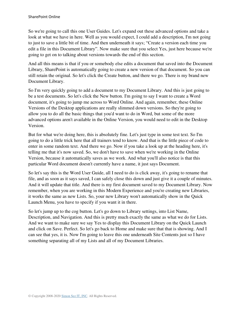So we're going to call this one User Guides. Let's expand out these advanced options and take a look at what we have in here. Well as you would expect, I could add a description, I'm not going to just to save a little bit of time. And then underneath it says; "Create a version each time you edit a file in this Document Library". Now make sure that you select Yes, just here because we're going to get on to talking about versions towards the end of this section.

And all this means is that if you or somebody else edits a document that saved into the Document Library, SharePoint is automatically going to create a new version of that document. So you can still retain the original. So let's click the Create button, and there we go. There is my brand new Document Library.

So I'm very quickly going to add a document to my Document Library. And this is just going to be a test documents. So let's click the New button. I'm going to say I want to create a Word document, it's going to jump me across to Word Online. And again, remember, these Online Versions of the Desktop applications are really slimmed down versions. So they're going to allow you to do all the basic things that you'd want to do in Word, but some of the more advanced options aren't available in the Online Version, you would need to edit in the Desktop Version.

But for what we're doing here, this is absolutely fine. Let's just type in some test text. So I'm going to do a little trick here that all trainers tend to know. And that is the little piece of code to enter in some random text. And there we go. Now if you take a look up at the heading here, it's telling me that it's now saved. So, we don't have to save when we're working in the Online Version, because it automatically saves as we work. And what you'll also notice is that this particular Word document doesn't currently have a name, it just says Document.

So let's say this is the Word User Guide, all I need to do is click away, it's going to rename that file, and as soon as it says saved, I can safely close this down and just give it a couple of minutes. And it will update that title. And there is my first document saved to my Document Library. Now remember, when you are working in this Modern Experience and you're creating new Libraries, it works the same as new Lists. So, your new Library won't automatically show in the Quick Launch Menu, you have to specify if you want it in there.

So let's jump up to the cog button. Let's go down to Library settings, into List Name, Description, and Navigation. And this is pretty much exactly the same as what we do for Lists. And we want to make sure we say Yes to display this Document Library on the Quick Launch and click on Save. Perfect. So let's go back to Home and make sure that that is showing. And I can see that yes, it is. Now I'm going to leave this one underneath Site Contents just so I have something separating all of my Lists and all of my Document Libraries.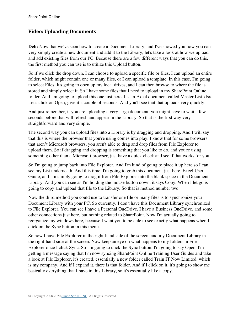## **Video: Uploading Documents**

**Deb:** Now that we've seen how to create a Document Library, and I've showed you how you can very simply create a new document and add it to the Library, let's take a look at how we upload and add existing files from our PC. Because there are a few different ways that you can do this, the first method you can use is to utilize this Upload button.

So if we click the drop down, I can choose to upload a specific file or files, I can upload an entire folder, which might contain one or many files, or I can upload a template. In this case, I'm going to select Files. It's going to open up my local drives, and I can then browse to where the file is stored and simply select it. So I have some files that I need to upload in my SharePoint Online folder. And I'm going to upload this one just here. It's an Excel document called Master List.xlsx. Let's click on Open, give it a couple of seconds. And you'll see that that uploads very quickly.

And just remember, if you are uploading a very large document, you might have to wait a few seconds before that will refresh and appear in the Library. So that is the first way very straightforward and very simple.

The second way you can upload files into a Library is by dragging and dropping. And I will say that this is where the browser that you're using comes into play. I know that for some browsers that aren't Microsoft browsers, you aren't able to drag and drop files from File Explorer to upload them. So if dragging and dropping is something that you like to do, and you're using something other than a Microsoft browser, just have a quick check and see if that works for you.

So I'm going to jump back into File Explorer. And I'm kind of going to place it up here so I can see my List underneath. And this time, I'm going to grab this document just here, Excel User Guide, and I'm simply going to drag it from File Explorer into the blank space in the Document Library. And you can see as I'm holding the mouse button down, it says Copy. When I let go is going to copy and upload that file to the Library. So that is method number two.

Now the third method you could use to transfer one file or many files is to synchronize your Document Library with your PC. So currently, I don't have this Document Library synchronized to File Explorer. You can see I have a Personal OneDrive, I have a Business OneDrive, and some other connections just here, but nothing related to SharePoint. Now I'm actually going to reorganize my windows here, because I want you to be able to see exactly what happens when I click on the Sync button in this menu.

So now I have File Explorer in the right-hand side of the screen, and my Document Library in the right-hand side of the screen. Now keep an eye on what happens to my folders in File Explorer once I click Sync. So I'm going to click the Sync button, I'm going to say Open. I'm getting a message saying that I'm now syncing SharePoint Online Training User Guides and take a look at File Explorer, it's created, essentially a new folder called Train IT Now Limited, which is my company. And if I expand it, there is that folder. And if I click on it, it's going to show me basically everything that I have in this Library, so it's essentially like a copy.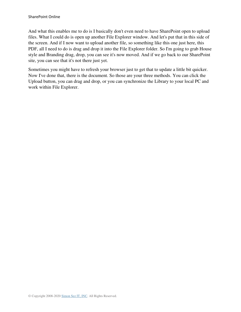And what this enables me to do is I basically don't even need to have SharePoint open to upload files. What I could do is open up another File Explorer window. And let's put that in this side of the screen. And if I now want to upload another file, so something like this one just here, this PDF, all I need to do is drag and drop it into the File Explorer folder. So I'm going to grab House style and Branding drag, drop, you can see it's now moved. And if we go back to our SharePoint site, you can see that it's not there just yet.

Sometimes you might have to refresh your browser just to get that to update a little bit quicker. Now I've done that, there is the document. So those are your three methods. You can click the Upload button, you can drag and drop, or you can synchronize the Library to your local PC and work within File Explorer.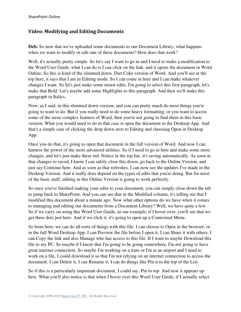#### **Video: Modifying and Editing Documents**

**Deb:** So now that we've uploaded some documents to our Document Library, what happens when we want to modify or edit one of these documents? How does that work?

Well, it's actually pretty simple. So let's say I want to go in and I need to make a modification to the Word User Guide, what I can do is I can click on the link, and it opens the document in Word Online. So this is kind of the slimmed down, Diet Coke version of Word. And you'll see at the top here, it says that I am in Editing mode. So I can come in here and I can make whatever changes I want. So let's just make some minor edits, I'm going to select this first paragraph, let's make that Bold. Let's maybe add some Highlights to this paragraph. And then we'll make this paragraph in Italics.

Now, as I said, in this slimmed down version, and you can pretty much do most things you're going to want to do. But if you really need to do some heavy formatting, or you want to access some of the more complex features of Word, then you're not going to find them in this basic version. What you would need to do in that case is open the document in the Desktop App. And that's a simple case of clicking the drop down next to Editing and choosing Open in Desktop App.

Once you do that, it's going to open that document in the full version of Word. And now I can harness the power of the more advanced utilities. So if I need to go in here and make some more changes, and let's just make these red. Notice in the top bar, it's saving automatically. As soon as that changes to saved, I know I can safely close this down, go back to the Online Version, and just say Continue here. And as soon as that refreshes, I can now see the updates I've made in the Desktop Version. And it really does depend on the types of edits that you're doing. But for most of the basic stuff, editing in this Online Version is going to work perfectly.

So once you've finished making your edits to your document, you can simply close down the tab to jump back to SharePoint. And you can see that in the Modified column, it's telling me that I modified this document about a minute ago. Now what other options do we have when it comes to managing and editing our documents from a Document Library? Well, we have quite a few. So if we carry on using this Word User Guide, as our example, if I hover over, you'll see that we get three dots just here. And if we click it, it's going to open up a Contextual Menu.

So from here, we can do all sorts of things with this file. I can choose to Open in the browser, or in the full Word Desktop App, I can Preview the file before I open it, I can Share it with others, I can Copy the link and also Manage who has access to this file. If I want to maybe Download this file to my PC. So maybe if I know that I'm going to be going somewhere, I'm not going to have great internet connection. So maybe I'm working on a train or I'm at an airport and I need to work on a file, I could download it so that I'm not relying on an internet connection to access the document. I can Delete it, I can Rename it, I can do things like Pin it to the top of the List.

So if this is a particularly important document, I could say, Pin to top. And now it appears up here. What you'll also notice is that when I hover over this Word User Guide, if I actually select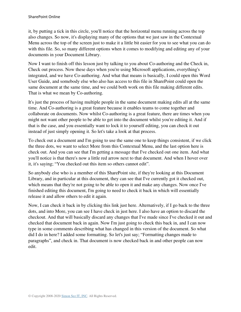it, by putting a tick in this circle, you'll notice that the horizontal menu running across the top also changes. So now, it's displaying many of the options that we just saw in the Contextual Menu across the top of the screen just to make it a little bit easier for you to see what you can do with this file. So, so many different options when it comes to modifying and editing any of your documents in your Document Library.

Now I want to finish off this lesson just by talking to you about Co-authoring and the Check in, Check out process. Now these days when you're using Microsoft applications, everything's integrated, and we have Co-authoring. And what that means is basically, I could open this Word User Guide, and somebody else who also has access to this file in SharePoint could open the same document at the same time, and we could both work on this file making different edits. That is what we mean by Co-authoring.

It's just the process of having multiple people in the same document making edits all at the same time. And Co-authoring is a great feature because it enables teams to come together and collaborate on documents. Now whilst Co-authoring is a great feature, there are times when you might not want other people to be able to get into the document whilst you're editing it. And if that is the case, and you essentially want to lock it to yourself editing, you can check it out instead of just simply opening it. So let's take a look at that process.

To check out a document and I'm going to use the same one to keep things consistent, if we click the three dots, we want to select More from this Contextual Menu, and the last option here is check out. And you can see that I'm getting a message that I've checked out one item. And what you'll notice is that there's now a little red arrow next to that document. And when I hover over it, it's saying; "You checked out this item so others cannot edit".

So anybody else who is a member of this SharePoint site, if they're looking at this Document Library, and in particular at this document, they can see that I've currently got it checked out, which means that they're not going to be able to open it and make any changes. Now once I've finished editing this document, I'm going to need to check it back in which will essentially release it and allow others to edit it again.

Now, I can check it back in by clicking this link just here. Alternatively, if I go back to the three dots, and into More, you can see I have check in just here. I also have an option to discard the checkout. And that will basically discard any changes that I've made since I've checked it out and checked that document back in again. Now I'm just going to check this back in, and I can now type in some comments describing what has changed in this version of the document. So what did I do in here? I added some formatting. So let's just say; "Formatting changes made to paragraphs", and check in. That document is now checked back in and other people can now edit.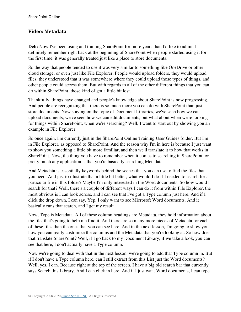#### **Video: Metadata**

**Deb:** Now I've been using and training SharePoint for more years than I'd like to admit. I definitely remember right back at the beginning of SharePoint when people started using it for the first time, it was generally treated just like a place to store documents.

So the way that people tended to use it was very similar to something like OneDrive or other cloud storage, or even just like File Explorer. People would upload folders, they would upload files, they understood that it was somewhere where they could upload those types of things, and other people could access them. But with regards to all of the other different things that you can do within SharePoint, those kind of got a little bit lost.

Thankfully, things have changed and people's knowledge about SharePoint is now progressing. And people are recognizing that there is so much more you can do with SharePoint than just store documents. Now staying on the topic of Document Libraries, we've seen how we can upload documents, we've seen how we can edit documents, but what about when we're looking for things within SharePoint, when we're searching? Well, I want to start out by showing you an example in File Explorer.

So once again, I'm currently just in the SharePoint Online Training User Guides folder. But I'm in File Explorer, as opposed to SharePoint. And the reason why I'm in here is because I just want to show you something a little bit more familiar, and then we'll translate it to how that works in SharePoint. Now, the thing you have to remember when it comes to searching in SharePoint, or pretty much any application is that you're basically searching Metadata.

And Metadata is essentially keywords behind the scenes that you can use to find the files that you need. And just to illustrate that a little bit better, what would I do if I needed to search for a particular file in this folder? Maybe I'm only interested in the Word documents. So how would I search for that? Well, there's a couple of different ways I can do it from within File Explorer, the most obvious is I can look across, and I can see that I've got a Type column just here. And if I click the drop down, I can say, Yep, I only want to see Microsoft Word documents. And it basically runs that search, and I get my result.

Now, Type is Metadata. All of these column headings are Metadata, they hold information about the file, that's going to help me find it. And there are so many more pieces of Metadata for each of these files than the ones that you can see here. And in the next lesson, I'm going to show you how you can really customize the columns and the Metadata that you're looking at. So how does that translate SharePoint? Well, if I go back to my Document Library, if we take a look, you can see that here, I don't actually have a Type column.

Now we're going to deal with that in the next lesson, we're going to add that Type column in. But if I don't have a Type column here, can I still extract from this List just the Word documents? Well, yes, I can. Because right at the top of the screen, I have a big old search bar that currently says Search this Library. And I can click in here. And if I just want Word documents, I can type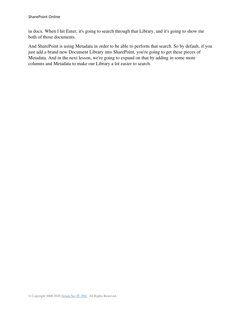in docx. When I hit Enter, it's going to search through that Library, and it's going to show me both of those documents.

And SharePoint is using Metadata in order to be able to perform that search. So by default, if you just add a brand new Document Library into SharePoint, you're going to get these pieces of Metadata. And in the next lesson, we're going to expand on that by adding in some more columns and Metadata to make our Library a lot easier to search.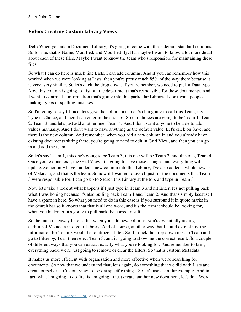## **Video: Creating Custom Library Views**

**Deb:** When you add a Document Library, it's going to come with these default standard columns. So for me, that is Name, Modified, and Modified By. But maybe I want to know a lot more detail about each of these files. Maybe I want to know the team who's responsible for maintaining these files.

So what I can do here is much like Lists, I can add columns. And if you can remember how this worked when we were looking at Lists, then you're pretty much 85% of the way there because it is very, very similar. So let's click the drop down. If you remember, we need to pick a Data type. Now this column is going to List out the department that's responsible for these documents. And I want to control the information that's going into this particular Library. I don't want people making typos or spelling mistakes.

So I'm going to say Choice, let's give the column a name. So I'm going to call this Team, my Type is Choice, and then I can enter in the choices. So our choices are going to be Team 1, Team 2, Team 3, and let's just add another one, Team 4. And I don't want anyone to be able to add values manually. And I don't want to have anything as the default value. Let's click on Save, and there is the new column. And remember, when you add a new column in and you already have existing documents sitting there, you're going to need to edit in Grid View, and then you can go in and add the team.

So let's say Team 1, this one's going to be Team 3, this one will be Team 2, and this one, Team 4. Once you're done, exit, the Grid View, it's going to save those changes, and everything will update. So not only have I added a new column into this Library, I've also added a whole new set of Metadata, and that is the team. So now if I wanted to search just for the documents that Team 3 were responsible for, I can go up to Search this Library at the top, and type in Team 3.

Now let's take a look at what happens if I just type in Team 3 and hit Enter. It's not pulling back what I was hoping because it's also pulling back Team 1 and Team 2. And that's simply because I have a space in here. So what you need to do in this case is if you surround it in quote marks in the Search bar so it knows that that is all one word, and it's the term it should be looking for, when you hit Enter, it's going to pull back the correct result.

So the main takeaway here is that when you add new columns, you're essentially adding additional Metadata into your Library. And of course, another way that I could extract just the information for Team 3 would be to utilize a filter. So if I click the drop down next to Team and go to Filter by, I can then select Team 3, and it's going to show me the correct result. So a couple of different ways that you can extract exactly what you're looking for. And remember to bring everything back, we're just going to remove or clear the filters. So that is custom Metadata.

It makes us more efficient with organization and more effective when we're searching for documents. So now that we understand that, let's again, do something that we did with Lists and create ourselves a Custom view to look at specific things. So let's use a similar example. And in fact, what I'm going to do first is I'm going to just create another new document, let's do a Word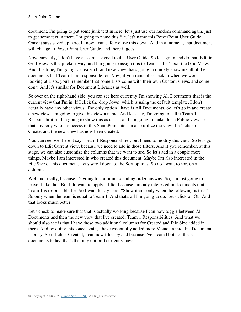document. I'm going to put some junk text in here, let's just use our random command again, just to get some text in there. I'm going to name this file, let's name this PowerPoint User Guide. Once it says saved up here, I know I can safely close this down. And in a moment, that document will change to PowerPoint User Guide, and there it goes.

Now currently, I don't have a Team assigned to this User Guide. So let's go in and do that. Edit in Grid View is the quickest way, and I'm going to assign this to Team 1. Let's exit the Grid View. And this time, I'm going to create a brand new view that's going to quickly show me all of the documents that Team 1 are responsible for. Now, if you remember back to when we were looking at Lists, you'll remember that some Lists come with their own Custom views, and some don't. And it's similar for Document Libraries as well.

So over on the right-hand side, you can see here currently I'm showing All Documents that is the current view that I'm in. If I click the drop down, which is using the default template, I don't actually have any other views. The only option I have is All Documents. So let's go in and create a new view. I'm going to give this view a name. And let's say, I'm going to call it Team 1 Responsibilities. I'm going to show this as a List, and I'm going to make this a Public view so that anybody who has access to this SharePoint site can also utilize the view. Let's click on Create, and the new view has now been created.

You can see over here it says Team 1 Responsibilities, but I need to modify this view. So let's go down to Edit Current view, because we need to add in those filters. And if you remember, at this stage, we can also customize the columns that we want to see. So let's add in a couple more things. Maybe I am interested in who created this document. Maybe I'm also interested in the File Size of this document. Let's scroll down to the Sort options. So do I want to sort on a column?

Well, not really, because it's going to sort it in ascending order anyway. So, I'm just going to leave it like that. But I do want to apply a filter because I'm only interested in documents that Team 1 is responsible for. So I want to say here; "Show items only when the following is true". So only when the team is equal to Team 1. And that's all I'm going to do. Let's click on Ok. And that looks much better.

Let's check to make sure that that is actually working because I can now toggle between All Documents and then the new view that I've created, Team 1 Responsibilities. And what we should also see is that I have those two additional columns for Created and File Size added in there. And by doing this, once again, I have essentially added more Metadata into this Document Library. So if I click Created, I can now filter by and because I've created both of these documents today, that's the only option I currently have.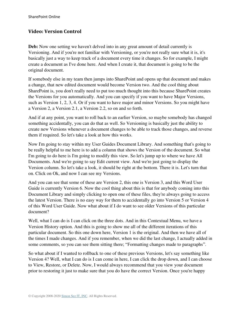### **Video: Version Control**

**Deb:** Now one setting we haven't delved into in any great amount of detail currently is Versioning. And if you're not familiar with Versioning, or you're not really sure what it is, it's basically just a way to keep track of a document every time it changes. So for example, I might create a document as I've done here. And when I create it, that document is going to be the original document.

If somebody else in my team then jumps into SharePoint and opens up that document and makes a change, that new edited document would become Version two. And the cool thing about SharePoint is, you don't really need to put too much thought into this because SharePoint creates the Versions for you automatically. And you can specify if you want to have Major Versions, such as Version 1, 2, 3, 4. Or if you want to have major and minor Versions. So you might have a Version 2, a Version 2.1, a Version 2.2, so on and so forth.

And if at any point, you want to roll back to an earlier Version, so maybe somebody has changed something accidentally, you can do that as well. So Versioning is basically just the ability to create new Versions whenever a document changes to be able to track those changes, and reverse them if required. So let's take a look at how this works.

Now I'm going to stay within my User Guides Document Library. And something that's going to be really helpful to me here is to add a column that shows the Version of the document. So what I'm going to do here is I'm going to modify this view. So let's jump up to where we have All Documents. And we're going to say Edit current view. And we're just going to display the Version column. So let's take a look, it should be right at the bottom. There it is. Let's turn that on. Click on Ok, and now I can see my Versions.

And you can see that some of these are Version 2, this one is Version 3, and this Word User Guide is currently Version 6. Now the cool thing about this is that for anybody coming into this Document Library and simply clicking to open one of these files, they're always going to access the latest Version. There is no easy way for them to accidentally go into Version 5 or Version 4 of this Word User Guide. Now what about if I do want to see older Versions of this particular document?

Well, what I can do is I can click on the three dots. And in this Contextual Menu, we have a Version History option. And this is going to show me all of the different iterations of this particular document. So this one down here, Version 1 is the original. And then we have all of the times I made changes. And if you remember, when we did the last change, I actually added in some comments, so you can see them sitting there; "Formatting changes made to paragraphs".

So what about if I wanted to rollback to one of these previous Versions, let's say something like Version 4? Well, what I can do is I can come in here, I can click the drop down, and I can choose to View, Restore, or Delete. Now, I would always recommend that you view your document prior to restoring it just to make sure that you do have the correct Version. Once you're happy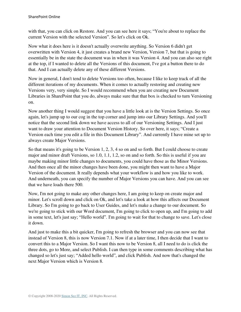with that, you can click on Restore. And you can see here it says; "You're about to replace the current Version with the selected Version". So let's click on Ok.

Now what it does here is it doesn't actually overwrite anything. So Version 6 didn't get overwritten with Version 4, it just creates a brand new Version, Version 7, but that is going to essentially be in the state the document was in when it was Version 4. And you can also see right at the top, if I wanted to delete all the Versions of this document, I've got a button there to do that. And I can actually delete any of these different Versions.

Now in general, I don't tend to delete Versions too often, because I like to keep track of all the different iterations of my documents. When it comes to actually restoring and creating new Versions very, very simple. So I would recommend when you are creating new Document Libraries in SharePoint that you do, always make sure that that box is checked to turn Versioning on.

Now another thing I would suggest that you have a little look at is the Version Settings. So once again, let's jump up to our cog in the top corner and jump into our Library Settings. And you'll notice that the second link down we have access to all of our Versioning Settings. And I just want to draw your attention to Document Version History. So over here, it says; "Create a Version each time you edit a file in this Document Library". And currently I have mine set up to always create Major Versions.

So that means it's going to be Version 1, 2, 3, 4 so on and so forth. But I could choose to create major and minor draft Versions, so 1.0, 1.1, 1.2, so on and so forth. So this is useful if you are maybe making minor little changes to documents, you could have those as the Minor Versions. And then once all the minor changes have been done, you might then want to have a Major Version of the document. It really depends what your workflow is and how you like to work. And underneath, you can specify the number of Major Versions you can have. And you can see that we have loads there 500.

Now, I'm not going to make any other changes here, I am going to keep on create major and minor. Let's scroll down and click on Ok, and let's take a look at how this affects our Document Library. So I'm going to go back to User Guides, and let's make a change to our document. So we're going to stick with our Word document, I'm going to click to open up, and I'm going to add in some text, let's just say; "Hello world". I'm going to wait for that to change to save. Let's close it down.

And just to make this a bit quicker, I'm going to refresh the browser and you can now see that instead of Version 8, this is now Version 7.1. Now if at a later time, I then decide that I want to convert this to a Major Version. So I want this now to be Version 8, all I need to do is click the three dots, go to More, and select Publish. I can then type in some comments describing what has changed so let's just say; "Added hello world", and click Publish. And now that's changed the next Major Version which is Version 8.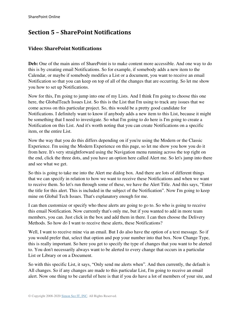# **Section 5 – SharePoint Notifications**

# **Video: SharePoint Notifications**

**Deb:** One of the main aims of SharePoint is to make content more accessible. And one way to do this is by creating email Notifications. So for example, if somebody adds a new item to the Calendar, or maybe if somebody modifies a List or a document, you want to receive an email Notification so that you can keep on top of all of the changes that are occurring. So let me show you how to set up Notifications.

Now for this, I'm going to jump into one of my Lists. And I think I'm going to choose this one here, the GlobalTeach Issues List. So this is the List that I'm using to track any issues that we come across on this particular project. So, this would be a pretty good candidate for Notifications. I definitely want to know if anybody adds a new item to this List, because it might be something that I need to investigate. So what I'm going to do here is I'm going to create a Notification on this List. And it's worth noting that you can create Notifications on a specific item, or the entire List.

Now the way that you do this differs depending on if you're using the Modern or the Classic Experience. I'm using the Modern Experience on this page, so let me show you how you do it from here. It's very straightforward using the Navigation menu running across the top right on the end, click the three dots, and you have an option here called Alert me. So let's jump into there and see what we get.

So this is going to take me into the Alert me dialog box. And there are lots of different things that we can specify in relation to how we want to receive these Notifications and when we want to receive them. So let's run through some of these, we have the Alert Title. And this says, "Enter the title for this alert. This is included in the subject of the Notification". Now I'm going to keep mine on Global Tech Issues. That's explanatory enough for me.

I can then customize or specify who these alerts are going to go to. So who is going to receive this email Notification. Now currently that's only me, but if you wanted to add in more team members, you can. Just click in the box and add them in there. I can then choose the Delivery Methods. So how do I want to receive these alerts, these Notifications?

Well, I want to receive mine via an email. But I do also have the option of a text message. So if you would prefer that, select that option and pop your number into that box. Now Change Type, this is really important. So here you get to specify the type of changes that you want to be alerted to. You don't necessarily always want to be alerted to every change that occurs in a particular List or Library or on a Document.

So with this specific List, it says, "Only send me alerts when". And then currently, the default is All changes. So if any changes are made to this particular List, I'm going to receive an email alert. Now one thing to be careful of here is that if you do have a lot of members of your site, and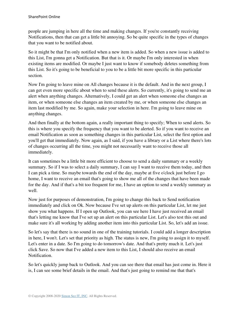people are jumping in here all the time and making changes. If you're constantly receiving Notifications, then that can get a little bit annoying. So be quite specific in the types of changes that you want to be notified about.

So it might be that I'm only notified when a new item is added. So when a new issue is added to this List, I'm gonna get a Notification. But that is it. Or maybe I'm only interested in when existing items are modified. Or maybe I just want to know if somebody deletes something from this List. So it's going to be beneficial to you to be a little bit more specific in this particular section.

Now I'm going to leave mine on All changes because it is the default. And in the next group, I can get even more specific about when to send these alerts. So currently, it's going to send me an alert when anything changes. Alternatively, I could get an alert when someone else changes an item, or when someone else changes an item created by me, or when someone else changes an item last modified by me. So again, make your selection in here. I'm going to leave mine on anything changes.

And then finally at the bottom again, a really important thing to specify; When to send alerts. So this is where you specify the frequency that you want to be alerted. So if you want to receive an email Notification as soon as something changes in this particular List, select the first option and you'll get that immediately. Now again, as I said, if you have a library or a List where there's lots of changes occurring all the time, you might not necessarily want to receive those all immediately.

It can sometimes be a little bit more efficient to choose to send a daily summary or a weekly summary. So if I was to select a daily summary, I can say I want to receive them today, and then I can pick a time. So maybe towards the end of the day, maybe at five o'clock just before I go home, I want to receive an email that's going to show me all of the changes that have been made for the day. And if that's a bit too frequent for me, I have an option to send a weekly summary as well.

Now just for purposes of demonstration, I'm going to change this back to Send notification immediately and click on Ok. Now because I've set up alerts on this particular List, let me just show you what happens. If I open up Outlook, you can see here I have just received an email that's letting me know that I've set up an alert on this particular List. Let's also test this out and make sure it's all working by adding another item into this particular List. So, let's add an issue.

So let's say that there is no sound in one of the training tutorials. I could add a longer description in here, I won't. Let's set that priority as high. The status is new, I'm going to assign it to myself. Let's enter in a date. So I'm going to do tomorrow's date. And that's pretty much it. Let's just click Save. So now that I've added a new item to this List, I should also receive an email Notification.

So let's quickly jump back to Outlook. And you can see there that email has just come in. Here it is, I can see some brief details in the email. And that's just going to remind me that that's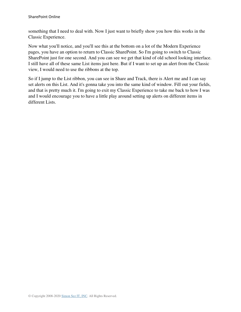something that I need to deal with. Now I just want to briefly show you how this works in the Classic Experience.

Now what you'll notice, and you'll see this at the bottom on a lot of the Modern Experience pages, you have an option to return to Classic SharePoint. So I'm going to switch to Classic SharePoint just for one second. And you can see we get that kind of old school looking interface. I still have all of these same List items just here. But if I want to set up an alert from the Classic view, I would need to use the ribbons at the top.

So if I jump to the List ribbon, you can see in Share and Track, there is Alert me and I can say set alerts on this List. And it's gonna take you into the same kind of window. Fill out your fields, and that is pretty much it. I'm going to exit my Classic Experience to take me back to how I was and I would encourage you to have a little play around setting up alerts on different items in different Lists.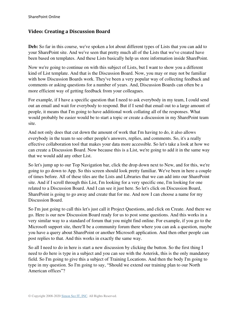### **Video: Creating a Discussion Board**

**Deb:** So far in this course, we've spoken a lot about different types of Lists that you can add to your SharePoint site. And we've seen that pretty much all of the Lists that we've created have been based on templates. And these Lists basically help us store information inside SharePoint.

Now we're going to continue on with this subject of Lists, but I want to show you a different kind of List template. And that is the Discussion Board. Now, you may or may not be familiar with how Discussion Boards work. They've been a very popular way of collecting feedback and comments or asking questions for a number of years. And, Discussion Boards can often be a more efficient way of getting feedback from your colleagues.

For example, if I have a specific question that I need to ask everybody in my team, I could send out an email and wait for everybody to respond. But if I send that email out to a large amount of people, it means that I'm going to have additional work collating all of the responses. What would probably be easier would be to start a topic or create a discussion in my SharePoint team site.

And not only does that cut down the amount of work that I'm having to do, it also allows everybody in the team to see other people's answers, replies, and comments. So, it's a really effective collaboration tool that makes your data more accessible. So let's take a look at how we can create a Discussion Board. Now because this is a List, we're going to add it in the same way that we would add any other List.

So let's jump up to our Top Navigation bar, click the drop down next to New, and for this, we're going to go down to App. So this screen should look pretty familiar. We've been in here a couple of times before. All of these tiles are the Lists and Libraries that we can add into our SharePoint site. And if I scroll through this List, I'm looking for a very specific one, I'm looking for one related to a Discussion Board. And I can see it just here. So let's click on Discussion Board, SharePoint is going to go away and create that for me. And now I can choose a name for my Discussion Board.

So I'm just going to call this let's just call it Project Questions, and click on Create. And there we go. Here is our new Discussion Board ready for us to post some questions. And this works in a very similar way to a standard of forum that you might find online. For example, if you go to the Microsoft support site, there'll be a community forum there where you can ask a question, maybe you have a query about SharePoint or another Microsoft application. And then other people can post replies to that. And this works in exactly the same way.

So all I need to do in here is start a new discussion by clicking the button. So the first thing I need to do here is type in a subject and you can see with the Asterisk, this is the only mandatory field. So I'm going to give this a subject of Training Locations. And then the body I'm going to type in my question. So I'm going to say, "Should we extend our training plan to our North American offices"?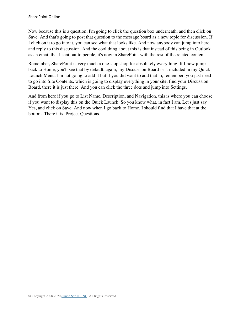Now because this is a question, I'm going to click the question box underneath, and then click on Save. And that's going to post that question to the message board as a new topic for discussion. If I click on it to go into it, you can see what that looks like. And now anybody can jump into here and reply to this discussion. And the cool thing about this is that instead of this being in Outlook as an email that I sent out to people, it's now in SharePoint with the rest of the related content.

Remember, SharePoint is very much a one-stop shop for absolutely everything. If I now jump back to Home, you'll see that by default, again, my Discussion Board isn't included in my Quick Launch Menu. I'm not going to add it but if you did want to add that in, remember, you just need to go into Site Contents, which is going to display everything in your site, find your Discussion Board, there it is just there. And you can click the three dots and jump into Settings.

And from here if you go to List Name, Description, and Navigation, this is where you can choose if you want to display this on the Quick Launch. So you know what, in fact I am. Let's just say Yes, and click on Save. And now when I go back to Home, I should find that I have that at the bottom. There it is, Project Questions.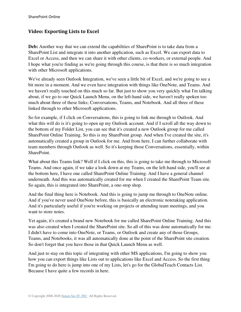### **Video: Exporting Lists to Excel**

**Deb:** Another way that we can extend the capabilities of SharePoint is to take data from a SharePoint List and integrate it into another application, such as Excel. We can export data to Excel or Access, and then we can share it with other clients, co-workers, or external people. And I hope what you're finding as we're going through this course, is that there is so much integration with other Microsoft applications.

We've already seen Outlook Integration, we've seen a little bit of Excel, and we're going to see a bit more in a moment. And we even have integration with things like OneNote, and Teams. And we haven't really touched on this much so far. But just to show you very quickly what I'm talking about, if we go to our Quick Launch Menu, on the left-hand side, we haven't really spoken too much about three of these links; Conversations, Teams, and Notebook. And all three of these linked through to other Microsoft applications.

So for example, if I click on Conversations, this is going to link me through to Outlook. And what this will do is it's going to open up my Outlook account. And if I scroll all the way down to the bottom of my Folder List, you can see that it's created a new Outlook group for me called SharePoint Online Training. So this is my SharePoint group. And when I've created the site, it's automatically created a group in Outlook for me. And from here, I can further collaborate with team members through Outlook as well. So it's keeping those Conversations, essentially, within SharePoint.

What about this Teams link? Well if I click on this, this is going to take me through to Microsoft Teams. And once again, if we take a look down at my Teams, on the left-hand side, you'll see at the bottom here, I have one called SharePoint Online Training. And I have a general channel underneath. And this was automatically created for me when I created the SharePoint Team site. So again, this is integrated into SharePoint, a one-stop shop.

And the final thing here is Notebook. And this is going to jump me through to OneNote online. And if you've never used OneNote before, this is basically an electronic notetaking application. And it's particularly useful if you're working on projects or attending team meetings, and you want to store notes.

Yet again, it's created a brand new Notebook for me called SharePoint Online Training. And this was also created when I created the SharePoint site. So all of this was done automatically for me. I didn't have to come into OneNote, or Teams, or Outlook and create any of those Groups, Teams, and Notebooks, it was all automatically done at the point of the SharePoint site creation. So don't forget that you have those in that Quick Launch Menu as well.

And just to stay on this topic of integrating with other MS applications, I'm going to show you how you can export things like Lists out to applications like Excel and Access. So the first thing I'm going to do here is jump into one of my Lists, let's go for the GlobalTeach Contacts List. Because I have quite a few records in here.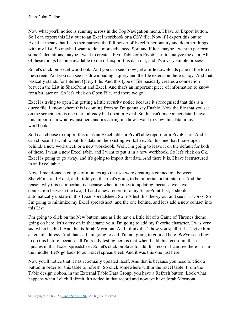Now what you'll notice is running across in the Top Navigation menu, I have an Export button. So I can export this List out to an Excel workbook or a CSV file. Now if I export this out to Excel, it means that I can then harness the full power of Excel functionality and do other things with my List. So maybe I want to do a more advanced Sort and Filter, maybe I want to perform some Calculations, maybe I want to create a PivotTable or a PivotChart to analyze the data. All of these things become available to me if I export this data out, and it's a very simple process.

So let's click on Excel workbook. And you can see I now get a little downloads pane in the top of the screen. And you can see it's downloading a query and the file extension there is .iqy. And that basically stands for Internet Query File. And this type of file basically creates a connection between the List in SharePoint and Excel. And that's an important piece of information to know for a bit later on. So let's click on Open File, and there we go.

Excel is trying to open I'm getting a little security notice because it's recognized that this is a query file. I know where this is coming from so I'm gonna say Enable. Now the file that you see on the screen here is one that I already had open in Excel. So this isn't my contact data. I have this import data window just here and it's asking me how I want to view this data in my workbook.

So I can choose to import this in as an Excel table, a PivotTable report, or a PivotChart. And I can choose if I want to put this data on the existing worksheet. So this one that I have open behind, a new worksheet, or a new workbook. Well, I'm going to leave it on the default for both of these, I want a new Excel table, and I want to put it in a new workbook. So let's click on Ok. Excel is going to go away, and it's going to import that data. And there it is, I have it structured in an Excel table.

Now, I mentioned a couple of minutes ago that we were creating a connection between SharePoint and Excel, and I told you that that's going to be important a bit later on. And the reason why this is important is because when it comes to updating, because we have a connection between the two, if I add a new record into my SharePoint List, it should automatically update in this Excel spreadsheet. So let's test this theory out and see if it works. So I'm going to minimize my Excel spreadsheet, and the one behind, and let's add a new contact into this List.

I'm going to click on the New button, and as I do have a little bit of a Game of Thrones theme going on here, let's carry on in that same vein. I'm going to add my favorite character, I was very sad when he died. And that is Jorah Mormont. And I think that's how you spell it. Let's give him an email address. And that's all I'm going to add. I'm not going to go mad here. We've seen how to do this before, because all I'm really testing here is that when I add this record in, that it updates in that Excel spreadsheet. So let's click on Save to add this record, I can see there it is in the middle. Let's go back to our Excel spreadsheet. And it was this one just here.

Now you'll notice that it hasn't actually updated itself. And that is because you need to click a button in order for this table to refresh. So click somewhere within the Excel table. From the Table design ribbon, in the External Table Data Group, you have a Refresh button. Look what happens when I click Refresh. It's added in that record and now we have Jorah Mormont.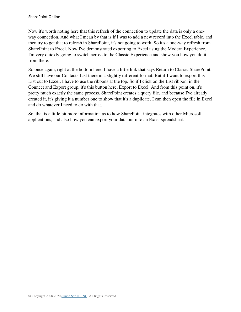Now it's worth noting here that this refresh of the connection to update the data is only a oneway connection. And what I mean by that is if I was to add a new record into the Excel table, and then try to get that to refresh in SharePoint, it's not going to work. So it's a one-way refresh from SharePoint to Excel. Now I've demonstrated exporting to Excel using the Modern Experience, I'm very quickly going to switch across to the Classic Experience and show you how you do it from there.

So once again, right at the bottom here, I have a little link that says Return to Classic SharePoint. We still have our Contacts List there in a slightly different format. But if I want to export this List out to Excel, I have to use the ribbons at the top. So if I click on the List ribbon, in the Connect and Export group, it's this button here, Export to Excel. And from this point on, it's pretty much exactly the same process. SharePoint creates a query file, and because I've already created it, it's giving it a number one to show that it's a duplicate. I can then open the file in Excel and do whatever I need to do with that.

So, that is a little bit more information as to how SharePoint integrates with other Microsoft applications, and also how you can export your data out into an Excel spreadsheet.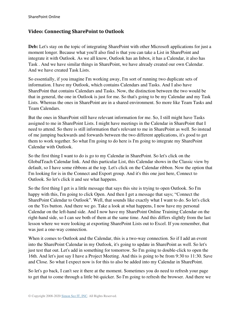### **Video: Connecting SharePoint to Outlook**

**Deb:** Let's stay on the topic of integrating SharePoint with other Microsoft applications for just a moment longer. Because what you'll also find is that you can take a List in SharePoint and integrate it with Outlook. As we all know, Outlook has an Inbox, it has a Calendar, it also has Task . And we have similar things in SharePoint, we have already created our own Calendar. And we have created Task Lists.

So essentially, if you imagine I'm working away, I'm sort of running two duplicate sets of information. I have my Outlook, which contains Calendars and Tasks. And I also have SharePoint that contains Calendars and Tasks. Now, the distinction between the two would be that in general, the one in Outlook is just for me. So that's going to be my Calendar and my Task Lists. Whereas the ones in SharePoint are in a shared environment. So more like Team Tasks and Team Calendars.

But the ones in SharePoint still have relevant information for me. So, I still might have Tasks assigned to me in SharePoint Lists. I might have meetings in the Calendar in SharePoint that I need to attend. So there is still information that's relevant to me in SharePoint as well. So instead of me jumping backwards and forwards between the two different applications, it's good to get them to work together. So what I'm going to do here is I'm going to integrate my SharePoint Calendar with Outlook.

So the first thing I want to do is go to my Calendar in SharePoint. So let's click on the GlobalTeach Calendar link. And this particular List, this Calendar shows in the Classic view by default, so I have some ribbons at the top. Let's click on the Calendar ribbon. Now the option that I'm looking for is in the Connect and Export group. And it's this one just here, Connect to Outlook. So let's click it and see what happens.

So the first thing I get is a little message that says this site is trying to open Outlook. So I'm happy with this, I'm going to click Open. And then I get a message that says; "Connect the SharePoint Calendar to Outlook". Well, that sounds like exactly what I want to do. So let's click on the Yes button. And there we go. Take a look at what happens, I now have my personal Calendar on the left-hand side. And I now have my SharePoint Online Training Calendar on the right-hand side, so I can see both of them at the same time. And this differs slightly from the last lesson where we were looking at exporting SharePoint Lists out to Excel. If you remember, that was just a one-way connection.

When it comes to Outlook and the Calendar, this is a two-way connection. So if I add an event into the SharePoint Calendar in my Outlook, it's going to update in SharePoint as well. So let's just test that out. Let's add in something for tomorrow. So I'm going to double-click to open the 16th. And let's just say I have a Project Meeting. And this is going to be from 9:30 to 11:30. Save and Close. So what I expect now is for this to also be added into my Calendar in SharePoint.

So let's go back, I can't see it there at the moment. Sometimes you do need to refresh your page to get that to come through a little bit quicker. So I'm going to refresh the browser. And there we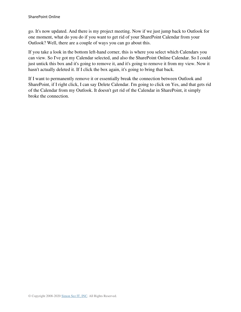go. It's now updated. And there is my project meeting. Now if we just jump back to Outlook for one moment, what do you do if you want to get rid of your SharePoint Calendar from your Outlook? Well, there are a couple of ways you can go about this.

If you take a look in the bottom left-hand corner, this is where you select which Calendars you can view. So I've got my Calendar selected, and also the SharePoint Online Calendar. So I could just untick this box and it's going to remove it, and it's going to remove it from my view. Now it hasn't actually deleted it. If I click the box again, it's going to bring that back.

If I want to permanently remove it or essentially break the connection between Outlook and SharePoint, if I right click, I can say Delete Calendar. I'm going to click on Yes, and that gets rid of the Calendar from my Outlook. It doesn't get rid of the Calendar in SharePoint, it simply broke the connection.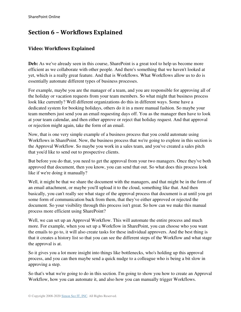# **Section 6 – Workflows Explained**

# **Video: Workflows Explained**

**Deb:** As we've already seen in this course, SharePoint is a great tool to help us become more efficient as we collaborate with other people. And there's something that we haven't looked at yet, which is a really great feature. And that is Workflows. What Workflows allow us to do is essentially automate different types of business processes.

For example, maybe you are the manager of a team, and you are responsible for approving all of the holiday or vacation requests from your team members. So what might that business process look like currently? Well different organizations do this in different ways. Some have a dedicated system for booking holidays, others do it in a more manual fashion. So maybe your team members just send you an email requesting days off. You as the manager then have to look at your team calendar, and then either approve or reject that holiday request. And that approval or rejection might again, take the form of an email.

Now, that is one very simple example of a business process that you could automate using Workflows in SharePoint. Now, the business process that we're going to explore in this section is the Approval Workflow. So maybe you work in a sales team, and you've created a sales pitch that you'd like to send out to prospective clients.

But before you do that, you need to get the approval from your two managers. Once they've both approved that document, then you know, you can send that out. So what does this process look like if we're doing it manually?

Well, it might be that we share the document with the managers, and that might be in the form of an email attachment, or maybe you'll upload it to the cloud, something like that. And then basically, you can't really see what stage of the approval process that document is at until you get some form of communication back from them, that they've either approved or rejected the document. So your visibility through this process isn't great. So how can we make this manual process more efficient using SharePoint?

Well, we can set up an Approval Workflow. This will automate the entire process and much more. For example, when you set up a Workflow in SharePoint, you can choose who you want the emails to go to, it will also create tasks for these individual approvers. And the best thing is that it creates a history list so that you can see the different steps of the Workflow and what stage the approval is at.

So it gives you a lot more insight into things like bottlenecks, who's holding up this approval process, and you can then maybe send a quick nudge to a colleague who is being a bit slow in approving a step.

So that's what we're going to do in this section. I'm going to show you how to create an Approval Workflow, how you can automate it, and also how you can manually trigger Workflows.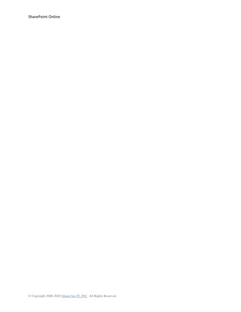SharePoint Online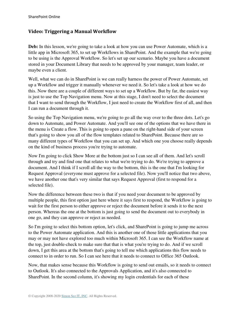#### **Video: Triggering a Manual Workflow**

**Deb:** In this lesson, we're going to take a look at how you can use Power Automate, which is a little app in Microsoft 365, to set up Workflows in SharePoint. And the example that we're going to be using is the Approval Workflow. So let's set up our scenario. Maybe you have a document stored in your Document Library that needs to be approved by your manager, team leader, or maybe even a client.

Well, what we can do in SharePoint is we can really harness the power of Power Automate, set up a Workflow and trigger it manually whenever we need it. So let's take a look at how we do this. Now there are a couple of different ways to set up a Workflow. But by far, the easiest way is just to use the Top Navigation menu. Now at this stage, I don't need to select the document that I want to send through the Workflow, I just need to create the Workflow first of all, and then I can run a document through it.

So using the Top Navigation menu, we're going to go all the way over to the three dots. Let's go down to Automate, and Power Automate. And you'll see one of the options that we have there in the menu is Create a flow. This is going to open a pane on the right-hand side of your screen that's going to show you all of the flow templates related to SharePoint. Because there are so many different types of Workflow that you can set up. And which one you choose really depends on the kind of business process you're trying to automate.

Now I'm going to click Show More at the bottom just so I can see all of them. And let's scroll through and try and find one that relates to what we're trying to do. We're trying to approve a document. And I think if I scroll all the way to the bottom, this is the one that I'm looking for Request Approval (everyone must approve for a selected file). Now you'll notice that two above, we have another one that's very similar that says Request Approval (first to respond for a selected file).

Now the difference between these two is that if you need your document to be approved by multiple people, this first option just here where it says first to respond, the Workflow is going to wait for the first person to either approve or reject the document before it sends it to the next person. Whereas the one at the bottom is just going to send the document out to everybody in one go, and they can approve or reject as needed.

So I'm going to select this bottom option, let's click, and SharePoint is going to jump me across to the Power Automate application. And this is another one of those little applications that you may or may not have explored too much within Microsoft 365. I can see the Workflow name at the top, just double-check to make sure that that is what you're trying to do. And if we scroll down, I get this area at the bottom that's going to tell me which applications this flow needs to connect to in order to run. So I can see here that it needs to connect to Office 365 Outlook.

Now, that makes sense because this Workflow is going to send out emails, so it needs to connect to Outlook. It's also connected to the Approvals Application, and it's also connected to SharePoint. In the second column, it's showing my login credentials for each of these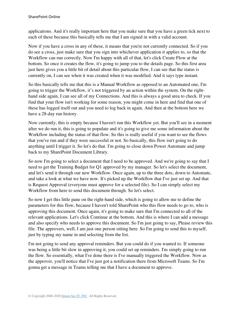applications. And it's really important here that you make sure that you have a green tick next to each of these because this basically tells me that I am signed in with a valid account.

Now if you have a cross in any of these, it means that you're not currently connected. So if you do see a cross, just make sure that you sign into whichever application it applies to, so that the Workflow can run correctly. Now I'm happy with all of that, let's click Create Flow at the bottom. So once it creates the flow, it's going to jump you to the details page. So this first area just here gives you a little bit of detail about this particular flow, I can see that the status is currently on, I can see when it was created when it was modified. And it says type instant.

So this basically tells me that this is a Manual Workflow as opposed to an Automated one, I'm going to trigger the Workflow, it's not triggered by an action within the system. On the righthand side again, I can see all of my Connections. And this is always a good area to check. If you find that your flow isn't working for some reason, you might come in here and find that one of these has logged itself out and you need to log back in again. And then at the bottom here we have a 28-day run history.

Now currently, this is empty because I haven't run this Workflow yet. But you'll see in a moment after we do run it, this is going to populate and it's going to give me some information about the Workflow including the status of that flow. So this is really useful if you want to see the flows that you've run and if they were successful or not. So basically, this flow isn't going to do anything until I trigger it. So let's do that. I'm going to close down Power Automate and jump back to my SharePoint Document Library.

So now I'm going to select a document that I need to be approved. And we're going to say that I need to get the Training Budget for Q1 approved by my manager. So let's select the document, and let's send it through our new Workflow. Once again, up to the three dots, down to Automate, and take a look at what we have now. It's picked up the Workflow that I've just set up. And that is Request Approval (everyone must approve for a selected file). So I can simply select my Workflow from here to send this document through. So let's select.

So now I get this little pane on the right-hand side, which is going to allow me to define the parameters for this flow, because I haven't told SharePoint who this flow needs to go to, who is approving this document. Once again, it's going to make sure that I'm connected to all of the relevant applications. Let's click Continue at the bottom. And this is where I can add a message and also specify who needs to approve this document. So I'm just going to say, Please review this file. The approvers, well, I am just one person sitting here. So I'm going to send this to myself, just by typing my name in and selecting from the list.

I'm not going to send any approval reminders. But you could do if you wanted to. If someone was being a little bit slow in approving it, you could set up reminders. I'm simply going to run the flow. So essentially, what I've done there is I've manually triggered the Workflow. Now as the approver, you'll notice that I've just got a notification there from Microsoft Teams. So I'm gonna get a message in Teams telling me that I have a document to approve.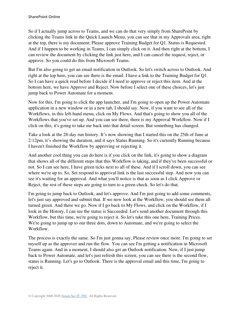So if I actually jump across to Teams, and we can do that very simply from SharePoint by clicking the Teams link in the Quick Launch Menu, you can see that in my Approvals area, right at the top, there is my document; Please approve Training Budget for Q1. Status is Requested. And if I happen to be working in Teams, I can simply click on it. And then right at the bottom, I can review the document by clicking the link just here, and I can cancel the request, reject, or approve. So you could do this from Microsoft Teams.

But I'm also going to get an email notification in Outlook. So let's switch across to Outlook. And right at the top here, you can see there is the email. I have a link to the Training Budget for Q1. So I can have a quick read before I decide if I need to approve or reject this item. And at the bottom here, we have Approve and Reject. Now before I select one of these choices, let's just jump back to Power Automate for a moment.

Now for this, I'm going to click the app launcher, and I'm going to open up the Power Automate application in a new window or in a new tab, I should say. Now, if you want to see all of the Workflows, in this left-hand menu, click on My Flows. And that's going to show you all of the Workflows that you've set up. And you can see there, there is my Approval Workflow. Now if I click on this, it's going to take me back into that detail screen. But something has changed.

Take a look at the 28-day run history. It's now showing that I started this on the 25th of June at 2:12pm, it's showing the duration, and it says Status Running. So it's currently Running because I haven't finished the Workflow by approving or rejecting it.

And another cool thing you can do here is if you click on the link, it's going to show a diagram that shows all of the different steps that this Workflow is taking, and if they've been successful or not. So I can see here, I have green ticks next to all of these. And if I scroll down, you can see where we're up to. So, Set respond to approval link is the last successful step. And now you can see it's waiting for an approval. And what you'll notice is that as soon as I click Approve or Reject, the rest of these steps are going to turn to a green check. So let's do that.

I'm going to jump back to Outlook, and let's approve. And I'm just going to add some comments, let's just say approved and submit that. If we now look at the Workflow, you should see them all turned green. And there we go. Now if I go back to My Flows, and click on the Workflow, if I look in the History, I can see the status is Succeeded. Let's send another document through this Workflow, but this time, we're going to reject it. So let's take this one here, Training Prices. We're going to jump up to our three dots, down to Automate, and we're going to select the Workflow.

The process is exactly the same. So I'm just gonna say, Please review once more. I'm going to set myself up as the approver and run the flow. You can see I'm getting a notification in Microsoft Teams again. And in a moment, I should also get an Outlook notification. Now, if I just jump back to Power Automate, and let's just refresh this screen, you can see there is the second flow, status is Running. Let's go to Outlook. There is the approval email and this time, I'm going to reject it.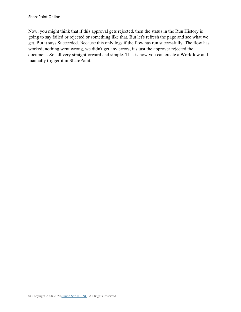Now, you might think that if this approval gets rejected, then the status in the Run History is going to say failed or rejected or something like that. But let's refresh the page and see what we get. But it says Succeeded. Because this only logs if the flow has run successfully. The flow has worked, nothing went wrong, we didn't get any errors, it's just the approver rejected the document. So, all very straightforward and simple. That is how you can create a Workflow and manually trigger it in SharePoint.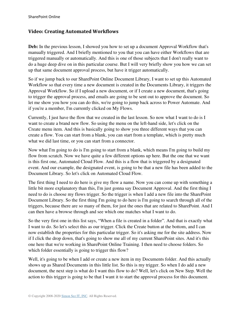#### **Video: Creating Automated Workflows**

**Deb:** In the previous lesson, I showed you how to set up a document Approval Workflow that's manually triggered. And I briefly mentioned to you that you can have either Workflows that are triggered manually or automatically. And this is one of those subjects that I don't really want to do a huge deep dive on in this particular course. But I will very briefly show you how we can set up that same document approval process, but have it trigger automatically.

So if we jump back to our SharePoint Online Document Library, I want to set up this Automated Workflow so that every time a new document is created in the Documents Library, it triggers the Approval Workflow. So if I upload a new document, or if I create a new document, that's going to trigger the approval process, and emails are going to be sent out to approve the document. So let me show you how you can do this, we're going to jump back across to Power Automate. And if you're a member, I'm currently clicked on My Flows.

Currently, I just have the flow that we created in the last lesson. So now what I want to do is I want to create a brand new flow. So using the menu on the left-hand side, let's click on the Create menu item. And this is basically going to show you three different ways that you can create a flow. You can start from a blank, you can start from a template, which is pretty much what we did last time, or you can start from a connector.

Now what I'm going to do is I'm going to start from a blank, which means I'm going to build my flow from scratch. Now we have quite a few different options up here. But the one that we want is this first one, Automated Cloud Flow. And this is a flow that is triggered by a designated event. And our example, the designated event, is going to be that a new file has been added to the Document Library. So let's click on Automated Cloud Flow.

The first thing I need to do here is give my flow a name. Now you can come up with something a little bit more explanatory than this, I'm just gonna say Document Approval. And the first thing I need to do is choose my flows trigger. So the trigger is when I add a new file into the SharePoint Document Library. So the first thing I'm going to do here is I'm going to search through all of the triggers, because there are so many of them, for just the ones that are related to SharePoint. And I can then have a browse through and see which one matches what I want to do.

So the very first one in this list says, "When a file is created in a folder". And that is exactly what I want to do. So let's select this as our trigger. Click the Create button at the bottom, and I can now establish the properties for this particular trigger. So it's asking me for the site address. Now if I click the drop down, that's going to show me all of my current SharePoint sites. And it's this one here that we're working in SharePoint Online Training. I then need to choose folders. So which folder essentially is going to trigger this flow?

Well, it's going to be when I add or create a new item in my Documents folder. And this actually shows up as Shared Documents in this little list. So this is my trigger. So when I do add a new document, the next step is what do I want this flow to do? Well, let's click on New Step. Well the action to this trigger is going to be that I want it to start the approval process for this document.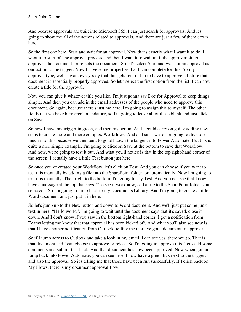And because approvals are built into Microsoft 365, I can just search for approvals. And it's going to show me all of the actions related to approvals. And there are just a few of them down here.

So the first one here, Start and wait for an approval. Now that's exactly what I want it to do. I want it to start off the approval process, and then I want it to wait until the approver either approves the document, or rejects the document. So let's select Start and wait for an approval as our action to the trigger. Now I have some properties that I can complete for this. So my approval type, well, I want everybody that this gets sent out to to have to approve it before that document is essentially properly approved. So let's select the first option from the list. I can now create a title for the approval.

Now you can give it whatever title you like, I'm just gonna say Doc for Approval to keep things simple. And then you can add in the email addresses of the people who need to approve this document. So again, because there's just me here, I'm going to assign this to myself. The other fields that we have here aren't mandatory, so I'm going to leave all of these blank and just click on Save.

So now I have my trigger in green, and then my action. And I could carry on going adding new steps to create more and more complex Workflows. And as I said, we're not going to dive too much into this because we then tend to go off down the tangent into Power Automate. But this is quite a nice simple example. I'm going to click on Save at the bottom to save that Workflow. And now, we're going to test it out. And what you'll notice is that in the top right-hand corner of the screen, I actually have a little Test button just here.

So once you've created your Workflow, let's click on Test. And you can choose if you want to test this manually by adding a file into the SharePoint folder, or automatically. Now I'm going to test this manually. Then right to the bottom, I'm going to say Test. And you can see that I now have a message at the top that says, "To see it work now, add a file to the SharePoint folder you selected". So I'm going to jump back to my Documents Library. And I'm going to create a little Word document and just put it in here.

So let's jump up to the New button and down to Word document. And we'll just put some junk text in here, "Hello world". I'm going to wait until the document says that it's saved, close it down. And I don't know if you saw in the bottom right-hand corner, I got a notification from Teams letting me know that that approval has been kicked off. And what you'll also see now is that I have another notification from Outlook, telling me that I've got a document to approve.

So if I jump across to Outlook and take a look in my email, I can see yes, there we go. That is that document and I can choose to approve or reject. So I'm going to approve this. Let's add some comments and submit that back. And that document has now been approved. Now when gonna jump back into Power Automate, you can see here, I now have a green tick next to the trigger, and also the approval. So it's telling me that those have been run successfully. If I click back on My Flows, there is my document approval flow.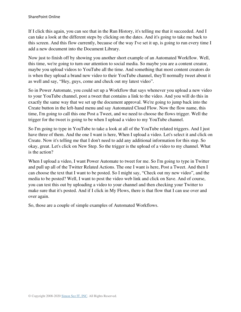If I click this again, you can see that in the Run History, it's telling me that it succeeded. And I can take a look at the different steps by clicking on the dates. And it's going to take me back to this screen. And this flow currently, because of the way I've set it up, is going to run every time I add a new document into the Document Library.

Now just to finish off by showing you another short example of an Automated Workflow. Well, this time, we're going to turn our attention to social media. So maybe you are a content creator, maybe you upload videos to YouTube all the time. And something that most content creators do is when they upload a brand new video to their YouTube channel, they'll normally tweet about it as well and say, "Hey, guys, come and check out my latest video".

So in Power Automate, you could set up a Workflow that says whenever you upload a new video to your YouTube channel, post a tweet that contains a link to the video. And you will do this in exactly the same way that we set up the document approval. We're going to jump back into the Create button in the left-hand menu and say Automated Cloud Flow. Now the flow name, this time, I'm going to call this one Post a Tweet, and we need to choose the flows trigger. Well the trigger for the tweet is going to be when I upload a video to my YouTube channel.

So I'm going to type in YouTube to take a look at all of the YouTube related triggers. And I just have three of them. And the one I want is here, When I upload a video. Let's select it and click on Create. Now it's telling me that I don't need to add any additional information for this step. So okay, great. Let's click on New Step. So the trigger is the upload of a video to my channel. What is the action?

When I upload a video, I want Power Automate to tweet for me. So I'm going to type in Twitter and pull up all of the Twitter Related Actions. The one I want is here, Post a Tweet. And then I can choose the text that I want to be posted. So I might say, "Check out my new video", and the media to be posted? Well, I want to post the video web link and click on Save. And of course, you can test this out by uploading a video to your channel and then checking your Twitter to make sure that it's posted. And if I click in My Flows, there is that flow that I can use over and over again.

So, those are a couple of simple examples of Automated Workflows.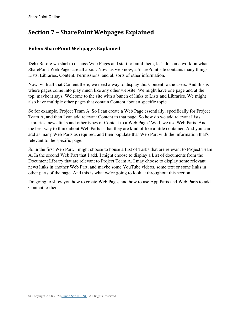# **Section 7 – SharePoint Webpages Explained**

## **Video: SharePoint Webpages Explained**

**Deb:** Before we start to discuss Web Pages and start to build them, let's do some work on what SharePoint Web Pages are all about. Now, as we know, a SharePoint site contains many things, Lists, Libraries, Content, Permissions, and all sorts of other information.

Now, with all that Content there, we need a way to display this Content to the users. And this is where pages come into play much like any other website. We might have one page and at the top, maybe it says, Welcome to the site with a bunch of links to Lists and Libraries. We might also have multiple other pages that contain Content about a specific topic.

So for example, Project Team A. So I can create a Web Page essentially, specifically for Project Team A, and then I can add relevant Content to that page. So how do we add relevant Lists, Libraries, news links and other types of Content to a Web Page? Well, we use Web Parts. And the best way to think about Web Parts is that they are kind of like a little container. And you can add as many Web Parts as required, and then populate that Web Part with the information that's relevant to the specific page.

So in the first Web Part, I might choose to house a List of Tasks that are relevant to Project Team A. In the second Web Part that I add, I might choose to display a List of documents from the Document Library that are relevant to Project Team A. I may choose to display some relevant news links in another Web Part, and maybe some YouTube videos, some text or some links in other parts of the page. And this is what we're going to look at throughout this section.

I'm going to show you how to create Web Pages and how to use App Parts and Web Parts to add Content to them.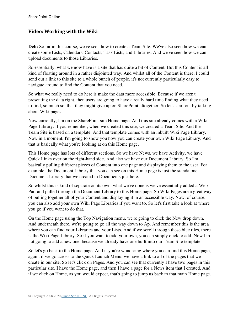#### **Video: Working with the Wiki**

**Deb:** So far in this course, we've seen how to create a Team Site. We've also seen how we can create some Lists, Calendars, Contacts, Task Lists, and Libraries. And we've seen how we can upload documents to those Libraries.

So essentially, what we now have is a site that has quite a bit of Content. But this Content is all kind of floating around in a rather disjointed way. And whilst all of the Content is there, I could send out a link to this site to a whole bunch of people, it's not currently particularly easy to navigate around to find the Content that you need.

So what we really need to do here is make the data more accessible. Because if we aren't presenting the data right, then users are going to have a really hard time finding what they need to find, so much so, that they might give up on SharePoint altogether. So let's start out by talking about Wiki pages.

Now currently, I'm on the SharePoint site Home page. And this site already comes with a Wiki Page Library. If you remember, when we created this site, we created a Team Site. And the Team Site is based on a template. And that template comes with an inbuilt Wiki Page Library. Now in a moment, I'm going to show you how you can create your own Wiki Page Library. And that is basically what you're looking at on this Home page.

This Home page has lots of different sections. So we have News, we have Activity, we have Quick Links over on the right-hand side. And also we have our Document Library. So I'm basically pulling different pieces of Content into one page and displaying them to the user. For example, the Document Library that you can see on this Home page is just the standalone Document Library that we created in Documents just here.

So whilst this is kind of separate on its own, what we've done is we've essentially added a Web Part and pulled through the Document Library to this Home page. So Wiki Pages are a great way of pulling together all of your Content and displaying it in an accessible way. Now, of course, you can also add your own Wiki Page Libraries if you want to. So let's first take a look at where you go if you want to do that.

On the Home page using the Top Navigation menu, we're going to click the New drop down. And underneath there, we're going to go all the way down to Ap. And remember this is the area where you can find your Libraries and your Lists. And if we scroll through these blue tiles, there is the Wiki Page Library. So if you want to add your own, you can simply click to add. Now I'm not going to add a new one, because we already have one built into our Team Site template.

So let's go back to the Home page. And if you're wondering where you can find this Home page, again, if we go across to the Quick Launch Menu, we have a link to all of the pages that we create in our site. So let's click on Pages. And you can see that currently I have two pages in this particular site. I have the Home page, and then I have a page for a News item that I created. And if we click on Home, as you would expect, that's going to jump us back to that main Home page.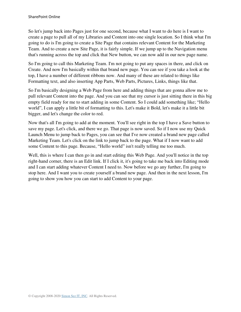So let's jump back into Pages just for one second, because what I want to do here is I want to create a page to pull all of my Libraries and Content into one single location. So I think what I'm going to do is I'm going to create a Site Page that contains relevant Content for the Marketing Team. And to create a new Site Page, it is fairly simple. If we jump up to the Navigation menu that's running across the top and click that New button, we can now add in our new page name.

So I'm going to call this Marketing Team. I'm not going to put any spaces in there, and click on Create. And now I'm basically within that brand new page. You can see if you take a look at the top, I have a number of different ribbons now. And many of these are related to things like Formatting text, and also inserting App Parts, Web Parts, Pictures, Links, things like that.

So I'm basically designing a Web Page from here and adding things that are gonna allow me to pull relevant Content into the page. And you can see that my cursor is just sitting there in this big empty field ready for me to start adding in some Content. So I could add something like; "Hello world", I can apply a little bit of formatting to this. Let's make it Bold, let's make it a little bit bigger, and let's change the color to red.

Now that's all I'm going to add at the moment. You'll see right in the top I have a Save button to save my page. Let's click, and there we go. That page is now saved. So if I now use my Quick Launch Menu to jump back to Pages, you can see that I've now created a brand new page called Marketing Team. Let's click on the link to jump back to the page. What if I now want to add some Content to this page. Because, "Hello world" isn't really telling me too much.

Well, this is where I can then go in and start editing this Web Page. And you'll notice in the top right-hand corner, there is an Edit link. If I click it, it's going to take me back into Editing mode and I can start adding whatever Content I need to. Now before we go any further, I'm going to stop here. And I want you to create yourself a brand new page. And then in the next lesson, I'm going to show you how you can start to add Content to your page.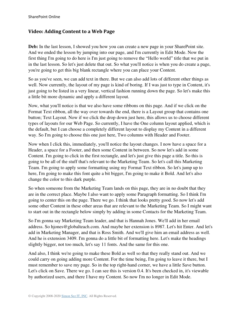#### **Video: Adding Content to a Web Page**

**Deb:** In the last lesson, I showed you how you can create a new page in your SharePoint site. And we ended the lesson by jumping into our page, and I'm currently in Edit Mode. Now the first thing I'm going to do here is I'm just going to remove the "Hello world" title that we put in in the last lesson. So let's just delete that out. So what you'll notice is when you do create a page, you're going to get this big blank rectangle where you can place your Content.

So as you've seen, we can add text in there. But we can also add lots of different other things as well. Now currently, the layout of my page is kind of boring. If I was just to type in Content, it's just going to be listed in a very linear, vertical fashion running down the page. So let's make this a little bit more dynamic and apply a different layout.

Now, what you'll notice is that we also have some ribbons on this page. And if we click on the Format Text ribbon, all the way over towards the end, there is a Layout group that contains one button; Text Layout. Now if we click the drop down just here, this allows us to choose different types of layouts for our Web Page. So currently, I have the One column layout applied, which is the default, but I can choose a completely different layout to display my Content in a different way. So I'm going to choose this one just here, Two columns with Header and Footer.

Now when I click this, immediately, you'll notice the layout changes. I now have a space for a Header, a space for a Footer, and then some Content in between. So now let's add in some Content. I'm going to click in the first rectangle, and let's just give this page a title. So this is going to be all of the stuff that's relevant to the Marketing Team. So let's call this Marketing Team. I'm going to apply some formatting using my Format Text ribbon. So let's jump up to here, I'm going to make this font quite a bit bigger, I'm going to make it Bold. And let's also change the color to this dark purple.

So when someone from the Marketing Team lands on this page, they are in no doubt that they are in the correct place. Maybe I also want to apply some Paragraph formatting. So I think I'm going to center this on the page. There we go. I think that looks pretty good. So now let's add some other Content in these other areas that are relevant to the Marketing Team. So I might want to start out in the rectangle below simply by adding in some Contacts for the Marketing Team.

So I'm gonna say Marketing Team leader, and that is Hannah Jones. We'll add in her email address. So hjones@globalteach.com. And maybe her extension is 8987. Let's hit Enter. And let's add in Marketing Manager, and that is Ross Smith. And we'll give him an email address as well. And he is extension 3409. I'm gonna do a little bit of formatting here. Let's make the headings slightly bigger, not too much, let's say 11 fonts. And the same for this one.

And also, I think we're going to make these Bold as well so that they really stand out. And we could carry on going adding more Content. For the time being, I'm going to leave it there, but I must remember to save my page. So in the top right-hand corner, we have a little Save button. Let's click on Save. There we go. I can see this is version 0.4. It's been checked in, it's viewable by authorized users, and there I have my Content. So now I'm no longer in Edit Mode.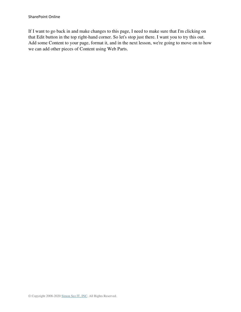If I want to go back in and make changes to this page, I need to make sure that I'm clicking on that Edit button in the top right-hand corner. So let's stop just there. I want you to try this out. Add some Content to your page, format it, and in the next lesson, we're going to move on to how we can add other pieces of Content using Web Parts.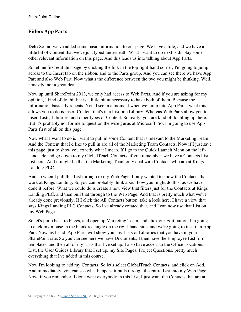#### **Video: App Parts**

**Deb:** So far, we've added some basic information to our page. We have a title, and we have a little bit of Content that we've just typed underneath. What I want to do next is display some other relevant information on this page. And this leads us into talking about App Parts.

So let me first edit this page by clicking the link in the top right-hand corner, I'm going to jump across to the Insert tab on the ribbon, and to the Parts group. And you can see there we have App Part and also Web Part. Now what's the difference between the two you might be thinking. Well, honestly, not a great deal.

Now up until SharePoint 2013, we only had access to Web Parts. And if you are asking for my opinion, I kind of do think it is a little bit unnecessary to have both of them. Because the information basically repeats. You'll see in a moment when we jump into App Parts, what this allows you to do is insert Content that's in a List or a Library. Whereas Web Parts allow you to insert Lists, Libraries, and other types of Content. So really, you are kind of doubling up there. But it's probably not for me to question the wise gurus at Microsoft. So, I'm going to use App Parts first of all on this page.

Now what I want to do is I want to pull in some Content that is relevant to the Marketing Team. And the Content that I'd like to pull in are all of the Marketing Team Contacts. Now if I just save this page, just to show you exactly what I mean. If I go to the Quick Launch Menu on the lefthand side and go down to my GlobalTeach Contacts, if you remember, we have a Contacts List just here. And it might be that the Marketing Team only deal with Contacts who are at Kings Landing PLC.

And so when I pull this List through to my Web Page, I only wanted to show the Contacts that work at Kings Landing. So you can probably think about how you might do this, as we have done it before. What we could do is create a new view that filters just for the Contacts at Kings Landing PLC, and then pull that through to the Web Page. And that is pretty much what we've already done previously. If I click the All Contacts button, take a look here. I have a view that says Kings Landing PLC Contacts. So I've already created that, and I can now use that List on my Web Page.

So let's jump back to Pages, and open up Marketing Team, and click our Edit button. I'm going to click my mouse in the blank rectangle on the right-hand side, and we're going to insert an App Part. Now, as I said, App Parts will show you any Lists or Libraries that you have in your SharePoint site. So you can see here we have Documents, I then have the Employee List form templates, and then all of my Lists that I've set up. I also have access to the Office Locations List, the User Guides Library that I set up, my Site Pages, Project Questions, pretty much everything that I've added in this course.

Now I'm looking to add my Contacts. So let's select GlobalTeach Contacts, and click on Add. And immediately, you can see what happens it pulls through the entire List into my Web Page. Now, if you remember, I don't want everybody in this List, I just want the Contacts that are at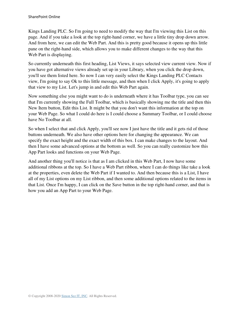Kings Landing PLC. So I'm going to need to modify the way that I'm viewing this List on this page. And if you take a look at the top right-hand corner, we have a little tiny drop down arrow. And from here, we can edit the Web Part. And this is pretty good because it opens up this little pane on the right-hand side, which allows you to make different changes to the way that this Web Part is displaying.

So currently underneath this first heading, List Views, it says selected view current view. Now if you have got alternative views already set up in your Library, when you click the drop down, you'll see them listed here. So now I can very easily select the Kings Landing PLC Contacts view, I'm going to say Ok to this little message, and then when I click Apply, it's going to apply that view to my List. Let's jump in and edit this Web Part again.

Now something else you might want to do is underneath where it has Toolbar type, you can see that I'm currently showing the Full Toolbar, which is basically showing me the title and then this New Item button, Edit this List. It might be that you don't want this information at the top on your Web Page. So what I could do here is I could choose a Summary Toolbar, or I could choose have No Toolbar at all.

So when I select that and click Apply, you'll see now I just have the title and it gets rid of those buttons underneath. We also have other options here for changing the appearance. We can specify the exact height and the exact width of this box. I can make changes to the layout. And then I have some advanced options at the bottom as well. So you can really customize how this App Part looks and functions on your Web Page.

And another thing you'll notice is that as I am clicked in this Web Part, I now have some additional ribbons at the top. So I have a Web Part ribbon, where I can do things like take a look at the properties, even delete the Web Part if I wanted to. And then because this is a List, I have all of my List options on my List ribbon, and then some additional options related to the items in that List. Once I'm happy, I can click on the Save button in the top right-hand corner, and that is how you add an App Part to your Web Page.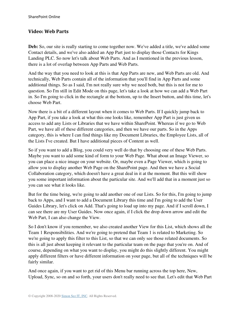#### **Video: Web Parts**

**Deb:** So, our site is really starting to come together now. We've added a title, we've added some Contact details, and we've also added an App Part just to display those Contacts for Kings Landing PLC. So now let's talk about Web Parts. And as I mentioned in the previous lesson, there is a lot of overlap between App Parts and Web Parts.

And the way that you need to look at this is that App Parts are new, and Web Parts are old. And technically, Web Parts contain all of the information that you'll find in App Parts and some additional things. So as I said, I'm not really sure why we need both, but this is not for me to question. So I'm still in Edit Mode on this page, let's take a look at how we can add a Web Part in. So I'm going to click in the rectangle at the bottom, up to the Insert button, and this time, let's choose Web Part.

Now there is a bit of a different layout when it comes to Web Parts. If I quickly jump back to App Part, if you take a look at what this one looks like, remember App Part is just given us access to add any Lists or Libraries that we have within SharePoint. Whereas if we go to Web Part, we have all of these different categories, and then we have our parts. So in the Apps category, this is where I can find things like my Document Libraries, the Employee Lists, all of the Lists I've created. But I have additional pieces of Content as well.

So if you want to add a Blog, you could very well do that by choosing one of these Web Parts. Maybe you want to add some kind of form to your Web Page. What about an Image Viewer, so you can place a nice image on your website. Or, maybe even a Page Viewer, which is going to allow you to display another Web Page on the SharePoint page. And then we have a Social Collaboration category, which doesn't have a great deal in it at the moment. But this will show you some important information about the particular site. And we'll add that in a moment just so you can see what it looks like.

But for the time being, we're going to add another one of our Lists. So for this, I'm going to jump back to Apps, and I want to add a Document Library this time and I'm going to add the User Guides Library, let's click on Add. That's going to load up into my page. And if I scroll down, I can see there are my User Guides. Now once again, if I click the drop down arrow and edit the Web Part, I can also change the View.

So I don't know if you remember, we also created another View for this List, which shows all the Team 1 Responsibilities. And we're going to pretend that Team 1 is related to Marketing. So we're going to apply this filter to this List, so that we can only see those related documents. So this is all just about keeping it relevant to the particular team on the page that you're on. And of course, depending on what you want to display, you might do this slightly different. You might apply different filters or have different information on your page, but all of the techniques will be fairly similar.

And once again, if you want to get rid of this Menu bar running across the top here, New, Upload, Sync, so on and so forth, your users don't really need to see that. Let's edit that Web Part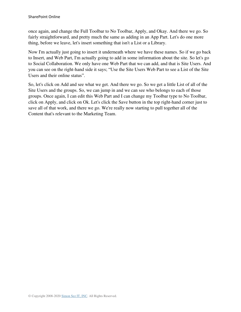once again, and change the Full Toolbar to No Toolbar, Apply, and Okay. And there we go. So fairly straightforward, and pretty much the same as adding in an App Part. Let's do one more thing, before we leave, let's insert something that isn't a List or a Library.

Now I'm actually just going to insert it underneath where we have these names. So if we go back to Insert, and Web Part, I'm actually going to add in some information about the site. So let's go to Social Collaboration. We only have one Web Part that we can add, and that is Site Users. And you can see on the right-hand side it says; "Use the Site Users Web Part to see a List of the Site Users and their online status".

So, let's click on Add and see what we get. And there we go. So we get a little List of all of the Site Users and the groups. So, we can jump in and we can see who belongs to each of those groups. Once again, I can edit this Web Part and I can change my Toolbar type to No Toolbar, click on Apply, and click on Ok. Let's click the Save button in the top right-hand corner just to save all of that work, and there we go. We're really now starting to pull together all of the Content that's relevant to the Marketing Team.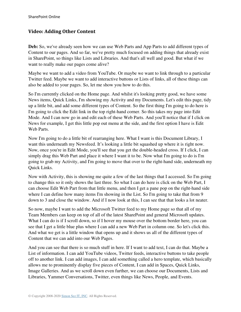# **Video: Adding Other Content**

**Deb:** So, we've already seen how we can use Web Parts and App Parts to add different types of Content to our pages. And so far, we've pretty much focused on adding things that already exist in SharePoint, so things like Lists and Libraries. And that's all well and good. But what if we want to really make our pages come alive?

Maybe we want to add a video from YouTube. Or maybe we want to link through to a particular Twitter feed. Maybe we want to add interactive buttons or Lists of links, all of these things can also be added to your pages. So, let me show you how to do this.

So I'm currently clicked on the Home page. And whilst it's looking pretty good, we have some News items, Quick Links, I'm showing my Activity and my Documents. Let's edit this page, tidy up a little bit, and add some different types of Content. So the first thing I'm going to do here is I'm going to click the Edit link in the top right-hand corner. So this takes my page into Edit Mode. And I can now go in and edit each of these Web Parts. And you'll notice that if I click on News for example, I get this little pop out menu at the side, and the first option I have is Edit Web Parts.

Now I'm going to do a little bit of rearranging here. What I want is this Document Library, I want this underneath my Newsfeed. It's looking a little bit squashed up where it is right now. Now, once you're in Edit Mode, you'll see that you get the double-headed cross. If I click, I can simply drag this Web Part and place it where I want it to be. Now what I'm going to do is I'm going to grab my Activity, and I'm going to move that over to the right-hand side, underneath my Quick Links.

Now with Activity, this is showing me quite a few of the last things that I accessed. So I'm going to change this so it only shows the last three. So what I can do here is click on the Web Part, I can choose Edit Web Part from that little menu, and then I get a pane pop on the right-hand side where I can define how many items I'm showing in the List. So I'm going to take that from 9 down to 3 and close the window. And if I now look at this, I can see that that looks a lot neater.

So now, maybe I want to add the Microsoft Twitter feed to my Home page so that all of my Team Members can keep on top of all of the latest SharePoint and general Microsoft updates. What I can do is if I scroll down, so if I hover my mouse over the bottom border here, you can see that I get a little blue plus where I can add a new Web Part in column one. So let's click this. And what we get is a little window that opens up and it shows us all of the different types of Content that we can add into our Web Pages.

And you can see that there is so much stuff in here. If I want to add text, I can do that. Maybe a List of information. I can add YouTube videos, Twitter feeds, interactive buttons to take people off to another link. I can add images, I can add something called a hero template, which basically allows me to prominently display five pieces of Content, I can add in Spaces, Quick Links, Image Galleries. And as we scroll down even further, we can choose our Documents, Lists and Libraries, Yammer Conversations, Twitter, even things like News, People, and Events.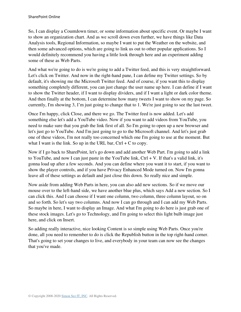So, I can display a Countdown timer, or some information about specific event. Or maybe I want to show an organization chart. And as we scroll down even further, we have things like Data Analysis tools, Regional Information, so maybe I want to put the Weather on the website, and then some advanced options, which are going to link us out to other popular applications. So I would definitely recommend you having a little look through here and an experiment adding some of these as Web Parts.

And what we're going to do is we're going to add a Twitter feed, and this is very straightforward. Let's click on Twitter. And now in the right-hand pane, I can define my Twitter settings. So by default, it's showing me the Microsoft Twitter feed. And of course, if you want this to display something completely different, you can just change the user name up here. I can define if I want to show the Twitter header, if I want to display dividers, and if I want a light or dark color theme. And then finally at the bottom, I can determine how many tweets I want to show on my page. So currently, I'm showing 3, I'm just going to change that to 1. We're just going to see the last tweet.

Once I'm happy, click Close, and there we go. The Twitter feed is now added. Let's add something else let's add a YouTube video. Now if you want to add videos from YouTube, you need to make sure that you grab the link first of all. So I'm going to open up a new browser and let's just go to YouTube. And I'm just going to go to the Microsoft channel. And let's just grab one of these videos, I'm not really too concerned which one I'm going to use at the moment. But what I want is the link. So up in the URL bar,  $Ctrl + C$  to copy.

Now if I go back to SharePoint, let's go down and add another Web Part. I'm going to add a link to YouTube, and now I can just paste in the YouTube link, Ctrl + V. If that's a valid link, it's gonna load up after a few seconds. And you can define where you want it to start, if you want to show the player controls, and if you have Privacy Enhanced Mode turned on. Now I'm gonna leave all of these settings as default and just close this down. So really nice and simple.

Now aside from adding Web Parts in here, you can also add new sections. So if we move our mouse over to the left-hand side, we have another blue plus, which says Add a new section. So I can click this. And I can choose if I want one column, two column, three column layout, so on and so forth. So let's say two columns. And now I can go through and I can add my Web Parts. So maybe in here, I want to display an Image. And what I'm going to do here is just grab one of these stock images. Let's go to Technology, and I'm going to select this light bulb image just here, and click on Insert.

So adding really interactive, nice looking Content is so simple using Web Parts. Once you're done, all you need to remember to do is click the Republish button in the top right-hand corner. That's going to set your changes to live, and everybody in your team can now see the changes that you've made.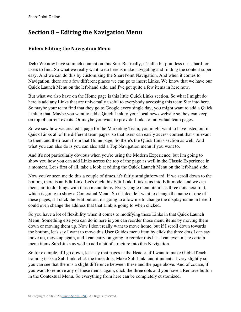# **Section 8 – Editing the Navigation Menu**

# **Video: Editing the Navigation Menu**

**Deb:** We now have so much content on this Site. But really, it's all a bit pointless if it's hard for users to find. So what we really want to do here is make navigating and finding the content super easy. And we can do this by customizing the SharePoint Navigation. And when it comes to Navigation, there are a few different places we can go to insert Links. We know that we have our Quick Launch Menu on the left-hand side, and I've got quite a few items in here now.

But what we also have on the Home page is this little Quick Links section. So what I might do here is add any Links that are universally useful to everybody accessing this team Site into here. So maybe your team find that they go to Google every single day, you might want to add a Quick Link to that. Maybe you want to add a Quick Link to your local news website so they can keep on top of current events. Or maybe you want to provide Links to individual team pages.

So we saw how we created a page for the Marketing Team, you might want to have listed out in Quick Links all of the different team pages, so that users can easily access content that's relevant to them and their team from that Home page. So there's the Quick Links section as well. And what you can also do is you can also add a Top Navigation menu if you want to.

And it's not particularly obvious when you're using the Modern Experience, but I'm going to show you how you can add Links across the top of the page as well in the Classic Experience in a moment. Let's first of all, take a look at editing the Quick Launch Menu on the left-hand side.

Now you've seen me do this a couple of times, it's fairly straightforward. If we scroll down to the bottom, there is an Edit Link. Let's click this Edit Link. It takes us into Edit mode, and we can then start to do things with these menu items. Every single menu item has three dots next to it, which is going to show a Contextual Menu. So if I decide I want to change the name of one of these pages, if I click the Edit button, it's going to allow me to change the display name in here. I could even change the address that that Link is going to when clicked.

So you have a lot of flexibility when it comes to modifying these Links in that Quick Launch Menu. Something else you can do in here is you can reorder those menu items by moving them down or moving them up. Now I don't really want to move home, but if I scroll down towards the bottom, let's say I want to move this User Guides menu item by click the three dots I can say move up, move up again, and I can carry on going to reorder this list. I can even make certain menu items Sub Links as well to add a bit of structure into this Navigation.

So for example, if I go down, let's say that pages is the Header, if I want to make GlobalTeach training tasks a Sub Link, click the three dots, Make Sub Link, and it indents it very slightly so you can see that there is a slight difference between these and the page above. And of course, if you want to remove any of these items, again, click the three dots and you have a Remove button in the Contextual Menu. So everything from here can be completely customized.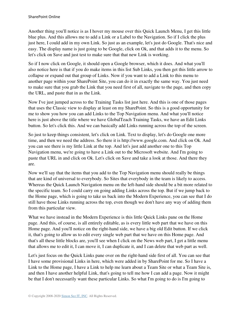Another thing you'll notice is as I hover my mouse over this Quick Launch Menu, I get this little blue plus. And this allows me to add a Link or a Label to the Navigation. So if I click the plus just here, I could add in my own Link. So just as an example, let's just do Google. That's nice and easy. The display name is just going to be Google, click on Ok, and that adds it to the menu. So let's click on Save and just test to make sure that that new Link is working.

So if I now click on Google, it should open a Google browser, which it does. And what you'll also notice here is that if you do make items in this list Sub Links, you then get this little arrow to collapse or expand out that group of Links. Now if you want to add a Link to this menu to another page within your SharePoint Site, you can do it in exactly the same way. You just need to make sure that you grab the Link that you need first of all, navigate to the page, and then copy the URL, and paste that in as the Link.

Now I've just jumped across to the Training Tasks list just here. And this is one of those pages that uses the Classic view to display at least on my SharePoint. So this is a good opportunity for me to show you how you can add Links to the Top Navigation menu. And what you'll notice here is just above the title where we have GlobalTeach Training Tasks, we have an Edit Links button. So let's click this. And we can basically add Links running across the top of the screen.

So just to keep things consistent, let's click on Link. Text to display, let's do Google one more time, and then we need the address. So there it is http://www.google.com. And click on Ok. And you can see there is my little Link at the top. And let's just add another one to this Top Navigation menu, we're going to have a Link out to the Microsoft website. And I'm going to paste that URL in and click on Ok. Let's click on Save and take a look at those. And there they are.

Now we'll say that the items that you add to the Top Navigation menu should really be things that are kind of universal to everybody. So Sites that everybody in the team is likely to access. Whereas the Quick Launch Navigation menu on the left-hand side should be a bit more related to the specific team. So I could carry on going adding Links across the top. But if we jump back to the Home page, which is going to take us back into the Modern Experience, you can see that I do still have those Links running across the top, even though we don't have any way of adding them from this particular view.

What we have instead in the Modern Experience is this little Quick Links pane on the Home page. And this, of course, is all entirely editable, as is every little web part that we have on this Home page. And you'll notice on the right-hand side, we have a big old Edit button. If we click it, that's going to allow us to edit every single web part that we have on this Home page. And that's all these little blocks are, you'll see when I click on the News web part, I get a little menu that allows me to edit it, I can move it, I can duplicate it, and I can delete that web part as well.

Let's just focus on the Quick Links pane over on the right-hand side first of all. You can see that I have some provisional Links in here, which were added in by SharePoint for me. So I have a Link to the Home page, I have a Link to help me learn about a Team Site or what a Team Site is, and then I have another helpful Link, that's going to tell me how I can add a page. Now it might be that I don't necessarily want these particular Links. So what I'm going to do is I'm going to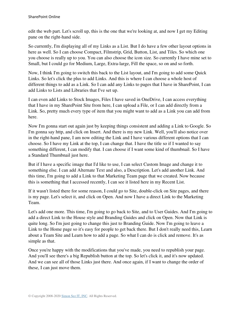edit the web part. Let's scroll up, this is the one that we're looking at, and now I get my Editing pane on the right-hand side.

So currently, I'm displaying all of my Links as a List. But I do have a few other layout options in here as well. So I can choose Compact, Filmstrip, Grid, Button, List, and Tiles. So which one you choose is really up to you. You can also choose the icon size. So currently I have mine set to Small, but I could go for Medium, Large, Extra-large, Fill the space, so on and so forth.

Now, I think I'm going to switch this back to the List layout, and I'm going to add some Quick Links. So let's click the plus to add Links. And this is where I can choose a whole host of different things to add as a Link. So I can add any Links to pages that I have in SharePoint, I can add Links to Lists and Libraries that I've set up.

I can even add Links to Stock Images, Files I have saved in OneDrive, I can access everything that I have in my SharePoint Site from here, I can upload a File, or I can add directly from a Link. So, pretty much every type of item that you might want to add as a Link you can add from here.

Now I'm gonna start out again just by keeping things consistent and adding a Link to Google. So I'm gonna say http, and click on Insert. And there is my new Link. Well, you'll also notice over in the right-hand pane, I am now editing the Link and I have various different options that I can choose. So I have my Link at the top, I can change that. I have the title so if I wanted to say something different, I can modify that. I can choose if I want some kind of thumbnail. So I have a Standard Thumbnail just here.

But if I have a specific image that I'd like to use, I can select Custom Image and change it to something else. I can add Alternate Text and also, a Description. Let's add another Link. And this time, I'm going to add a Link to that Marketing Team page that we created. Now because this is something that I accessed recently, I can see it listed here in my Recent List.

If it wasn't listed there for some reason, I could go to Site, double-click on Site pages, and there is my page. Let's select it, and click on Open. And now I have a direct Link to the Marketing Team.

Let's add one more. This time, I'm going to go back to Site, and to User Guides. And I'm going to add a direct Link to the House style and Branding Guides and click on Open. Now that Link is quite long. So I'm just going to change this just to Branding Guide. Now I'm going to leave a Link to the Home page so it's easy for people to get back there. But I don't really need this, Learn about a Team Site and Learn how to add a page. So what I can do is click and remove. It's as simple as that.

Once you're happy with the modifications that you've made, you need to republish your page. And you'll see there's a big Republish button at the top. So let's click it, and it's now updated. And we can see all of those Links just there. And once again, if I want to change the order of these, I can just move them.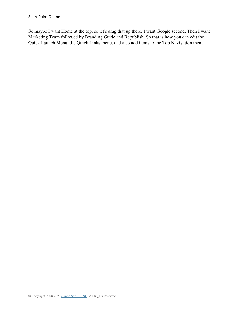So maybe I want Home at the top, so let's drag that up there. I want Google second. Then I want Marketing Team followed by Branding Guide and Republish. So that is how you can edit the Quick Launch Menu, the Quick Links menu, and also add items to the Top Navigation menu.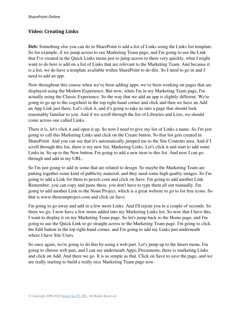# **Video: Creating Links**

**Deb:** Something else you can do in SharePoint is add a list of Links using the Links list template. So for example, if we jump across to our Marketing Team page, and I'm going to use the Link that I've created in the Quick Links menu just to jump across to there very quickly, what I might want to do here is add on a list of Links that are relevant to the Marketing Team. And because it is a list, we do have a template available within SharePoint to do this. So I need to go in and I need to add an app.

Now throughout this course when we've been adding apps, we've been working on pages that are displayed using the Modern Experience. But now, when I'm in my Marketing Team page, I'm actually using the Classic Experience. So the way that we add an app is slightly different. We're going to go up to the cogwheel in the top right-hand corner and click and then we have an Add an App Link just there. Let's click it, and it's going to take us into a page that should look reasonably familiar to you. And if we scroll through the list of Libraries and Lists, we should come across one called Links.

There it is, let's click it and open it up. So now I need to give my list of Links a name. So I'm just going to call this Marketing Links and click on the Create button. So that list gets created in SharePoint. And you can see that it's automatically jumped me to the Site Contents area. And if I scroll through this list, there is my new list, Marketing Links. Let's click it and start to add some Links in. So up to the New button, I'm going to add a new item to this list. And now I can go through and add in my URL.

So I'm just going to add in some that are related to design. So maybe the Marketing Team are putting together some kind of publicity material, and they need some high quality images. So I'm going to add a Link for them to pexels.com and click on Save. I'm going to add another Link. Remember, you can copy and paste these, you don't have to type them all out manually. I'm going to add another Link to the Noun Project, which is a great website to go to for free icons. So that is www.thenounproject.com and click on Save.

I'm going to go away and add in a few more Links. And I'll rejoin you in a couple of seconds. So there we go, I now have a few items added into my Marketing Links list. So now that I have this, I want to display it on my Marketing Team page. So let's jump back to the Home page, and I'm going to use the Quick Link to go straight across to the Marketing Team page. I'm going to click the Edit button in the top right-hand corner, and I'm going to add my Links just underneath where I have Site Users.

So once again, we're going to do this by using a web part. Let's jump up to the Insert menu, I'm going to choose web part, and I can see underneath Apps, Documents, there is marketing Links and click on Add. And there we go. It is as simple as that. Click on Save to save the page, and we are really starting to build a really nice Marketing Team page now.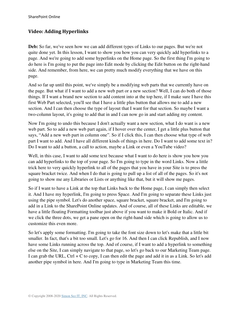# **Video: Adding Hyperlinks**

**Deb:** So far, we've seen how we can add different types of Links to our pages. But we're not quite done yet. In this lesson, I want to show you how you can very quickly add hyperlinks to a page. And we're going to add some hyperlinks on the Home page. So the first thing I'm going to do here is I'm going to put the page into Edit mode by clicking the Edit button on the right-hand side. And remember, from here, we can pretty much modify everything that we have on this page.

And so far up until this point, we've simply be a modifying web parts that we currently have on the page. But what if I want to add a new web part or a new section? Well, I can do both of those things. If I want a brand new section to add content into at the top here, if I make sure I have this first Web Part selected, you'll see that I have a little plus button that allows me to add a new section. And I can then choose the type of layout that I want for that section. So maybe I want a two-column layout, it's going to add that in and I can now go in and start adding my content.

Now I'm going to undo this because I don't actually want a new section, what I do want is a new web part. So to add a new web part again, if I hover over the center, I get a little plus button that says, "Add a new web part in column one". So if I click this, I can then choose what type of web part I want to add. And I have all different kinds of things in here. Do I want to add some text in? Do I want to add a button, a call to action, maybe a Link or even a YouTube video?

Well, in this case, I want to add some text because what I want to do here is show you how you can add hyperlinks to the top of your page. So I'm going to type in the word Links. Now a little trick here to very quickly hyperlink to all of the pages that you have in your Site is to press the square bracket twice. And when I do that is going to pull up a list of all of the pages. So it's not going to show me any Libraries or Lists or anything like that, but it will show me pages.

So if I want to have a Link at the top that Links back to the Home page, I can simply then select it. And I have my hyperlink, I'm going to press Space. And I'm going to separate these Links just using the pipe symbol. Let's do another space, square bracket, square bracket, and I'm going to add in a Link to the SharePoint Online updates. And of course, all of these Links are editable, we have a little floating Formatting toolbar just above if you want to make it Bold or Italic. And if we click the three dots, we get a pane open on the right-hand side which is going to allow us to customize this even more.

So let's apply some formatting. I'm going to take the font size down to let's make that a little bit smaller. In fact, that's a bit too small. Let's go for 16. And then I can click Republish, and I now have some Links running across the top. And of course, if I want to add a hyperlink to something else on the Site, I can simply navigate to that page, so let's go back to our Marketing Team page. I can grab the URL, Ctrl + C to copy, I can then edit the page and add it in as a Link. So let's add another pipe symbol in here. And I'm going to type in Marketing Team this time.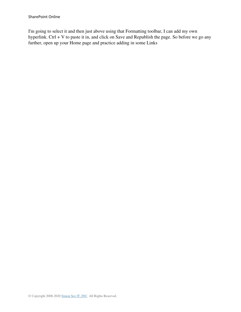I'm going to select it and then just above using that Formatting toolbar, I can add my own hyperlink. Ctrl + V to paste it in, and click on Save and Republish the page. So before we go any further, open up your Home page and practice adding in some Links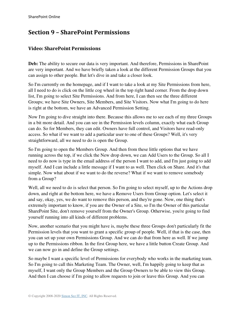# **Section 9 – SharePoint Permissions**

# **Video: SharePoint Permissions**

**Deb:** The ability to secure our data is very important. And therefore, Permissions in SharePoint are very important. And we have briefly taken a look at the different Permission Groups that you can assign to other people. But let's dive in and take a closer look.

So I'm currently on the homepage, and if I want to take a look at my Site Permissions from here, all I need to do is click on the little cog wheel in the top right hand corner. From the drop down list, I'm going to select Site Permissions. And from here, I can then see the three different Groups; we have Site Owners, Site Members, and Site Visitors. Now what I'm going to do here is right at the bottom, we have an Advanced Permission Setting.

Now I'm going to dive straight into there. Because this allows me to see each of my three Groups in a bit more detail. And you can see in the Permission levels column, exactly what each Group can do. So for Members, they can edit. Owners have full control, and Visitors have read-only access. So what if we want to add a particular user to one of these Groups? Well, it's very straightforward, all we need to do is open the Group.

So I'm going to open the Members Group. And then from these little options that we have running across the top, if we click the New drop down, we can Add Users to the Group. So all I need to do now is type in the email address of the person I want to add, and I'm just going to add myself. And I can include a little message if I want to as well. Then click on Share. And it's that simple. Now what about if we want to do the reverse? What if we want to remove somebody from a Group?

Well, all we need to do is select that person. So I'm going to select myself, up to the Actions drop down, and right at the bottom here, we have a Remove Users from Group option. Let's select it and say, okay, yes, we do want to remove this person, and they're gone. Now, one thing that's extremely important to know, if you are the Owner of a Site, so I'm the Owner of this particular SharePoint Site, don't remove yourself from the Owner's Group. Otherwise, you're going to find yourself running into all kinds of different problems.

Now, another scenario that you might have is, maybe these three Groups don't particularly fit the Permission levels that you want to grant a specific group of people. Well, if that is the case, then you can set up your own Permissions Group. And we can do that from here as well. If we jump up to the Permissions ribbon. In the first Group here, we have a little button Create Group. And we can now go in and define the Group settings.

So maybe I want a specific level of Permissions for everybody who works in the marketing team. So I'm going to call this Marketing Team. The Owner, well, I'm happily going to keep that as myself, I want only the Group Members and the Group Owners to be able to view this Group. And then I can choose if I'm going to allow requests to join or leave this Group. And you can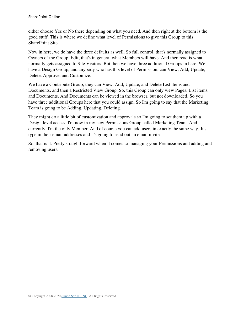either choose Yes or No there depending on what you need. And then right at the bottom is the good stuff. This is where we define what level of Permissions to give this Group to this SharePoint Site.

Now in here, we do have the three defaults as well. So full control, that's normally assigned to Owners of the Group. Edit, that's in general what Members will have. And then read is what normally gets assigned to Site Visitors. But then we have three additional Groups in here. We have a Design Group, and anybody who has this level of Permission, can View, Add, Update, Delete, Approve, and Customize.

We have a Contribute Group, they can View, Add, Update, and Delete List items and Documents, and then a Restricted View Group. So, this Group can only view Pages, List items, and Documents. And Documents can be viewed in the browser, but not downloaded. So you have three additional Groups here that you could assign. So I'm going to say that the Marketing Team is going to be Adding, Updating, Deleting.

They might do a little bit of customization and approvals so I'm going to set them up with a Design level access. I'm now in my new Permissions Group called Marketing Team. And currently, I'm the only Member. And of course you can add users in exactly the same way. Just type in their email addresses and it's going to send out an email invite.

So, that is it. Pretty straightforward when it comes to managing your Permissions and adding and removing users.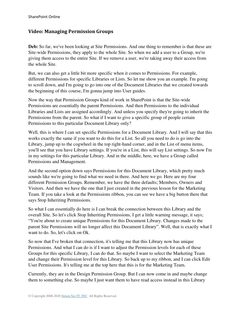#### **Video: Managing Permission Groups**

**Deb:** So far, we've been looking at Site Permissions. And one thing to remember is that these are Site-wide Permissions, they apply to the whole Site. So when we add a user to a Group, we're giving them access to the entire Site. If we remove a user, we're taking away their access from the whole Site.

But, we can also get a little bit more specific when it comes to Permissions. For example, different Permissions for specific Libraries or Lists. So let me show you an example. I'm going to scroll down, and I'm going to go into one of the Document Libraries that we created towards the beginning of this course, I'm gonna jump into User guides.

Now the way that Permission Groups kind of work in SharePoint is that the Site-wide Permissions are essentially the parent Permissions. And then Permissions to the individual Libraries and Lists are assigned accordingly. And unless you specify they're going to inherit the Permissions from the parent. So what if I want to give a specific group of people certain Permissions to this particular Document Library only?

Well, this is where I can set specific Permissions for a Document Library. And I will say that this works exactly the same if you want to do this for a List. So all you need to do is go into the Library, jump up to the cogwheel in the top right-hand corner, and in the List of menu items, you'll see that you have Library settings. If you're in a List, this will say List settings. So now I'm in my settings for this particular Library. And in the middle, here, we have a Group called Permissions and Management.

And the second option down says Permissions for this Document Library, which pretty much sounds like we're going to find what we need in there. And here we go. Here are my four different Permission Groups. Remember, we have the three defaults; Members, Owners and Visitors. And then we have the one that I just created in the previous lesson for the Marketing Team. If you take a look at the Permissions ribbon, you can see we have a big button there that says Stop Inheriting Permissions.

So what I can essentially do here is I can break the connection between this Library and the overall Site. So let's click Stop Inheriting Permissions, I get a little warning message, it says; "You're about to create unique Permissions for this Document Library. Changes made to the parent Site Permissions will no longer affect this Document Library". Well, that is exactly what I want to do. So, let's click on Ok.

So now that I've broken that connection, it's telling me that this Library now has unique Permissions. And what I can do is if I want to adjust the Permission levels for each of these Groups for this specific Library, I can do that. So maybe I want to select the Marketing Team and change their Permission level for this Library. So back up to my ribbon, and I can click Edit User Permissions. It's telling me at the top here that this is for the Marketing Team.

Currently, they are in the Design Permission Group. But I can now come in and maybe change them to something else. So maybe I just want them to have read access instead in this Library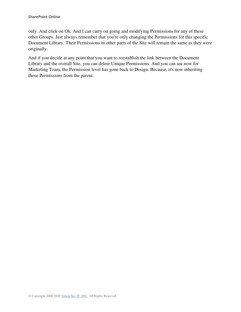only. And click on Ok. And I can carry on going and modifying Permissions for any of these other Groups. Just always remember that you're only changing the Permissions for this specific Document Library. Their Permissions in other parts of the Site will remain the same as they were originally.

And if you decide at any point that you want to reestablish the link between the Document Library and the overall Site, you can delete Unique Permissions. And you can see now for Marketing Team, the Permission level has gone back to Design. Because, it's now inheriting those Permissions from the parent.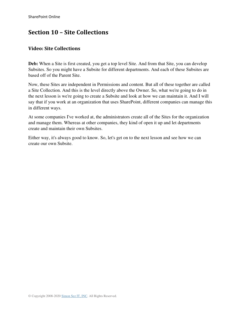# **Section 10 – Site Collections**

### **Video: Site Collections**

**Deb:** When a Site is first created, you get a top level Site. And from that Site, you can develop Subsites. So you might have a Subsite for different departments. And each of these Subsites are based off of the Parent Site.

Now, these Sites are independent in Permissions and content. But all of these together are called a Site Collection. And this is the level directly above the Owner. So, what we're going to do in the next lesson is we're going to create a Subsite and look at how we can maintain it. And I will say that if you work at an organization that uses SharePoint, different companies can manage this in different ways.

At some companies I've worked at, the administrators create all of the Sites for the organization and manage them. Whereas at other companies, they kind of open it up and let departments create and maintain their own Subsites.

Either way, it's always good to know. So, let's get on to the next lesson and see how we can create our own Subsite.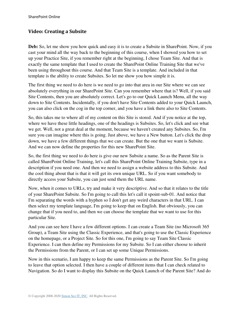# **Video: Creating a Subsite**

**Deb:** So, let me show you how quick and easy it is to create a Subsite in SharePoint. Now, if you cast your mind all the way back to the beginning of this course, when I showed you how to set up your Practice Site, if you remember right at the beginning, I chose Team Site. And that is exactly the same template that I used to create the SharePoint Online Training Site that we've been using throughout this course. And that Team Site is a template. And included in that template is the ability to create Subsites. So let me show you how simple it is.

The first thing we need to do here is we need to go into that area in our Site where we can see absolutely everything in our SharePoint Site. Can you remember where that is? Well, if you said Site Contents, then you are absolutely correct. Let's go to our Quick Launch Menu, all the way down to Site Contents. Incidentally, if you don't have Site Contents added to your Quick Launch, you can also click on the cog in the top corner, and you have a link there also to Site Contents.

So, this takes me to where all of my content on this Site is stored. And if you notice at the top, where we have these little headings, one of the headings is Subsites. So, let's click and see what we get. Well, not a great deal at the moment, because we haven't created any Subsites. So, I'm sure you can imagine where this is going. Just above, we have a New button. Let's click the drop down, we have a few different things that we can create. But the one that we want is Subsite. And we can now define the properties for this new SharePoint Site.

So, the first thing we need to do here is give our new Subsite a name. So as the Parent Site is called SharePoint Online Training, let's call this SharePoint Online Training Subsite, type in a description if you need one. And then we need to assign a website address to this Subsite. And the cool thing about that is that it will get its own unique URL. So if you want somebody to directly access your Subsite, you can just send them the URL name.

Now, when it comes to URLs, try and make it very descriptive. And so that it relates to the title of your SharePoint Subsite. So I'm going to call this let's call it spoint-sub-01. And notice that I'm separating the words with a hyphen so I don't get any weird characters in that URL. I can then select my template language, I'm going to keep that on English. But obviously, you can change that if you need to, and then we can choose the template that we want to use for this particular Site.

And you can see here I have a few different options. I can create a Team Site (no Microsoft 365 Group), a Team Site using the Classic Experience, and that's going to use the Classic Experience on the homepage, or a Project Site. So for this one, I'm going to say Team Site Classic Experience. I can then define my Permissions for my Subsite. So I can either choose to inherit the Permissions from the Parent, or I can set up some Unique Permissions.

Now in this scenario, I am happy to keep the same Permissions as the Parent Site. So I'm going to leave that option selected. I then have a couple of different items that I can check related to Navigation. So do I want to display this Subsite on the Quick Launch of the Parent Site? And do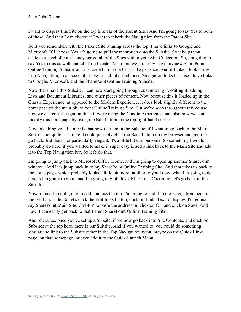I want to display this Site on the top link bar of the Parent Site? And I'm going to say Yes to both of those. And then I can choose if I want to inherit the Navigation from the Parent Site.

So if you remember, with the Parent Site running across the top, I have links to Google and Microsoft. If I choose Yes, it's going to pull those through onto the Subsite. So it helps you achieve a level of consistency across all of the Sites within your Site Collection. So, I'm going to say Yes to this as well, and click on Create. And there we go, I now have my new SharePoint Online Training Subsite, and it's loaded up in the Classic Experience. And if I take a look at my Top Navigation, I can see that I have in fact inherited those Navigation links because I have links to Google, Microsoft, and the SharePoint Online Training Subsite.

Now that I have this Subsite, I can now start going through customizing it, editing it, adding Lists and Document Libraries, and other pieces of content. Now because this is loaded up in the Classic Experience, as opposed to the Modern Experience, it does look slightly different to the homepage on the main SharePoint Online Training Site. But we've seen throughout this course how we can edit Navigation links if we're using the Classic Experience, and also how we can modify this homepage by using the Edit button in the top right-hand corner.

Now one thing you'll notice is that now that I'm in the Subsite, if I want to go back to the Main Site, it's not quite as simple. I could possibly click the Back button on my browser and get it to go back. But that's not particularly elegant, it's a little bit cumbersome. So something I would probably do here, if you wanted to make it super easy is add a link back to the Main Site and add it to the Top Navigation bar. So let's do that.

I'm going to jump back to Microsoft Office Home, and I'm going to open up another SharePoint window. And let's jump back in to my SharePoint Online Training Site. And that takes us back to the home page, which probably looks a little bit more familiar to you know, what I'm going to do here is I'm going to go up and I'm going to grab this URL, Ctrl  $+ C$  to copy, let's go back to the Subsite.

Now in fact, I'm not going to add it across the top, I'm going to add it in the Navigation menu on the left-hand side. So let's click the Edit links button, click on Link. Text to display, I'm gonna say SharePoint Main Site. Ctrl  $+V$  to paste the address in, click on Ok, and click on Save. And now, I can easily get back to that Parent SharePoint Online Training Site.

And of course, once you've set up a Subsite, if we now go back into Site Contents, and click on Subsites at the top here, there is our Subsite. And if you wanted to, you could do something similar and link to the Subsite either in the Top Navigation menu, maybe on the Quick Links page, on that homepage, or even add it to the Quick Launch Menu.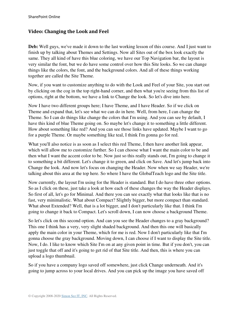#### **Video: Changing the Look and Feel**

**Deb:** Well guys, we've made it down to the last working lesson of this course. And I just want to finish up by talking about Themes and Settings. Now all Sites out of the box look exactly the same. They all kind of have this blue coloring, we have our Top Navigation bar, the layout is very similar the font, but we do have some control over how this Site looks. So we can change things like the colors, the font, and the background colors. And all of these things working together are called the Site Theme.

Now, if you want to customize anything to do with the Look and Feel of your Site, you start out by clicking on the cog in the top right-hand corner, and then what you're seeing from this list of options, right at the bottom, we have a link to Change the look. So let's dive into here.

Now I have two different groups here; I have Theme, and I have Header. So if we click on Theme and expand that, let's see what we can do in here. Well, from here, I can change the Theme. So I can do things like change the colors that I'm using. And you can see by default, I have this kind of blue Theme going on. So maybe let's change it to something a little different. How about something like red? And you can see those links have updated. Maybe I want to go for a purple Theme. Or maybe something like teal, I think I'm gonna go for red.

What you'll also notice is as soon as I select this red Theme, I then have another link appear, which will allow me to customize further. So I can choose what I want the main color to be and then what I want the accent color to be. Now just so this really stands out, I'm going to change it to something a bit different. Let's change it to green, and click on Save. And let's jump back into Change the look. And now let's focus on changing the Header. Now when we say Header, we're talking about this area at the top here. So where I have the GlobalTeach logo and the Site title.

Now currently, the layout I'm using for the Header is standard. But I do have three other options. So as I click on these, just take a look at how each of these changes the way the Header displays. So first of all, let's go for Minimal. And there you can see exactly what that looks like that is no fast, very minimalistic. What about Compact? Slightly bigger, but more compact than standard. What about Extended? Well, that is a lot bigger, and I don't particularly like that. I think I'm going to change it back to Compact. Let's scroll down, I can now choose a background Theme.

So let's click on this second option. And can you see the Header changes to a gray background? This one I think has a very, very slight shaded background. And then this one will basically apply the main color in your Theme, which for me is red. Now I don't particularly like that I'm gonna choose the gray background. Moving down, I can choose if I want to display the Site title. Now, I do. I like to know which Site I'm on at any given point in time. But if you don't, you can just toggle that off and it's going to get rid of that Site title. And then, this is where you can upload a logo thumbnail.

So if you have a company logo saved off somewhere, just click Change underneath. And it's going to jump across to your local drives. And you can pick up the image you have saved off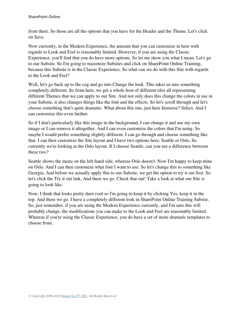from there. So those are all the options that you have for the Header and the Theme. Let's click on Save.

Now currently, in the Modern Experience, the amount that you can customize in here with regards to Look and Feel is reasonably limited. However, if you are using the Classic Experience, you'll find that you do have more options. So let me show you what I mean. Let's go to our Subsite. So I'm going to maximize Subsites and click on SharePoint Online Training, because this Subsite is in the Classic Experience. So what can we do with this Site with regards to the Look and Feel?

Well, let's go back up to the cog and go into Change the look. This takes us into something completely different. So from here, we get a whole host of different tiles all representing different Themes that we can apply to our Site. And not only does this change the colors in use in your Subsite, it also changes things like the font and the effects. So let's scroll through and let's choose something that's quite dramatic. What about this one, just here Immerse? Select. And I can customize this even further.

So if I don't particularly like this image in the background, I can change it and use my own image or I can remove it altogether. And I can even customize the colors that I'm using. So maybe I would prefer something slightly different. I can go through and choose something like that. I can then customize the Site layout and I have two options here; Seattle or Oslo. So currently we're looking at the Oslo layout. If I choose Seattle, can you see a difference between these two?

Seattle shows the menu on the left-hand side, whereas Oslo doesn't. Now I'm happy to keep mine on Oslo. And I can then customize what font I want to use. So let's change this to something like Georgia. And before we actually apply this to our Subsite, we get the option to try it out first. So let's click the Try it out link. And there we go. Check that out! Take a look at what our Site is going to look like.

Now, I think that looks pretty darn cool so I'm going to keep it by clicking Yes, keep it in the top. And there we go. I have a completely different look in SharePoint Online Training Subsite. So, just remember, if you are using the Modern Experience currently, and I'm sure this will probably change, the modifications you can make to the Look and Feel are reasonably limited. Whereas if you're using the Classic Experience, you do have a set of more dramatic templates to choose from.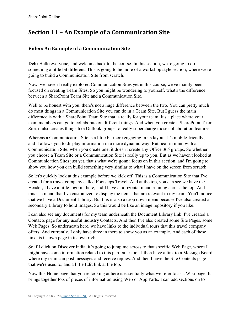# **Section 11 – An Example of a Communication Site**

# **Video: An Example of a Communication Site**

**Deb:** Hello everyone, and welcome back to the course. In this section, we're going to do something a little bit different. This is going to be more of a workshop style section, where we're going to build a Communication Site from scratch.

Now, we haven't really explored Communication Sites yet in this course, we've mainly been focused on creating Team Sites. So you might be wondering to yourself, what's the difference between a SharePoint Team Site and a Communication Site.

Well to be honest with you, there's not a huge difference between the two. You can pretty much do most things in a Communication Site you can do in a Team Site. But I guess the main difference is with a SharePoint Team Site that is really for your team. It's a place where your team members can go to collaborate on different things. And when you create a SharePoint Team Site, it also creates things like Outlook groups to really supercharge those collaboration features.

Whereas a Communication Site is a little bit more engaging in its layout. It's mobile-friendly, and it allows you to display information in a more dynamic way. But bear in mind with a Communication Site, when you create one, it doesn't create any Office 365 groups. So whether you choose a Team Site or a Communication Site is really up to you. But as we haven't looked at Communication Sites just yet, that's what we're gonna focus on in this section, and I'm going to show you how you can build something very similar to what I have on the screen from scratch.

So let's quickly look at this example before we kick off. This is a Communication Site that I've created for a travel company called Footsteps Travel. And at the top, you can see we have the Header, I have a little logo in there, and I have a horizontal menu running across the top. And this is a menu that I've customized to display the items that are relevant to my team. You'll notice that we have a Document Library. But this is also a drop down menu because I've also created a secondary Library to hold images. So this would be like an image repository if you like.

I can also see any documents for my team underneath the Document Library link. I've created a Contacts page for any useful industry Contacts. And then I've also created some Site Pages, some Web Pages. So underneath here, we have links to the individual tours that this travel company offers. And currently, I only have three in there to show you as an example. And each of these links is its own page in its own right.

So if I click on Discover India, it's going to jump me across to that specific Web Page, where I might have some information related to this particular tool. I then have a link to a Message Board where my team can post messages and receive replies. And then I have the Site Contents page that we're used to, and a little Edit link at the top.

Now this Home page that you're looking at here is essentially what we refer to as a Wiki page. It brings together lots of pieces of information using Web or App Parts. I can add sections on to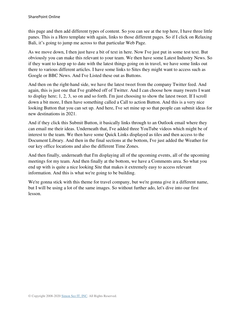this page and then add different types of content. So you can see at the top here, I have three little panes. This is a Hero template with again, links to those different pages. So if I click on Relaxing Bali, it's going to jump me across to that particular Web Page.

As we move down, I then just have a bit of text in here. Now I've just put in some test text. But obviously you can make this relevant to your team. We then have some Latest Industry News. So if they want to keep up to date with the latest things going on in travel, we have some links out there to various different articles. I have some links to Sites they might want to access such as Google or BBC News. And I've Listed these out as Buttons.

And then on the right-hand side, we have the latest tweet from the company Twitter feed. And again, this is just one that I've grabbed off of Twitter. And I can choose how many tweets I want to display here; 1, 2, 3, so on and so forth. I'm just choosing to show the latest tweet. If I scroll down a bit more, I then have something called a Call to action Button. And this is a very nice looking Button that you can set up. And here, I've set mine up so that people can submit ideas for new destinations in 2021.

And if they click this Submit Button, it basically links through to an Outlook email where they can email me their ideas. Underneath that, I've added three YouTube videos which might be of interest to the team. We then have some Quick Links displayed as tiles and then access to the Document Library. And then in the final sections at the bottom, I've just added the Weather for our key office locations and also the different Time Zones.

And then finally, underneath that I'm displaying all of the upcoming events, all of the upcoming meetings for my team. And then finally at the bottom, we have a Comments area. So what you end up with is quite a nice looking Site that makes it extremely easy to access relevant information. And this is what we're going to be building.

We're gonna stick with this theme for travel company, but we're gonna give it a different name, but I will be using a lot of the same images. So without further ado, let's dive into our first lesson.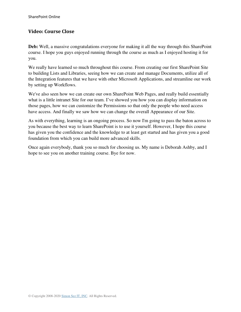#### **Video: Course Close**

**Deb:** Well, a massive congratulations everyone for making it all the way through this SharePoint course. I hope you guys enjoyed running through the course as much as I enjoyed hosting it for you.

We really have learned so much throughout this course. From creating our first SharePoint Site to building Lists and Libraries, seeing how we can create and manage Documents, utilize all of the Integration features that we have with other Microsoft Applications, and streamline our work by setting up Workflows.

We've also seen how we can create our own SharePoint Web Pages, and really build essentially what is a little intranet Site for our team. I've showed you how you can display information on those pages, how we can customize the Permissions so that only the people who need access have access. And finally we saw how we can change the overall Appearance of our Site.

As with everything, learning is an ongoing process. So now I'm going to pass the baton across to you because the best way to learn SharePoint is to use it yourself. However, I hope this course has given you the confidence and the knowledge to at least get started and has given you a good foundation from which you can build more advanced skills.

Once again everybody, thank you so much for choosing us. My name is Deborah Ashby, and I hope to see you on another training course. Bye for now.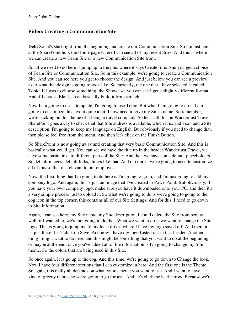#### **Video: Creating a Communication Site**

**Deb:** So let's start right from the beginning and create our Communication Site. So I'm just here at the SharePoint hub, the Home page where I can see all of my recent Sites. And this is where we can create a new Team Site or a new Communication Site from.

So all we need to do here is jump up to the plus where it says Create Site. And you get a choice of Team Site or Communication Site. So in this example, we're going to create a Communication Site. And you can see here you get to choose the design. And just below you can see a preview as to what that design is going to look like. So currently, the one that I have selected is called Topic. If I was to choose something like Showcase, you can see I get a slightly different format. And if I choose Blank, I can basically build it from scratch.

Now I am going to use a template, I'm going to use Topic. But what I am going to do is I am going to customize this layout quite a bit, I now need to give my Site a name. So remember, we're sticking on this theme of it being a travel company. So let's call this on Wanderlust Travel. SharePoint goes away to check that that Site address is available, which it is, and I can add a Site description. I'm going to keep my language on English. But obviously if you need to change that, then please feel free from the menu. And then let's click on the Finish Button.

So SharePoint is now going away and creating that very basic Communication Site. And this is basically what you'll get. You can see we have the title up in the header Wanderlust Travel, we have some basic links to different parts of the Site. And then we have some default placeholders. So default images, default links, things like that. And of course, we're going to need to customize all of this so that it's relevant to our employees.

Now, the first thing that I'm going to do here is I'm going to go in, and I'm just going to add my company logo. And again, this is just an image that I've created in PowerPoint. But obviously, if you have your own company logo, make sure you have it downloaded onto your PC, and then it's a very simple process just to upload it. So what we're going to do is we're going to go up to the cog icon in the top corner, this contains all of our Site Settings. And for this, I need to go down to Site Information.

Again, I can see here, my Site name, my Site description, I could delete the Site from here as well, if I wanted to, we're not going to do that. What we want to do is we want to change the Site logo. This is going to jump me to my local drives where I have my logo saved off. And there it is, just there. Let's click on Save. And now I have my logo Listed out in that header. Another thing I might want to do here, and this might be something that you want to do at the beginning, or maybe at the end, once you've added all of the information is I'm going to change my Site theme. So the colors that are being used in this Site.

So once again, let's go up to the cog. And this time, we're going to go down to Change the look. Now I have four different sections that I can customize in here. And the first one is the Theme. So again, this really all depends on what color scheme you want to use. And I want to have a kind of greeny theme, so we're going to go for teal. And let's click the back arrow. Because we're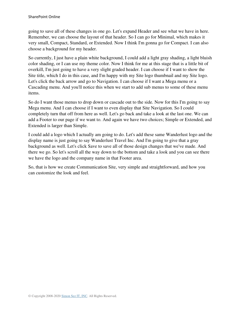going to save all of these changes in one go. Let's expand Header and see what we have in here. Remember, we can choose the layout of that header. So I can go for Minimal, which makes it very small, Compact, Standard, or Extended. Now I think I'm gonna go for Compact. I can also choose a background for my header.

So currently, I just have a plain white background, I could add a light gray shading, a light bluish color shading, or I can use my theme color. Now I think for me at this stage that is a little bit of overkill, I'm just going to have a very slight graded header. I can choose if I want to show the Site title, which I do in this case, and I'm happy with my Site logo thumbnail and my Site logo. Let's click the back arrow and go to Navigation. I can choose if I want a Mega menu or a Cascading menu. And you'll notice this when we start to add sub menus to some of these menu items.

So do I want those menus to drop down or cascade out to the side. Now for this I'm going to say Mega menu. And I can choose if I want to even display that Site Navigation. So I could completely turn that off from here as well. Let's go back and take a look at the last one. We can add a Footer to our page if we want to. And again we have two choices; Simple or Extended, and Extended is larger than Simple.

I could add a logo which I actually am going to do. Let's add these same Wanderlust logo and the display name is just going to say Wanderlust Travel Inc. And I'm going to give that a gray background as well. Let's click Save to save all of those design changes that we've made. And there we go. So let's scroll all the way down to the bottom and take a look and you can see there we have the logo and the company name in that Footer area.

So, that is how we create Communication Site, very simple and straightforward, and how you can customize the look and feel.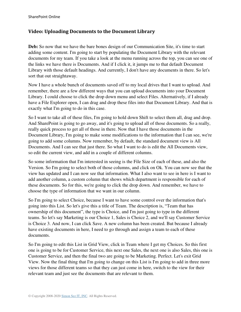### **Video: Uploading Documents to the Document Library**

**Deb:** So now that we have the bare bones design of our Communication Site, it's time to start adding some content. I'm going to start by populating the Document Library with the relevant documents for my team. If you take a look at the menu running across the top, you can see one of the links we have there is Documents. And if I click it, it jumps me to that default Document Library with those default headings. And currently, I don't have any documents in there. So let's sort that out straightaway.

Now I have a whole bunch of documents saved off to my local drives that I want to upload. And remember, there are a few different ways that you can upload documents into your Document Library. I could choose to click the drop down menu and select Files. Alternatively, if I already have a File Explorer open, I can drag and drop these files into that Document Library. And that is exactly what I'm going to do in this case.

So I want to take all of these files, I'm going to hold down Shift to select them all, drag and drop. And SharePoint is going to go away, and it's going to upload all of those documents. So a really, really quick process to get all of those in there. Now that I have those documents in the Document Library, I'm going to make some modifications to the information that I can see, we're going to add some columns. Now remember, by default, the standard document view is All Documents. And I can see that just there. So what I want to do is edit the All Documents view, so edit the current view, and add in a couple of different columns.

So some information that I'm interested in seeing is the File Size of each of these, and also the Version. So I'm going to select both of those columns, and click on Ok. You can now see that the view has updated and I can now see that information. What I also want to see in here is I want to add another column, a custom column that shows which department is responsible for each of these documents. So for this, we're going to click the drop down. And remember, we have to choose the type of information that we want in our column.

So I'm going to select Choice, because I want to have some control over the information that's going into this List. So let's give this a title of Team. The description is, "Team that has ownership of this document", the type is Choice, and I'm just going to type in the different teams. So let's say Marketing is our Choice 1, Sales is Choice 2, and we'll say Customer Service is Choice 3. And now, I can click Save. A new column has been created. But because I already have existing documents in here, I need to go through and assign a team to each of these documents.

So I'm going to edit this List in Grid View, click in Team where I get my Choices. So this first one is going to be for Customer Service, this next one Sales, the next one is also Sales, this one is Customer Service, and then the final two are going to be Marketing. Perfect. Let's exit Grid View. Now the final thing that I'm going to change on this List is I'm going to add in three more views for those different teams so that they can just come in here, switch to the view for their relevant team and just see the documents that are relevant to them.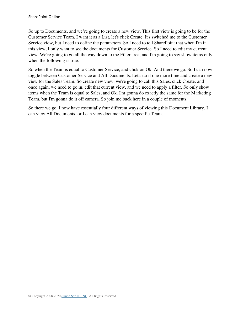So up to Documents, and we're going to create a new view. This first view is going to be for the Customer Service Team. I want it as a List, let's click Create. It's switched me to the Customer Service view, but I need to define the parameters. So I need to tell SharePoint that when I'm in this view, I only want to see the documents for Customer Service. So I need to edit my current view. We're going to go all the way down to the Filter area, and I'm going to say show items only when the following is true.

So when the Team is equal to Customer Service, and click on Ok. And there we go. So I can now toggle between Customer Service and All Documents. Let's do it one more time and create a new view for the Sales Team. So create new view, we're going to call this Sales, click Create, and once again, we need to go in, edit that current view, and we need to apply a filter. So only show items when the Team is equal to Sales, and Ok. I'm gonna do exactly the same for the Marketing Team, but I'm gonna do it off camera. So join me back here in a couple of moments.

So there we go. I now have essentially four different ways of viewing this Document Library. I can view All Documents, or I can view documents for a specific Team.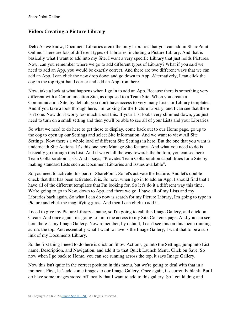# **Video: Creating a Picture Library**

**Deb:** As we know, Document Libraries aren't the only Libraries that you can add in SharePoint Online. There are lots of different types of Libraries, including a Picture Library. And that is basically what I want to add into my Site. I want a very specific Library that just holds Pictures. Now, can you remember where we go to add different types of Library? What if you said we need to add an App, you would be exactly correct. And there are two different ways that we can add an App, I can click the new drop down and go down to App. Alternatively, I can click the cog in the top right-hand corner and add an App from here.

Now, take a look at what happens when I go in to add an App. Because there is something very different with a Communication Site, as opposed to a Team Site. When you create a Communication Site, by default, you don't have access to very many Lists, or Library templates. And if you take a look through here, I'm looking for the Picture Library, and I can see that there isn't one. Now don't worry too much about this. If your List looks very slimmed down, you just need to turn on a small setting and then you'll be able to see all of your Lists and your Libraries.

So what we need to do here to get those to display, come back out to our Home page, go up to the cog to open up our Settings and select Site Information. And we want to view All Site Settings. Now there's a whole load of different Site Settings in here. But the one that you want is underneath Site Actions. It's this one here Manage Site features. And what you need to do is basically go through this List. And if we go all the way towards the bottom, you can see here Team Collaboration Lists. And it says, "Provides Team Collaboration capabilities for a Site by making standard Lists such as Document Libraries and Issues available".

So you need to activate this part of SharePoint. So let's activate the feature. And let's doublecheck that that has been activated, it is. So now, when I go in to add an App, I should find that I have all of the different templates that I'm looking for. So let's do it a different way this time. We're going to go to New, down to App, and there we go. I have all of my Lists and my Libraries back again. So what I can do now is search for my Picture Library, I'm going to type in Picture and click the magnifying glass. And then I can click to add it.

I need to give my Picture Library a name, so I'm going to call this Image Gallery, and click on Create. And once again, it's going to jump me across to my Site Contents page. And you can see here there is my Image Gallery. Now remember, by default, I can't see this on this menu running across the top. And essentially what I want to have is the Image Gallery, I want that to be a sub link of my Documents Library.

So the first thing I need to do here is click on Show Actions, go into the Settings, jump into List name, Description, and Navigation, and add it to that Quick Launch Menu. Click on Save. So now when I go back to Home, you can see running across the top, it says Image Gallery.

Now this isn't quite in the correct position in this menu, but we're going to deal with that in a moment. First, let's add some images to our Image Gallery. Once again, it's currently blank. But I do have some images stored off locally that I want to add to this gallery. So I could drag and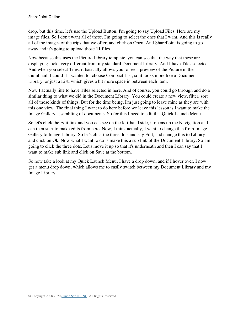drop, but this time, let's use the Upload Button. I'm going to say Upload Files. Here are my image files. So I don't want all of these, I'm going to select the ones that I want. And this is really all of the images of the trips that we offer, and click on Open. And SharePoint is going to go away and it's going to upload those 11 files.

Now because this uses the Picture Library template, you can see that the way that these are displaying looks very different from my standard Document Library. And I have Tiles selected. And when you select Tiles, it basically allows you to see a preview of the Picture in the thumbnail. I could if I wanted to, choose Compact List, so it looks more like a Document Library, or just a List, which gives a bit more space in between each item.

Now I actually like to have Tiles selected in here. And of course, you could go through and do a similar thing to what we did in the Document Library. You could create a new view, filter, sort all of those kinds of things. But for the time being, I'm just going to leave mine as they are with this one view. The final thing I want to do here before we leave this lesson is I want to make the Image Gallery assembling of documents. So for this I need to edit this Quick Launch Menu.

So let's click the Edit link and you can see on the left-hand side, it opens up the Navigation and I can then start to make edits from here. Now, I think actually, I want to change this from Image Gallery to Image Library. So let's click the three dots and say Edit, and change this to Library and click on Ok. Now what I want to do is make this a sub link of the Document Library. So I'm going to click the three dots. Let's move it up so that it's underneath and then I can say that I want to make sub link and click on Save at the bottom.

So now take a look at my Quick Launch Menu; I have a drop down, and if I hover over, I now get a menu drop down, which allows me to easily switch between my Document Library and my Image Library.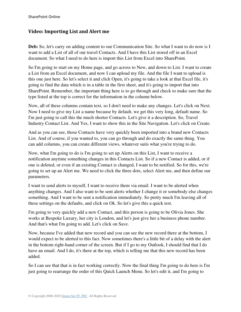#### **Video: Importing List and Alert me**

**Deb:** So, let's carry on adding content to our Communication Site. So what I want to do now is I want to add a List of all of our travel Contacts. And I have this List stored off in an Excel document. So what I need to do here is import this List from Excel into SharePoint.

So I'm going to start on my Home page, and go across to New, and down to List. I want to create a List from an Excel document, and now I can upload my file. And the file I want to upload is this one just here. So let's select it and click Open, it's going to take a look at that Excel file, it's going to find the data which is in a table in the first sheet, and it's going to import that into SharePoint. Remember, the important thing here is to go through and check to make sure that the type listed at the top is correct for the information in the column below.

Now, all of these columns contain text, so I don't need to make any changes. Let's click on Next. Now I need to give my List a name because by default, we get this very long, default name. So I'm just going to call this the much shorter Contacts. Let's give it a description. So, Travel Industry Contact List. And Yes, I want to show this in the Site Navigation. Let's click on Create.

And as you can see, those Contacts have very quickly been imported into a brand new Contacts List. And of course, if you wanted to, you can go through and do exactly the same thing. You can add columns, you can create different views, whatever suits what you're trying to do.

Now, what I'm going to do is I'm going to set up Alerts on this List, I want to receive a notification anytime something changes in this Contacts List. So if a new Contact is added, or if one is deleted, or even if an existing Contact is changed, I want to be notified. So for this, we're going to set up an Alert me. We need to click the three dots, select Alert me, and then define our parameters.

I want to send alerts to myself, I want to receive them via email. I want to be alerted when anything changes. And I also want to be sent alerts whether I change it or somebody else changes something. And I want to be sent a notification immediately. So pretty much I'm leaving all of these settings on the defaults, and click on Ok. So let's give this a quick test.

I'm going to very quickly add a new Contact, and this person is going to be Olivia Jones. She works at Bespoke Luxury, her city is London, and let's just give her a business phone number. And that's what I'm going to add. Let's click on Save.

Now, because I've added that new record and you can see the new record there at the bottom, I would expect to be alerted to this fact. Now sometimes there's a little bit of a delay with the alert in the bottom right-hand corner of the screen. But if I go to my Outlook, I should find that I do have an email. And I do, it's there at the top, which is telling me that this new record has been added.

So I can see that that is in fact working correctly. Now the final thing I'm going to do here is I'm just going to rearrange the order of this Quick Launch Menu. So let's edit it, and I'm going to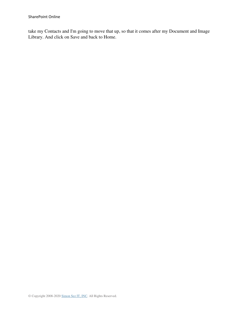take my Contacts and I'm going to move that up, so that it comes after my Document and Image Library. And click on Save and back to Home.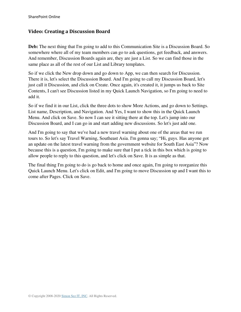### **Video: Creating a Discussion Board**

**Deb:** The next thing that I'm going to add to this Communication Site is a Discussion Board. So somewhere where all of my team members can go to ask questions, get feedback, and answers. And remember, Discussion Boards again are, they are just a List. So we can find those in the same place as all of the rest of our List and Library templates.

So if we click the New drop down and go down to App, we can then search for Discussion. There it is, let's select the Discussion Board. And I'm going to call my Discussion Board, let's just call it Discussion, and click on Create. Once again, it's created it, it jumps us back to Site Contents, I can't see Discussion listed in my Quick Launch Navigation, so I'm going to need to add it.

So if we find it in our List, click the three dots to show More Actions, and go down to Settings. List name, Description, and Navigation. And Yes, I want to show this in the Quick Launch Menu. And click on Save. So now I can see it sitting there at the top. Let's jump into our Discussion Board, and I can go in and start adding new discussions. So let's just add one.

And I'm going to say that we've had a new travel warning about one of the areas that we run tours to. So let's say Travel Warning, Southeast Asia. I'm gonna say; "Hi, guys. Has anyone got an update on the latest travel warning from the government website for South East Asia"? Now because this is a question, I'm going to make sure that I put a tick in this box which is going to allow people to reply to this question, and let's click on Save. It is as simple as that.

The final thing I'm going to do is go back to home and once again, I'm going to reorganize this Quick Launch Menu. Let's click on Edit, and I'm going to move Discussion up and I want this to come after Pages. Click on Save.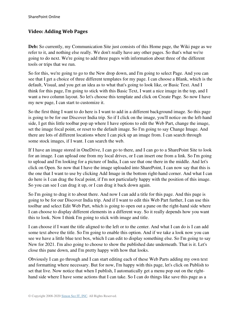## **Video: Adding Web Pages**

**Deb:** So currently, my Communication Site just consists of this Home page, the Wiki page as we refer to it, and nothing else really. We don't really have any other pages. So that's what we're going to do next. We're going to add three pages with information about three of the different tools or trips that we run.

So for this, we're going to go to the New drop down, and I'm going to select Page. And you can see that I get a choice of three different templates for my page. I can choose a Blank, which is the default, Visual, and you get an idea as to what that's going to look like, or Basic Text. And I think for this page, I'm going to stick with this Basic Text, I want a nice image in the top, and I want a two column layout. So let's choose this template and click on Create Page. So now I have my new page, I can start to customize it.

So the first thing I want to do here is I want to add in a different background image. So this page is going to be for our Discover India trip. So if I click on the image, you'll notice on the left-hand side, I get this little toolbar pop up where I have options to edit the Web Part, change the image, set the image focal point, or reset to the default image. So I'm going to say Change Image. And there are lots of different locations where I can pick up an image from. I can search through some stock images, if I want. I can search the web.

If I have an image stored in OneDrive, I can go to there, and I can go to a SharePoint Site to look for an image. I can upload one from my local drives, or I can insert one from a link. So I'm going to upload and I'm looking for a picture of India, I can see that one there in the middle. And let's click on Open. So now that I have the image uploaded into SharePoint, I can now say that this is the one that I want to use by clicking Add Image in the bottom right-hand corner. And what I can do here is I can drag the focal point, if I'm not particularly happy with the position of this image. So you can see I can drag it up, or I can drag it back down again.

So I'm going to drag it to about there. And now I can add a title for this page. And this page is going to be for our Discover India trip. And if I want to edit this Web Part further, I can use this toolbar and select Edit Web Part, which is going to open out a pane on the right-hand side where I can choose to display different elements in a different way. So it really depends how you want this to look. Now I think I'm going to stick with image and title.

I can choose if I want the title aligned to the left or to the center. And what I can do is I can add some text above the title. So I'm going to enable this option. And if we take a look now you can see we have a little blue text box, which I can edit to display something else. So I'm going to say New for 2021. I'm also going to choose to show the published date underneath. That is it. Let's close this pane down, and I'm pretty happy with how that looks.

Obviously I can go through and I can start editing each of these Web Parts adding my own text and formatting where necessary. But for now, I'm happy with this page, let's click on Publish to set that live. Now notice that when I publish, I automatically get a menu pop out on the righthand side where I have some actions that I can take. So I can do things like save this page as a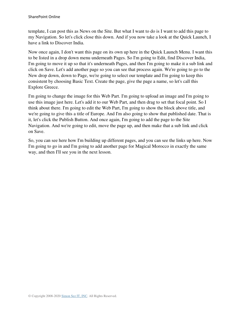template, I can post this as News on the Site. But what I want to do is I want to add this page to my Navigation. So let's click close this down. And if you now take a look at the Quick Launch, I have a link to Discover India.

Now once again, I don't want this page on its own up here in the Quick Launch Menu. I want this to be listed in a drop down menu underneath Pages. So I'm going to Edit, find Discover India, I'm going to move it up so that it's underneath Pages, and then I'm going to make it a sub link and click on Save. Let's add another page so you can see that process again. We're going to go to the New drop down, down to Page, we're going to select our template and I'm going to keep this consistent by choosing Basic Text. Create the page, give the page a name, so let's call this Explore Greece.

I'm going to change the image for this Web Part. I'm going to upload an image and I'm going to use this image just here. Let's add it to our Web Part, and then drag to set that focal point. So I think about there. I'm going to edit the Web Part, I'm going to show the block above title, and we're going to give this a title of Europe. And I'm also going to show that published date. That is it, let's click the Publish Button. And once again, I'm going to add the page to the Site Navigation. And we're going to edit, move the page up, and then make that a sub link and click on Save.

So, you can see here how I'm building up different pages, and you can see the links up here. Now I'm going to go in and I'm going to add another page for Magical Morocco in exactly the same way, and then I'll see you in the next lesson.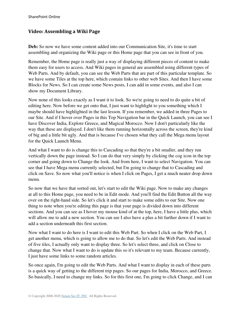#### **Video: Assembling a Wiki Page**

**Deb:** So now we have some content added into our Communication Site, it's time to start assembling and organizing the Wiki page or this Home page that you can see in front of you.

Remember, the Home page is really just a way of displaying different pieces of content to make them easy for users to access. And Wiki pages in general are assembled using different types of Web Parts. And by default, you can see the Web Parts that are part of this particular template. So we have some Tiles at the top here, which contain links to other web Sites. And then I have some Blocks for News. So I can create some News posts, I can add in some events, and also I can show my Document Library.

Now none of this looks exactly as I want it to look. So we're going to need to do quite a bit of editing here. Now before we get onto that, I just want to highlight to you something which I maybe should have highlighted in the last lesson. If you remember, we added in three Pages to our Site. And if I hover over Pages in this Top Navigation bar in the Quick Launch, you can see I have Discover India, Explore Greece, and Magical Morocco. Now I don't particularly like the way that these are displayed. I don't like them running horizontally across the screen, they're kind of big and a little bit ugly. And that is because I've chosen what they call the Mega menu layout for the Quick Launch Menu.

And what I want to do is change this to Cascading so that they're a bit smaller, and they run vertically down the page instead. So I can do that very simply by clicking the cog icon in the top corner and going down to Change the look. And from here, I want to select Navigation. You can see that I have Mega menu currently selected, but I'm going to change that to Cascading and click on Save. So now what you'll notice is when I click on Pages, I get a much neater drop down menu.

So now that we have that sorted out, let's start to edit the Wiki page. Now to make any changes at all to this Home page, you need to be in Edit mode. And you'll find the Edit Button all the way over on the right-hand side. So let's click it and start to make some edits to our Site. Now one thing to note when you're editing this page is that your page is divided down into different sections. And you can see as I hover my mouse kind of at the top, here, I have a little plus, which will allow me to add a new section. You can see I also have a plus a bit further down if I want to add a section underneath this first section.

Now what I want to do here is I want to edit this Web Part. So when I click on the Web Part, I get another menu, which is going to allow me to do that. So let's edit the Web Parts. And instead of five tiles, I actually only want to display three. So let's select three, and click on Close to change that. Now what I want to do is update this so it's relevant to my team. Because currently, I just have some links to some random articles.

So once again, I'm going to edit the Web Parts. And what I want to display in each of these parts is a quick way of getting to the different trip pages. So our pages for India, Morocco, and Greece. So basically, I need to change my links. So for this first one, I'm going to click Change, and I can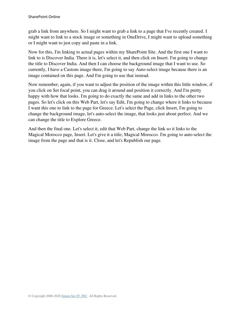grab a link from anywhere. So I might want to grab a link to a page that I've recently created. I might want to link to a stock image or something in OneDrive, I might want to upload something or I might want to just copy and paste in a link.

Now for this, I'm linking to actual pages within my SharePoint Site. And the first one I want to link to is Discover India. There it is, let's select it, and then click on Insert. I'm going to change the title to Discover India. And then I can choose the background image that I want to use. So currently, I have a Custom image there, I'm going to say Auto-select image because there is an image contained on this page. And I'm going to use that instead.

Now remember, again, if you want to adjust the position of the image within this little window, if you click on Set focal point, you can drag it around and position it correctly. And I'm pretty happy with how that looks. I'm going to do exactly the same and add in links to the other two pages. So let's click on this Web Part, let's say Edit, I'm going to change where it links to because I want this one to link to the page for Greece. Let's select the Page, click Insert, I'm going to change the background image, let's auto-select the image, that looks just about perfect. And we can change the title to Explore Greece.

And then the final one. Let's select it, edit that Web Part, change the link so it links to the Magical Morocco page, Insert. Let's give it a title; Magical Morocco. I'm going to auto-select the image from the page and that is it. Close, and let's Republish our page.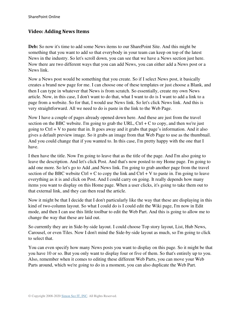### **Video: Adding News Items**

**Deb:** So now it's time to add some News items to our SharePoint Site. And this might be something that you want to add so that everybody in your team can keep on top of the latest News in the industry. So let's scroll down, you can see that we have a News section just here. Now there are two different ways that you can add News, you can either add a News post or a News link.

Now a News post would be something that you create. So if I select News post, it basically creates a brand new page for me. I can choose one of these templates or just choose a Blank, and then I can type in whatever that News is from scratch. So essentially, create my own News article. Now, in this case, I don't want to do that, what I want to do is I want to add a link to a page from a website. So for that, I would use News link. So let's click News link. And this is very straightforward. All we need to do is paste in the link to the Web Page.

Now I have a couple of pages already opened down here. And these are just from the travel section on the BBC website. I'm going to grab the URL,  $Ctrl + C$  to copy, and then we're just going to  $Ctrl + V$  to paste that in. It goes away and it grabs that page's information. And it also gives a default preview image. So it grabs an image from that Web Page to use as the thumbnail. And you could change that if you wanted to. In this case, I'm pretty happy with the one that I have.

I then have the title. Now I'm going to leave that as the title of the page. And I'm also going to leave the description. And let's click Post. And that's now posted to my Home page. I'm going to add one more. So let's go to Add ,and News link. I'm going to grab another page from the travel section of the BBC website Ctrl + C to copy the link and Ctrl + V to paste in. I'm going to leave everything as it is and click on Post. And I could carry on going. It really depends how many items you want to display on this Home page. When a user clicks, it's going to take them out to that external link, and they can then read the article.

Now it might be that I decide that I don't particularly like the way that these are displaying in this kind of two-column layout. So what I could do is I could edit the Wiki page, I'm now in Edit mode, and then I can use this little toolbar to edit the Web Part. And this is going to allow me to change the way that these are laid out.

So currently they are in Side-by-side layout. I could choose Top story layout, List, Hub News, Carousel, or even Tiles. Now I don't mind the Side-by-side layout as much, so I'm going to click to select that.

You can even specify how many News posts you want to display on this page. So it might be that you have 10 or so. But you only want to display four or five of them. So that's entirely up to you. Also, remember when it comes to editing these different Web Parts, you can move your Web Parts around, which we're going to do in a moment, you can also duplicate the Web Part.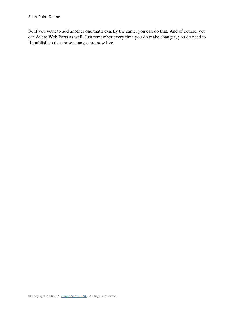So if you want to add another one that's exactly the same, you can do that. And of course, you can delete Web Parts as well. Just remember every time you do make changes, you do need to Republish so that those changes are now live.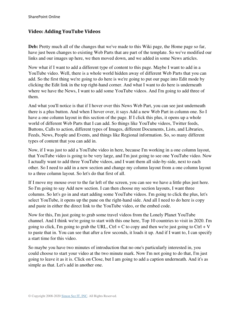## **Video: Adding YouTube Videos**

**Deb:** Pretty much all of the changes that we've made to this Wiki page, the Home page so far, have just been changes to existing Web Parts that are part of the template. So we've modified our links and our images up here, we then moved down, and we added in some News articles.

Now what if I want to add a different type of content to this page. Maybe I want to add in a YouTube video. Well, there is a whole world hidden away of different Web Parts that you can add. So the first thing we're going to do here is we're going to put our page into Edit mode by clicking the Edit link in the top right-hand corner. And what I want to do here is underneath where we have the News, I want to add some YouTube videos. And I'm going to add three of them.

And what you'll notice is that if I hover over this News Web Part, you can see just underneath there is a plus button. And when I hover over, it says Add a new Web Part in column one. So I have a one column layout in this section of the page. If I click this plus, it opens up a whole world of different Web Parts that I can add. So things like YouTube videos, Twitter feeds, Buttons, Calls to action, different types of Images, different Documents, Lists, and Libraries, Feeds, News, People and Events, and things like Regional information. So, so many different types of content that you can add in.

Now, if I was just to add a YouTube video in here, because I'm working in a one column layout, that YouTube video is going to be very large, and I'm just going to see one YouTube video. Now I actually want to add three YouTube videos, and I want them all side-by-side, next to each other. So I need to add in a new section and change my column layout from a one column layout to a three column layout. So let's do that first of all.

If I move my mouse over to the far left of the screen, you can see we have a little plus just here. So I'm going to say Add new section. I can then choose my section layouts, I want three columns. So let's go in and start adding some YouTube videos. I'm going to click the plus, let's select YouTube, it opens up the pane on the right-hand side. And all I need to do here is copy and paste in either the direct link to the YouTube video, or the embed code.

Now for this, I'm just going to grab some travel videos from the Lonely Planet YouTube channel. And I think we're going to start with this one here, Top 10 countries to visit in 2020. I'm going to click, I'm going to grab the URL, Ctrl + C to copy and then we're just going to Ctrl + V to paste that in. You can see that after a few seconds, it loads it up. And if I want to, I can specify a start time for this video.

So maybe you have two minutes of introduction that no one's particularly interested in, you could choose to start your video at the two minute mark. Now I'm not going to do that, I'm just going to leave it as it is. Click on Close, but I am going to add a caption underneath. And it's as simple as that. Let's add in another one.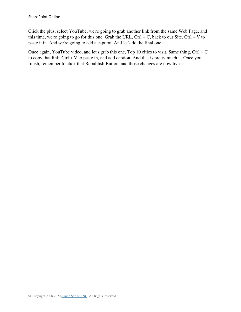Click the plus, select YouTube, we're going to grab another link from the same Web Page, and this time, we're going to go for this one. Grab the URL, Ctrl + C, back to our Site, Ctrl + V to paste it in. And we're going to add a caption. And let's do the final one.

Once again, YouTube video, and let's grab this one, Top 10 cities to visit. Same thing,  $Ctrl + C$ to copy that link, Ctrl + V to paste in, and add caption. And that is pretty much it. Once you finish, remember to click that Republish Button, and those changes are now live.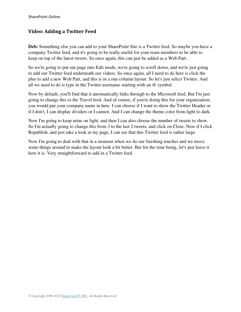## **Video: Adding a Twitter Feed**

**Deb:** Something else you can add to your SharePoint Site is a Twitter feed. So maybe you have a company Twitter feed, and it's going to be really useful for your team members to be able to keep on top of the latest tweets. So once again, this can just be added as a Web Part.

So we're going to put our page into Edit mode, we're going to scroll down, and we're just going to add our Twitter feed underneath our videos. So once again, all I need to do here is click the plus to add a new Web Part, and this is in a one column layout. So let's just select Twitter. And all we need to do is type in the Twitter username starting with an @ symbol.

Now by default, you'll find that it automatically links through to the Microsoft feed. But I'm just going to change this to the Travel feed. And of course, if you're doing this for your organization, you would put your company name in here. I can choose if I want to show the Twitter Header or if I don't, I can display dividers or I cannot. And I can change the theme color from light to dark.

Now I'm going to keep mine on light, and then I can also choose the number of tweets to show. So I'm actually going to change this from 3 to the last 2 tweets, and click on Close. Now if I click Republish, and just take a look at my page, I can see that this Twitter feed is rather large.

Now I'm going to deal with that in a moment when we do our finishing touches and we move some things around to make the layout look a bit better. But for the time being, let's just leave it how it is. Very straightforward to add in a Twitter feed.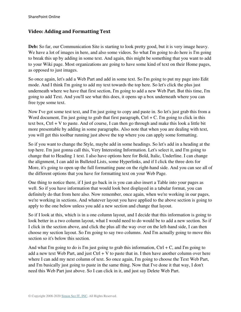## **Video: Adding and Formatting Text**

**Deb:** So far, our Communication Site is starting to look pretty good, but it is very image heavy. We have a lot of images in here, and also some videos. So what I'm going to do here is I'm going to break this up by adding in some text. And again, this might be something that you want to add to your Wiki page. Most organizations are going to have some kind of text on their Home pages, as opposed to just images.

So once again, let's add a Web Part and add in some text. So I'm going to put my page into Edit mode. And I think I'm going to add my text towards the top here. So let's click the plus just underneath where we have that first section, I'm going to add a new Web Part. But this time, I'm going to add Text. And you'll see what this does, it opens up a box underneath where you can free type some text.

Now I've got some test text, and I'm just going to copy and paste in. So let's just grab this from a Word document, I'm just going to grab that first paragraph,  $Ctrl + C$ . I'm going to click in this text box, Ctrl + V to paste. And of course, I can then go through and make this look a little bit more presentable by adding in some paragraphs. Also note that when you are dealing with text, you will get this toolbar running just above the top where you can apply some formatting.

So if you want to change the Style, maybe add in some headings. So let's add in a heading at the top here. I'm just gonna call this, Very Interesting Information. Let's select it, and I'm going to change that to Heading 1 text. I also have options here for Bold, Italic, Underline. I can change the alignment, I can add in Bulleted Lists, some Hyperlinks, and if I click the three dots for More, it's going to open up the full formatting pane on the right-hand side. And you can see all of the different options that you have for formatting text on your Web Page.

One thing to notice there, if I just go back in is you can also insert a Table into your pages as well. So if you have information that would look best displayed in a tabular format, you can definitely do that from here also. Now remember, once again, when we're working in our pages, we're working in sections. And whatever layout you have applied to the above section is going to apply to the one below unless you add a new section and change that layout.

So if I look at this, which is in a one column layout, and I decide that this information is going to look better in a two column layout, what I would need to do would be to add a new section. So if I click in the section above, and click the plus all the way over on the left-hand side, I can then choose my section layout. So I'm going to say two columns. And I'm actually going to move this section so it's below this section.

And what I'm going to do is I'm just going to grab this information,  $Ctrl + C$ , and I'm going to add a new text Web Part, and just  $Ctrl + V$  to paste that in. I then have another column over here where I can add my next column of text. So once again, I'm going to choose the Text Web Part, and I'm basically just going to paste in the same thing. Now that I've done it that way, I don't need this Web Part just above. So I can click in it, and just say Delete Web Part.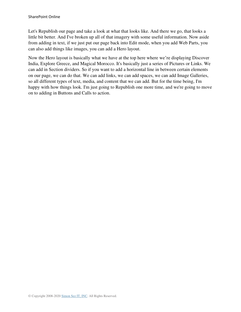Let's Republish our page and take a look at what that looks like. And there we go, that looks a little bit better. And I've broken up all of that imagery with some useful information. Now aside from adding in text, if we just put our page back into Edit mode, when you add Web Parts, you can also add things like images, you can add a Hero layout.

Now the Hero layout is basically what we have at the top here where we're displaying Discover India, Explore Greece, and Magical Morocco. It's basically just a series of Pictures or Links. We can add in Section dividers. So if you want to add a horizontal line in between certain elements on our page, we can do that. We can add links, we can add spaces, we can add Image Galleries, so all different types of text, media, and content that we can add. But for the time being, I'm happy with how things look. I'm just going to Republish one more time, and we're going to move on to adding in Buttons and Calls to action.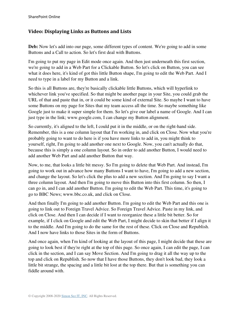#### **Video: Displaying Links as Buttons and Lists**

**Deb:** Now let's add into our page, some different types of content. We're going to add in some Buttons and a Call to action. So let's first deal with Buttons.

I'm going to put my page in Edit mode once again. And then just underneath this first section, we're going to add in a Web Part for a Clickable Button. So let's click on Button, you can see what it does here, it's kind of got this little Button shape, I'm going to edit the Web Part. And I need to type in a label for my Button and a link.

So this is all Buttons are, they're basically clickable little Buttons, which will hyperlink to whichever link you've specified. So that might be another page in your Site, you could grab the URL of that and paste that in, or it could be some kind of external Site. So maybe I want to have some Buttons on my page for Sites that my team access all the time. So maybe something like Google just to make it super simple for them. So let's give our label a name of Google. And I can just type in the link; www.google.com, I can change my Button alignment.

So currently, it's aligned to the left, I could put it in the middle, or on the right-hand side. Remember, this is a one column layout that I'm working in, and click on Close. Now what you're probably going to want to do here is if you have more links to add in, you might think to yourself, right, I'm going to add another one next to Google. Now, you can't actually do that, because this is simply a one column layout. So in order to add another Button, I would need to add another Web Part and add another Button that way.

Now, to me, that looks a little bit messy. So I'm going to delete that Web Part. And instead, I'm going to work out in advance how many Buttons I want to have, I'm going to add a new section, and change the layout. So let's click the plus to add a new section. And I'm going to say I want a three column layout. And then I'm going to move this Button into this first column. So then, I can go in, and I can add another Button. I'm going to edit the Web Part. This time, it's going to go to BBC News; www.bbc.co.uk, and click on Close.

And then finally I'm going to add another Button. I'm going to edit the Web Part and this one is going to link out to Foreign Travel Advice. So Foreign Travel Advice. Paste in my link, and click on Close. And then I can decide if I want to reorganize these a little bit better. So for example, if I click on Google and edit the Web Part, I might decide to skin that better if I align it to the middle. And I'm going to do the same for the rest of these. Click on Close and Republish. And I now have links to those Sites in the form of Buttons.

And once again, when I'm kind of looking at the layout of this page, I might decide that these are going to look best if they're right at the top of this page. So once again, I can edit the page, I can click in the section, and I can say Move Section. And I'm going to drag it all the way up to the top and click on Republish. So now that I have those Buttons, they don't look bad, they look a little bit strange, the spacing and a little bit lost at the top there. But that is something you can fiddle around with.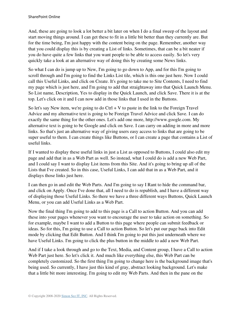And, these are going to look a lot better a bit later on when I do a final sweep of the layout and start moving things around. I can get these to fit in a little bit better than they currently are. But for the time being, I'm just happy with the content being on the page. Remember, another way that you could display this is by creating a List of links. Sometimes, that can be a bit neater if you do have quite a few links that you want people to be able to access easily. So let's very quickly take a look at an alternative way of doing this by creating some News links.

So what I can do is jump up to New, I'm going to go down to App, and for this I'm going to scroll through and I'm going to find the Links List tile, which is this one just here. Now I could call this Useful Links, and click on Create. It's going to take me to Site Contents, I need to find my page which is just here, and I'm going to add that straightaway into that Quick Launch Menu. So List name, Description, Yes to display in the Quick Launch, and click Save. There it is at the top. Let's click on it and I can now add in those links that I used in the Buttons.

So let's say New item, we're going to do  $Ctrl + V$  to paste in the link to the Foreign Travel Advice and my alternative text is going to be Foreign Travel Advice and click Save. I can do exactly the same thing for the other ones. Let's add one more, http://www.google.com. My alternative text is going to be Google and click on Save. I can carry on adding in more and more links. So that's just an alternative way of giving users easy access to links that are going to be super useful to them. I can create things like Buttons, or I can create a page that contains a List of useful links.

If I wanted to display these useful links in just a List as opposed to Buttons, I could also edit my page and add that in as a Web Part as well. So instead, what I could do is add a new Web Part, and I could say I want to display List items from this Site. And it's going to bring up all of the Lists that I've created. So in this case, Useful Links, I can add that in as a Web Part, and it displays those links just here.

I can then go in and edit the Web Parts. And I'm going to say I Rant to hide the command bar, and click on Apply. Once I've done that, all I need to do is republish, and I have a different way of displaying those Useful Links. So there we have a three different ways Buttons, Quick Launch Menu, or you can add Useful Links as a Web Part.

Now the final thing I'm going to add to this page is a Call to action Button. And you can add these into your pages whenever you want to encourage the user to take action on something. So for example, maybe I want to add a Button to this page where people can submit feedback or ideas. So for this, I'm going to use a Call to action Button. So let's put our page back into Edit mode by clicking that Edit Button. And I think I'm going to put this just underneath where we have Useful Links. I'm going to click the plus button in the middle to add a new Web Part.

And if I take a look through and go to the Text, Media, and Content group, I have a Call to action Web Part just here. So let's click it. And much like everything else, this Web Part can be completely customized. So the first thing I'm going to change here is the background image that's being used. So currently, I have just this kind of gray, abstract looking background. Let's make that a little bit more interesting. I'm going to edit my Web Parts. And then in the pane on the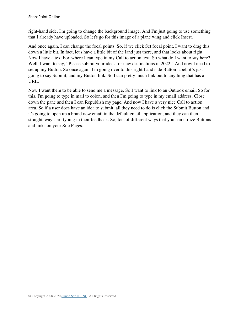right-hand side, I'm going to change the background image. And I'm just going to use something that I already have uploaded. So let's go for this image of a plane wing and click Insert.

And once again, I can change the focal points. So, if we click Set focal point, I want to drag this down a little bit. In fact, let's have a little bit of the land just there, and that looks about right. Now I have a text box where I can type in my Call to action text. So what do I want to say here? Well, I want to say, "Please submit your ideas for new destinations in 2022". And now I need to set up my Button. So once again, I'm going over to this right-hand side Button label, it's just going to say Submit, and my Button link. So I can pretty much link out to anything that has a URL.

Now I want them to be able to send me a message. So I want to link to an Outlook email. So for this, I'm going to type in mail to colon, and then I'm going to type in my email address. Close down the pane and then I can Republish my page. And now I have a very nice Call to action area. So if a user does have an idea to submit, all they need to do is click the Submit Button and it's going to open up a brand new email in the default email application, and they can then straightaway start typing in their feedback. So, lots of different ways that you can utilize Buttons and links on your Site Pages.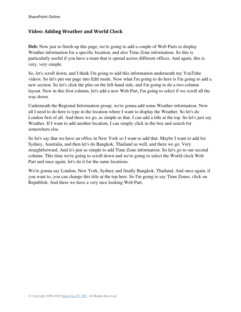### **Video: Adding Weather and World Clock**

**Deb:** Now just to finish up this page, we're going to add a couple of Web Parts to display Weather information for a specific location, and also Time Zone information. So this is particularly useful if you have a team that is spread across different offices. And again, this is very, very simple.

So, let's scroll down, and I think I'm going to add this information underneath my YouTube videos. So let's put our page into Edit mode. Now what I'm going to do here is I'm going to add a new section. So let's click the plus on the left-hand side, and I'm going to do a two column layout. Now in this first column, let's add a new Web Part, I'm going to select if we scroll all the way down.

Underneath the Regional Information group, we're gonna add some Weather information. Now all I need to do here is type in the location where I want to display the Weather. So let's do London first of all. And there we go, as simple as that. I can add a title at the top. So let's just say Weather. If I want to add another location, I can simply click in the box and search for somewhere else.

So let's say that we have an office in New York so I want to add that. Maybe I want to add for Sydney, Australia, and then let's do Bangkok, Thailand as well, and there we go. Very straightforward. And it's just as simple to add Time Zone information. So let's go to our second column. This time we're going to scroll down and we're going to select the World clock Web Part and once again, let's do it for the same locations.

We're gonna say London, New York, Sydney and finally Bangkok, Thailand. And once again, if you want to, you can change this title at the top here. So I'm going to say Time Zones, click on Republish. And there we have a very nice looking Web Part.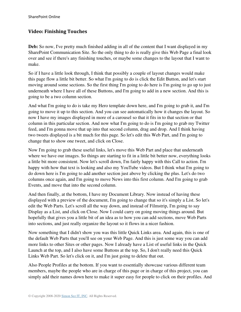## **Video: Finishing Touches**

**Deb:** So now, I've pretty much finished adding in all of the content that I want displayed in my SharePoint Communication Site. So the only thing to do is really give this Web Page a final look over and see if there's any finishing touches, or maybe some changes to the layout that I want to make.

So if I have a little look through, I think that possibly a couple of layout changes would make this page flow a little bit better. So what I'm going to do is click the Edit Button, and let's start moving around some sections. So the first thing I'm going to do here is I'm going to go up to just underneath where I have all of these Buttons, and I'm going to add in a new section. And this is going to be a two column section.

And what I'm going to do is take my Hero template down here, and I'm going to grab it, and I'm going to move it up to this section. And you can see automatically how it changes the layout. So now I have my images displayed in more of a carousel so that it fits in to that section or that column in this particular section. And now what I'm going to do is I'm going to grab my Twitter feed, and I'm gonna move that up into that second column, drag and drop. And I think having two tweets displayed is a bit much for this page. So let's edit this Web Part, and I'm going to change that to show one tweet, and click on Close.

Now I'm going to grab these useful links, let's move this Web Part and place that underneath where we have our images. So things are starting to fit in a little bit better now, everything looks a little bit more consistent. Now let's scroll down, I'm fairly happy with this Call to action. I'm happy with how that text is looking and also my YouTube videos. But I think what I'm going to do down here is I'm going to add another section just above by clicking the plus. Let's do two columns once again, and I'm going to move News into this first column. And I'm going to grab Events, and move that into the second column.

And then finally, at the bottom, I have my Document Library. Now instead of having these displayed with a preview of the document, I'm going to change that so it's simply a List. So let's edit the Web Parts. Let's scroll all the way down, and instead of Filmstrip, I'm going to say Display as a List, and click on Close. Now I could carry on going moving things around. But hopefully that gives you a little bit of an idea as to how you can add sections, move Web Parts into sections, and just really organize the layout so it flows in a nicer fashion.

Now something that I didn't show you was this little Quick Links area. And again, this is one of the default Web Parts that you'll see on your Web Page. And this is just some way you can add more links to other Sites or other pages. Now I already have a List of useful links in the Quick Launch at the top, and I also have some Buttons at the top. So, I don't really need this Quick Links Web Part. So let's click on it, and I'm just going to delete that out.

Also People Profiles at the bottom. If you want to essentially showcase various different team members, maybe the people who are in charge of this page or in charge of this project, you can simply add their names down here to make it super easy for people to click on their profiles. And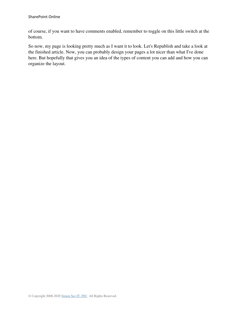of course, if you want to have comments enabled, remember to toggle on this little switch at the bottom.

So now, my page is looking pretty much as I want it to look. Let's Republish and take a look at the finished article. Now, you can probably design your pages a lot nicer than what I've done here. But hopefully that gives you an idea of the types of content you can add and how you can organize the layout.